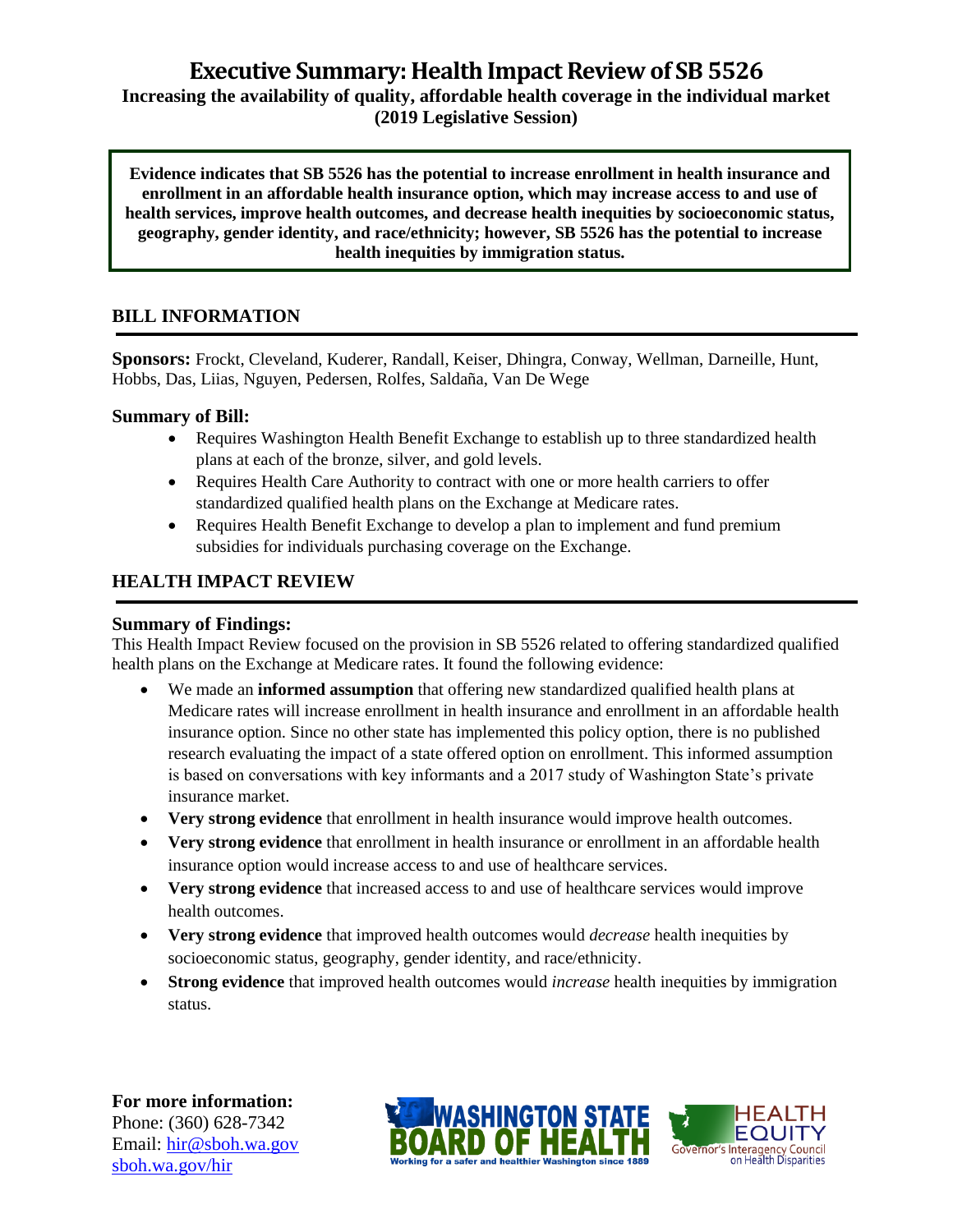# **Executive Summary: Health Impact Review of SB 5526**

### **Increasing the availability of quality, affordable health coverage in the individual market (2019 Legislative Session)**

**Evidence indicates that SB 5526 has the potential to increase enrollment in health insurance and enrollment in an affordable health insurance option, which may increase access to and use of health services, improve health outcomes, and decrease health inequities by socioeconomic status, geography, gender identity, and race/ethnicity; however, SB 5526 has the potential to increase health inequities by immigration status.**

### **BILL INFORMATION**

**Sponsors:** Frockt, Cleveland, Kuderer, Randall, Keiser, Dhingra, Conway, Wellman, Darneille, Hunt, Hobbs, Das, Liias, Nguyen, Pedersen, Rolfes, Saldaña, Van De Wege

#### **Summary of Bill:**

- Requires Washington Health Benefit Exchange to establish up to three standardized health plans at each of the bronze, silver, and gold levels.
- Requires Health Care Authority to contract with one or more health carriers to offer standardized qualified health plans on the Exchange at Medicare rates.
- Requires Health Benefit Exchange to develop a plan to implement and fund premium subsidies for individuals purchasing coverage on the Exchange.

### **HEALTH IMPACT REVIEW**

#### **Summary of Findings:**

This Health Impact Review focused on the provision in SB 5526 related to offering standardized qualified health plans on the Exchange at Medicare rates. It found the following evidence:

- We made an **informed assumption** that offering new standardized qualified health plans at Medicare rates will increase enrollment in health insurance and enrollment in an affordable health insurance option. Since no other state has implemented this policy option, there is no published research evaluating the impact of a state offered option on enrollment. This informed assumption is based on conversations with key informants and a 2017 study of Washington State's private insurance market.
- **Very strong evidence** that enrollment in health insurance would improve health outcomes.
- **Very strong evidence** that enrollment in health insurance or enrollment in an affordable health insurance option would increase access to and use of healthcare services.
- **Very strong evidence** that increased access to and use of healthcare services would improve health outcomes.
- **Very strong evidence** that improved health outcomes would *decrease* health inequities by socioeconomic status, geography, gender identity, and race/ethnicity.
- **Strong evidence** that improved health outcomes would *increase* health inequities by immigration status.

**For more information:** Phone: (360) 628-7342 Email: [hir@sboh.wa.gov](mailto:hir@sboh.wa.gov) [sboh.wa.gov/](http://sboh.wa.gov/)hir



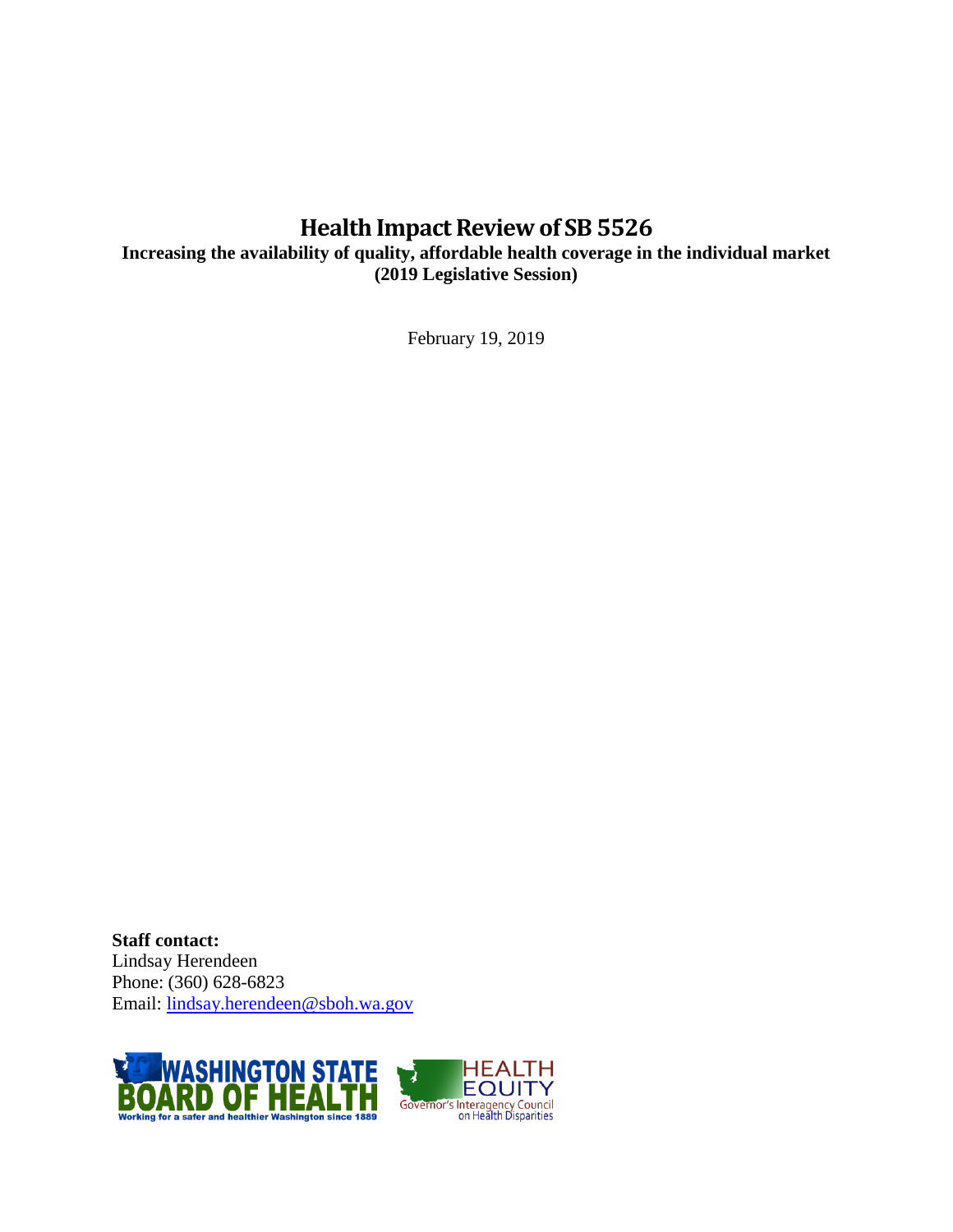# **Health Impact Review of SB 5526**

**Increasing the availability of quality, affordable health coverage in the individual market (2019 Legislative Session)**

February 19, 2019

**Staff contact:** Lindsay Herendeen Phone: (360) 628-6823 Email: [lindsay.herendeen@sboh.wa.gov](mailto:lindsay.herendeen@sboh.wa.gov)

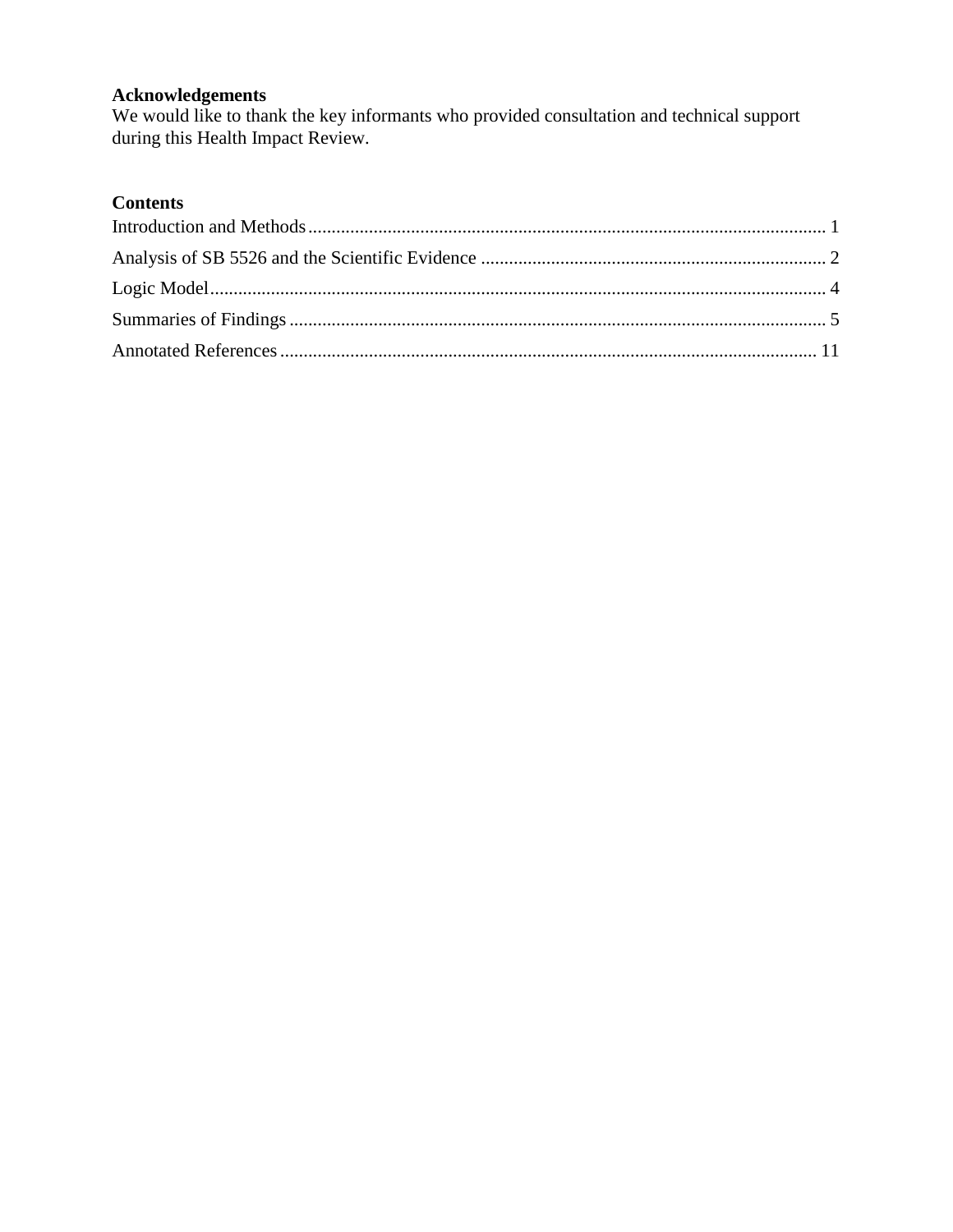# **Acknowledgements**

We would like to thank the key informants who provided consultation and technical support during this Health Impact Review.

# **Contents**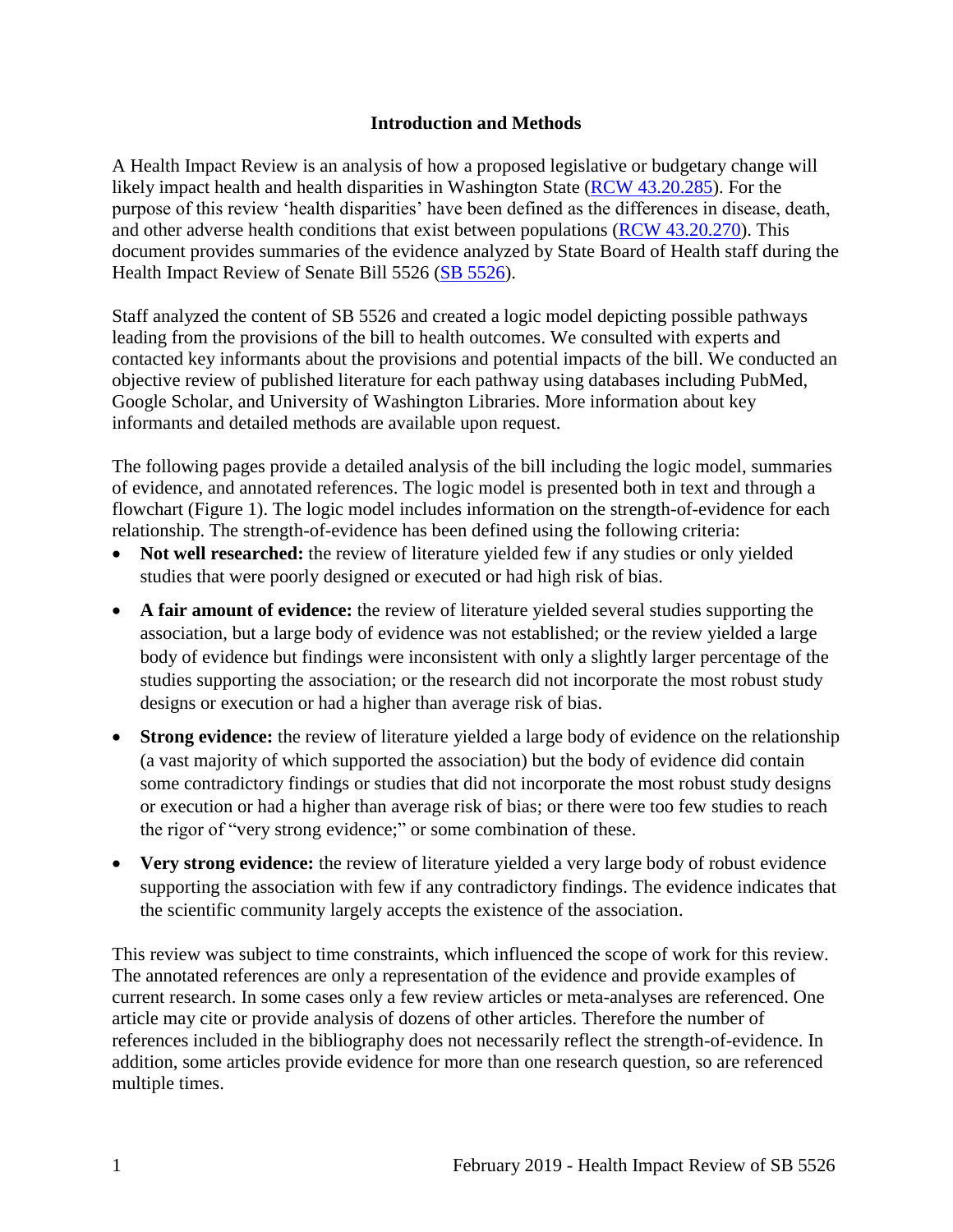### **Introduction and Methods**

<span id="page-3-0"></span>A Health Impact Review is an analysis of how a proposed legislative or budgetary change will likely impact health and health disparities in Washington State [\(RCW 43.20.285\)](http://apps.leg.wa.gov/rcw/default.aspx?cite=43.20.285). For the purpose of this review 'health disparities' have been defined as the differences in disease, death, and other adverse health conditions that exist between populations [\(RCW 43.20.270\)](http://apps.leg.wa.gov/rcw/default.aspx?cite=43.20.270). This document provides summaries of the evidence analyzed by State Board of Health staff during the Health Impact Review of Senate Bill 5526 [\(SB 5526\)](https://app.leg.wa.gov/billsummary?BillNumber=1523&Year=2019&Initiative=False).

Staff analyzed the content of SB 5526 and created a logic model depicting possible pathways leading from the provisions of the bill to health outcomes. We consulted with experts and contacted key informants about the provisions and potential impacts of the bill. We conducted an objective review of published literature for each pathway using databases including PubMed, Google Scholar, and University of Washington Libraries. More information about key informants and detailed methods are available upon request.

The following pages provide a detailed analysis of the bill including the logic model, summaries of evidence, and annotated references. The logic model is presented both in text and through a flowchart (Figure 1). The logic model includes information on the strength-of-evidence for each relationship. The strength-of-evidence has been defined using the following criteria:

- Not well researched: the review of literature yielded few if any studies or only yielded studies that were poorly designed or executed or had high risk of bias.
- **A fair amount of evidence:** the review of literature yielded several studies supporting the association, but a large body of evidence was not established; or the review yielded a large body of evidence but findings were inconsistent with only a slightly larger percentage of the studies supporting the association; or the research did not incorporate the most robust study designs or execution or had a higher than average risk of bias.
- **Strong evidence:** the review of literature yielded a large body of evidence on the relationship (a vast majority of which supported the association) but the body of evidence did contain some contradictory findings or studies that did not incorporate the most robust study designs or execution or had a higher than average risk of bias; or there were too few studies to reach the rigor of "very strong evidence;" or some combination of these.
- **Very strong evidence:** the review of literature yielded a very large body of robust evidence supporting the association with few if any contradictory findings. The evidence indicates that the scientific community largely accepts the existence of the association.

This review was subject to time constraints, which influenced the scope of work for this review. The annotated references are only a representation of the evidence and provide examples of current research. In some cases only a few review articles or meta-analyses are referenced. One article may cite or provide analysis of dozens of other articles. Therefore the number of references included in the bibliography does not necessarily reflect the strength-of-evidence. In addition, some articles provide evidence for more than one research question, so are referenced multiple times.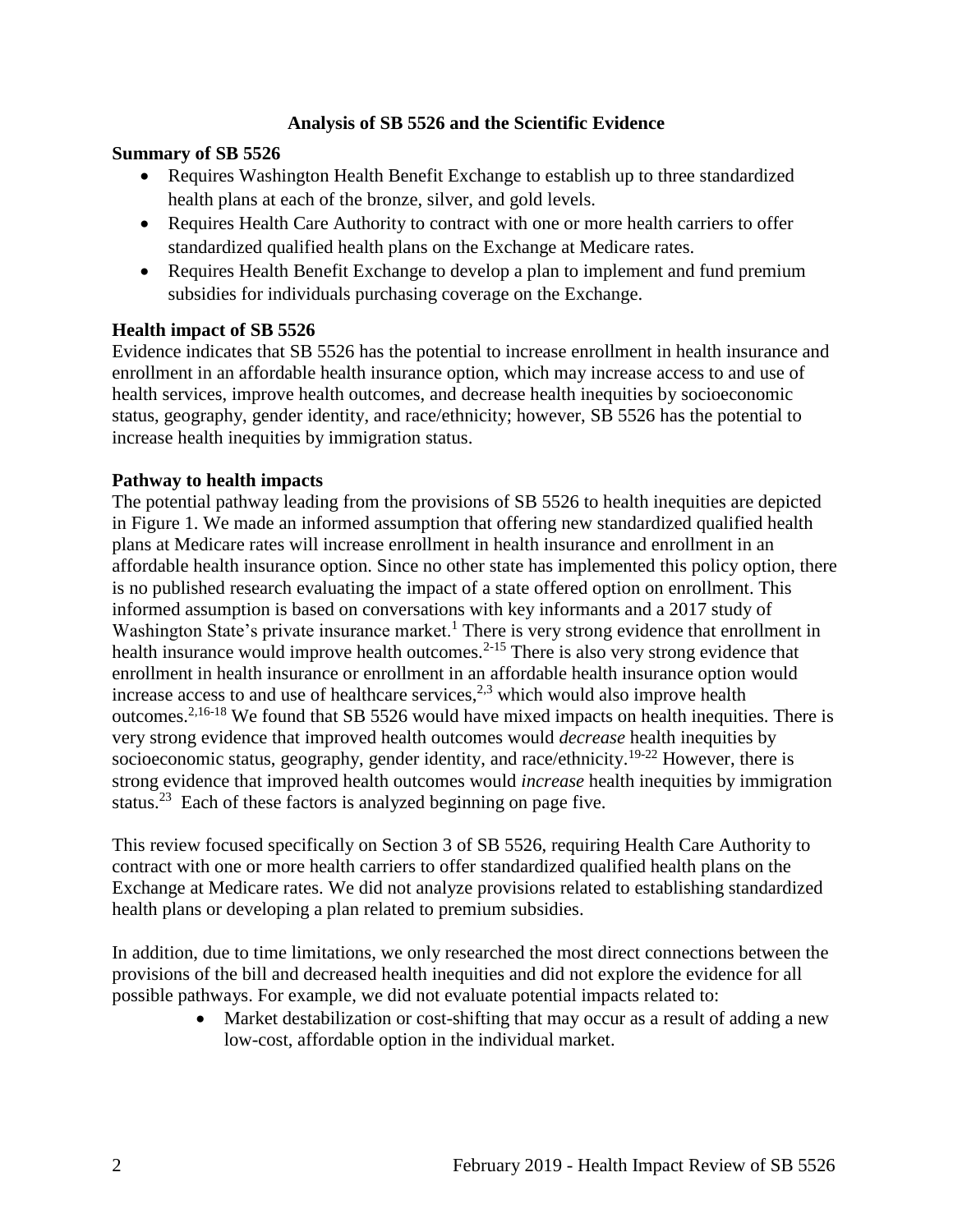### **Analysis of SB 5526 and the Scientific Evidence**

### <span id="page-4-0"></span>**Summary of SB 5526**

- Requires Washington Health Benefit Exchange to establish up to three standardized health plans at each of the bronze, silver, and gold levels.
- Requires Health Care Authority to contract with one or more health carriers to offer standardized qualified health plans on the Exchange at Medicare rates.
- Requires Health Benefit Exchange to develop a plan to implement and fund premium subsidies for individuals purchasing coverage on the Exchange.

### **Health impact of SB 5526**

Evidence indicates that SB 5526 has the potential to increase enrollment in health insurance and enrollment in an affordable health insurance option, which may increase access to and use of health services, improve health outcomes, and decrease health inequities by socioeconomic status, geography, gender identity, and race/ethnicity; however, SB 5526 has the potential to increase health inequities by immigration status.

### **Pathway to health impacts**

The potential pathway leading from the provisions of SB 5526 to health inequities are depicted in Figure 1. We made an informed assumption that offering new standardized qualified health plans at Medicare rates will increase enrollment in health insurance and enrollment in an affordable health insurance option. Since no other state has implemented this policy option, there is no published research evaluating the impact of a state offered option on enrollment. This informed assumption is based on conversations with key informants and a 2017 study of Washington State's private insurance market.<sup>1</sup> There is very strong evidence that enrollment in health insurance would improve health outcomes.<sup>2-15</sup> There is also very strong evidence that enrollment in health insurance or enrollment in an affordable health insurance option would increase access to and use of healthcare services, $2,3$  $2,3$  which would also improve health outcomes.[2](#page-15-0)[,16-18](#page-22-0) We found that SB 5526 would have mixed impacts on health inequities. There is very strong evidence that improved health outcomes would *decrease* health inequities by socioeconomic status, geography, gender identity, and race/ethnicity.<sup>19-22</sup> However, there is strong evidence that improved health outcomes would *increase* health inequities by immigration status.<sup>23</sup> Each of these factors is analyzed beginning on page five.

This review focused specifically on Section 3 of SB 5526, requiring Health Care Authority to contract with one or more health carriers to offer standardized qualified health plans on the Exchange at Medicare rates. We did not analyze provisions related to establishing standardized health plans or developing a plan related to premium subsidies.

In addition, due to time limitations, we only researched the most direct connections between the provisions of the bill and decreased health inequities and did not explore the evidence for all possible pathways. For example, we did not evaluate potential impacts related to:

> • Market destabilization or cost-shifting that may occur as a result of adding a new low-cost, affordable option in the individual market.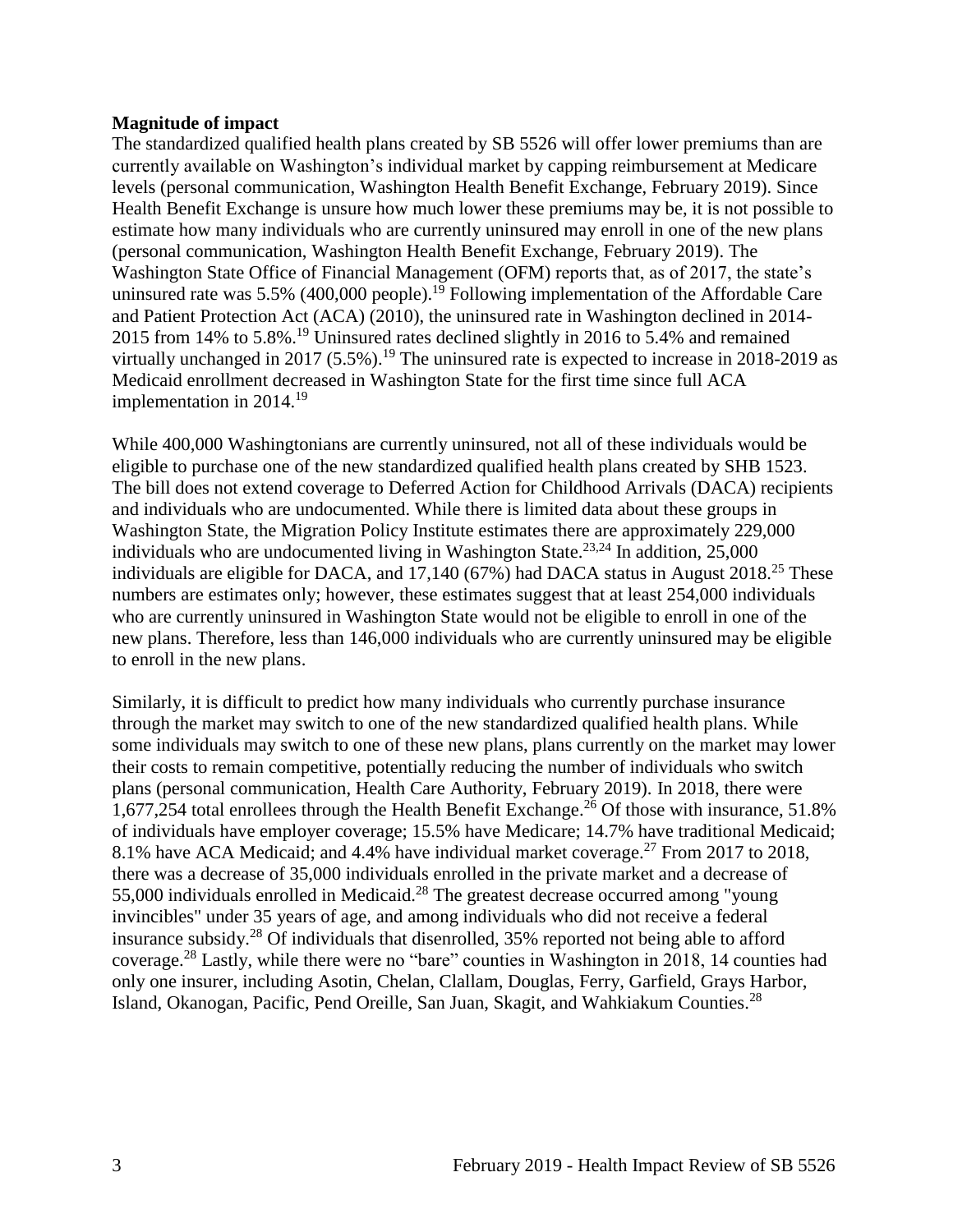#### **Magnitude of impact**

The standardized qualified health plans created by SB 5526 will offer lower premiums than are currently available on Washington's individual market by capping reimbursement at Medicare levels (personal communication, Washington Health Benefit Exchange, February 2019). Since Health Benefit Exchange is unsure how much lower these premiums may be, it is not possible to estimate how many individuals who are currently uninsured may enroll in one of the new plans (personal communication, Washington Health Benefit Exchange, February 2019). The Washington State Office of Financial Management (OFM) reports that, as of 2017, the state's uninsured rate was 5.5% (400,000 people).<sup>19</sup> Following implementation of the Affordable Care and Patient Protection Act (ACA) (2010), the uninsured rate in Washington declined in 2014- 2015 from 14% to 5.8%.<sup>19</sup> Uninsured rates declined slightly in 2016 to 5.4% and remained virtually unchanged in 2017 (5.5%).<sup>19</sup> The uninsured rate is expected to increase in 2018-2019 as Medicaid enrollment decreased in Washington State for the first time since full ACA implementation in  $2014<sup>19</sup>$ 

While 400,000 Washingtonians are currently uninsured, not all of these individuals would be eligible to purchase one of the new standardized qualified health plans created by SHB 1523. The bill does not extend coverage to Deferred Action for Childhood Arrivals (DACA) recipients and individuals who are undocumented. While there is limited data about these groups in Washington State, the Migration Policy Institute estimates there are approximately 229,000 individuals who are undocumented living in Washington State.<sup>[23,](#page-24-0)[24](#page-24-1)</sup> In addition,  $25,000$ individuals are eligible for DACA, and 17,140 (67%) had DACA status in August 2018.<sup>25</sup> These numbers are estimates only; however, these estimates suggest that at least 254,000 individuals who are currently uninsured in Washington State would not be eligible to enroll in one of the new plans. Therefore, less than 146,000 individuals who are currently uninsured may be eligible to enroll in the new plans.

Similarly, it is difficult to predict how many individuals who currently purchase insurance through the market may switch to one of the new standardized qualified health plans. While some individuals may switch to one of these new plans, plans currently on the market may lower their costs to remain competitive, potentially reducing the number of individuals who switch plans (personal communication, Health Care Authority, February 2019). In 2018, there were 1,677,254 total enrollees through the Health Benefit Exchange. <sup>26</sup> Of those with insurance, 51.8% of individuals have employer coverage; 15.5% have Medicare; 14.7% have traditional Medicaid; 8.1% have ACA Medicaid; and 4.4% have individual market coverage.<sup>27</sup> From 2017 to 2018, there was a decrease of 35,000 individuals enrolled in the private market and a decrease of 55,000 individuals enrolled in Medicaid.<sup>28</sup> The greatest decrease occurred among "young invincibles" under 35 years of age, and among individuals who did not receive a federal insurance subsidy.<sup>28</sup> Of individuals that disenrolled, 35% reported not being able to afford coverage.<sup>28</sup> Lastly, while there were no "bare" counties in Washington in 2018, 14 counties had only one insurer, including Asotin, Chelan, Clallam, Douglas, Ferry, Garfield, Grays Harbor, Island, Okanogan, Pacific, Pend Oreille, San Juan, Skagit, and Wahkiakum Counties.<sup>28</sup>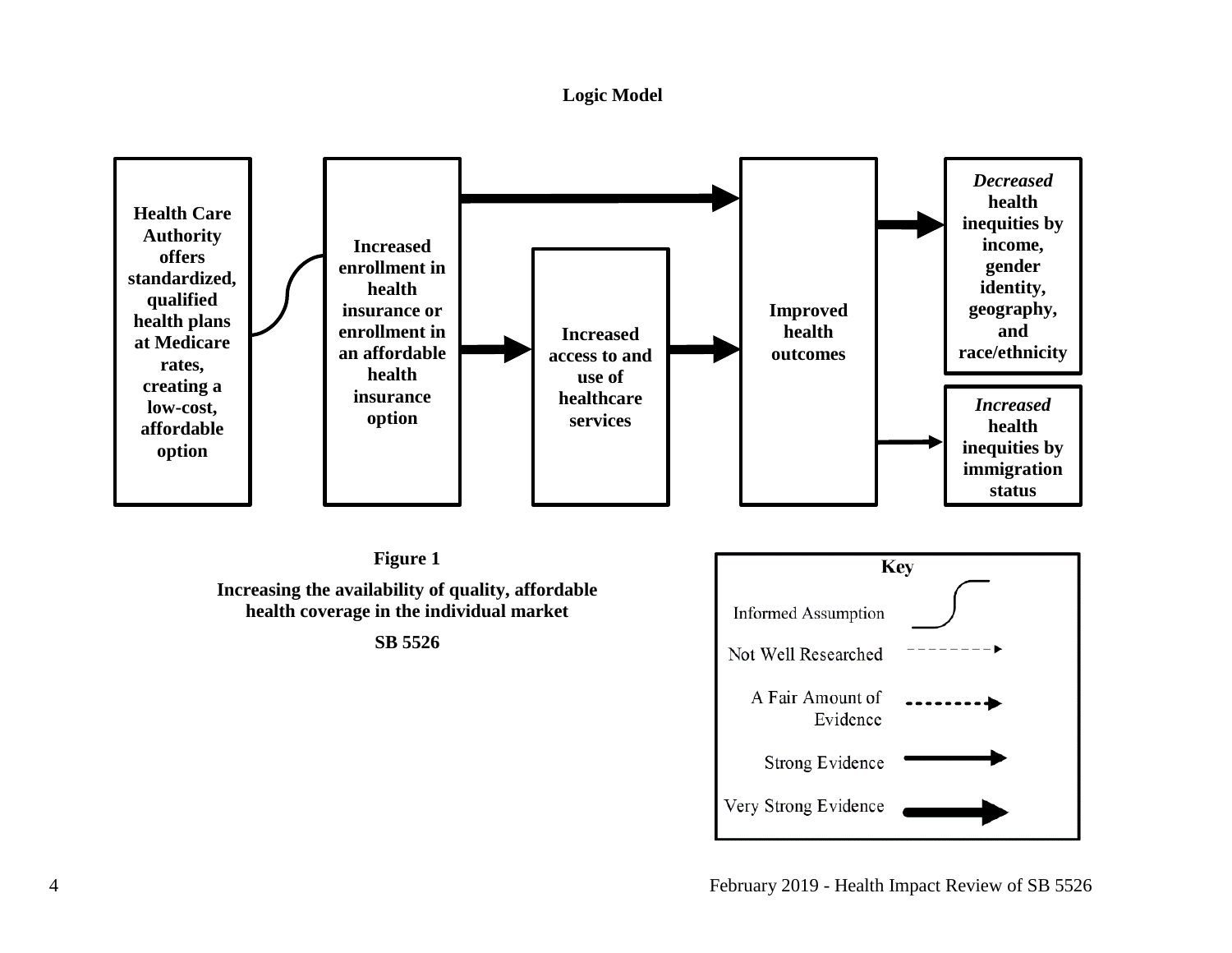#### **Logic Model**

<span id="page-6-0"></span>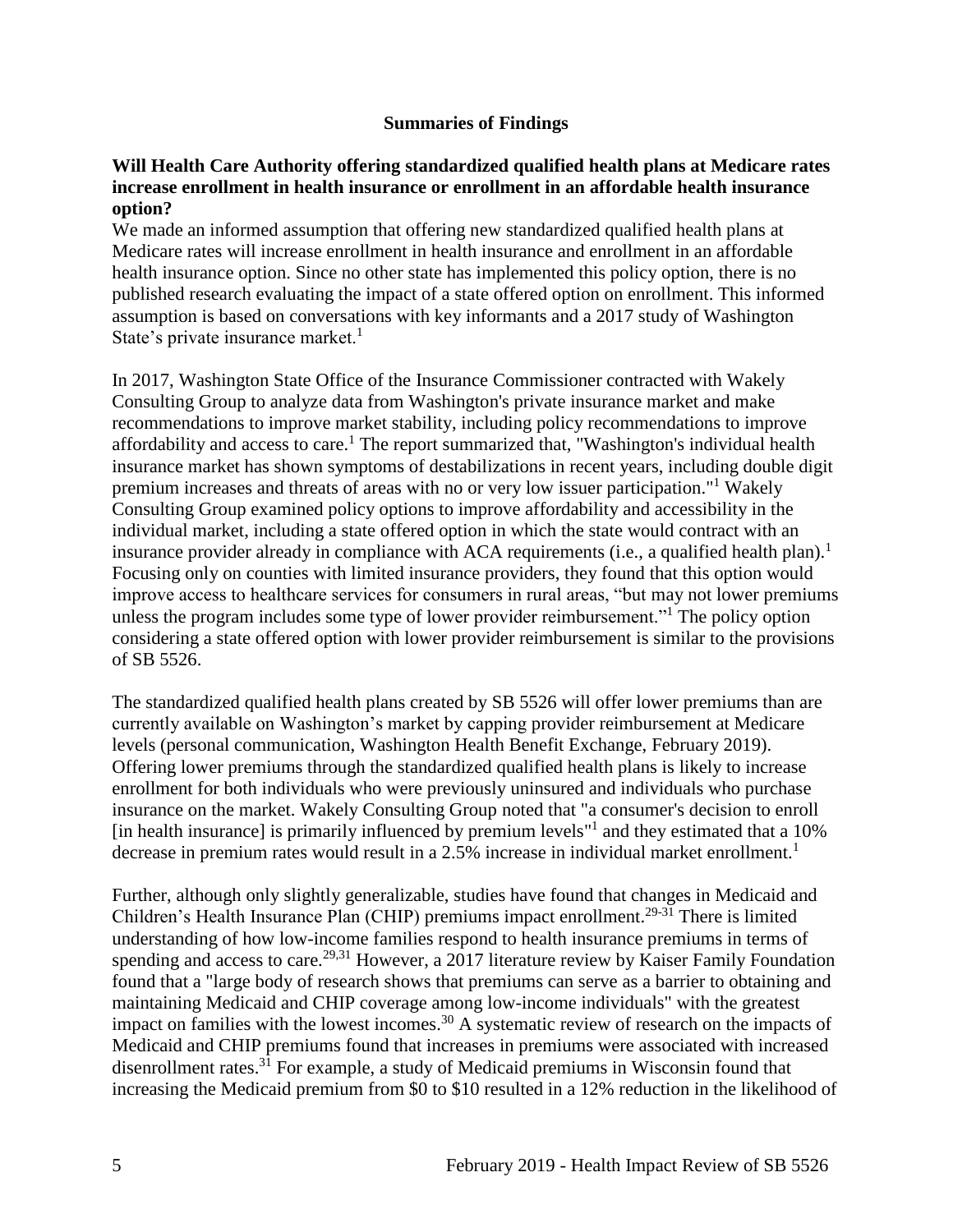#### **Summaries of Findings**

#### <span id="page-7-0"></span>**Will Health Care Authority offering standardized qualified health plans at Medicare rates increase enrollment in health insurance or enrollment in an affordable health insurance option?**

We made an informed assumption that offering new standardized qualified health plans at Medicare rates will increase enrollment in health insurance and enrollment in an affordable health insurance option. Since no other state has implemented this policy option, there is no published research evaluating the impact of a state offered option on enrollment. This informed assumption is based on conversations with key informants and a 2017 study of Washington State's private insurance market. $1$ 

In 2017, Washington State Office of the Insurance Commissioner contracted with Wakely Consulting Group to analyze data from Washington's private insurance market and make recommendations to improve market stability, including policy recommendations to improve affordability and access to care.<sup>1</sup> The report summarized that, "Washington's individual health insurance market has shown symptoms of destabilizations in recent years, including double digit premium increases and threats of areas with no or very low issuer participation."<sup>1</sup> Wakely Consulting Group examined policy options to improve affordability and accessibility in the individual market, including a state offered option in which the state would contract with an insurance provider already in compliance with ACA requirements (i.e., a qualified health plan).<sup>1</sup> Focusing only on counties with limited insurance providers, they found that this option would improve access to healthcare services for consumers in rural areas, "but may not lower premiums unless the program includes some type of lower provider reimbursement."<sup>1</sup> The policy option considering a state offered option with lower provider reimbursement is similar to the provisions of SB 5526.

The standardized qualified health plans created by SB 5526 will offer lower premiums than are currently available on Washington's market by capping provider reimbursement at Medicare levels (personal communication, Washington Health Benefit Exchange, February 2019). Offering lower premiums through the standardized qualified health plans is likely to increase enrollment for both individuals who were previously uninsured and individuals who purchase insurance on the market. Wakely Consulting Group noted that "a consumer's decision to enroll [in health insurance] is primarily influenced by premium levels"<sup>1</sup> and they estimated that a 10% decrease in premium rates would result in a 2.5% increase in individual market enrollment.<sup>1</sup>

Further, although only slightly generalizable, studies have found that changes in Medicaid and Children's Health Insurance Plan (CHIP) premiums impact enrollment.<sup>29-31</sup> There is limited understanding of how low-income families respond to health insurance premiums in terms of spending and access to care.<sup>[29,](#page-26-0)[31](#page-26-1)</sup> However, a 2017 literature review by Kaiser Family Foundation found that a "large body of research shows that premiums can serve as a barrier to obtaining and maintaining Medicaid and CHIP coverage among low-income individuals" with the greatest impact on families with the lowest incomes.<sup>30</sup> A systematic review of research on the impacts of Medicaid and CHIP premiums found that increases in premiums were associated with increased disenrollment rates.<sup>31</sup> For example, a study of Medicaid premiums in Wisconsin found that increasing the Medicaid premium from \$0 to \$10 resulted in a 12% reduction in the likelihood of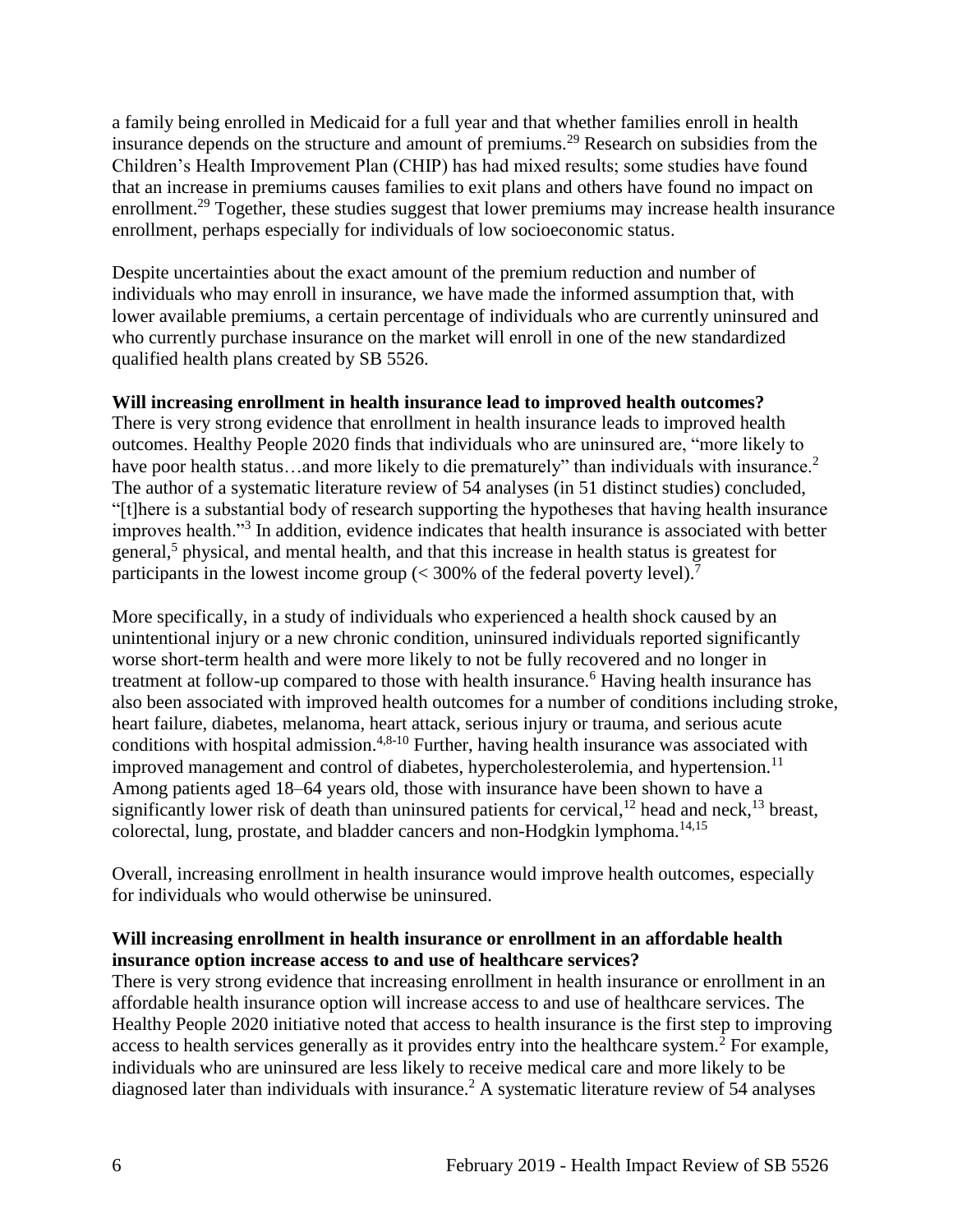a family being enrolled in Medicaid for a full year and that whether families enroll in health insurance depends on the structure and amount of premiums.<sup>29</sup> Research on subsidies from the Children's Health Improvement Plan (CHIP) has had mixed results; some studies have found that an increase in premiums causes families to exit plans and others have found no impact on enrollment.<sup>29</sup> Together, these studies suggest that lower premiums may increase health insurance enrollment, perhaps especially for individuals of low socioeconomic status.

Despite uncertainties about the exact amount of the premium reduction and number of individuals who may enroll in insurance, we have made the informed assumption that, with lower available premiums, a certain percentage of individuals who are currently uninsured and who currently purchase insurance on the market will enroll in one of the new standardized qualified health plans created by SB 5526.

### **Will increasing enrollment in health insurance lead to improved health outcomes?**

There is very strong evidence that enrollment in health insurance leads to improved health outcomes. Healthy People 2020 finds that individuals who are uninsured are, "more likely to have poor health status...and more likely to die prematurely" than individuals with insurance.<sup>2</sup> The author of a systematic literature review of 54 analyses (in 51 distinct studies) concluded, "[t]here is a substantial body of research supporting the hypotheses that having health insurance improves health."<sup>3</sup> In addition, evidence indicates that health insurance is associated with better general,<sup>5</sup> physical, and mental health, and that this increase in health status is greatest for participants in the lowest income group  $(< 300\%$  of the federal poverty level).<sup>7</sup>

More specifically, in a study of individuals who experienced a health shock caused by an unintentional injury or a new chronic condition, uninsured individuals reported significantly worse short-term health and were more likely to not be fully recovered and no longer in treatment at follow-up compared to those with health insurance.<sup>6</sup> Having health insurance has also been associated with improved health outcomes for a number of conditions including stroke, heart failure, diabetes, melanoma, heart attack, serious injury or trauma, and serious acute conditions with hospital admission.<sup>[4](#page-16-1)[,8-10](#page-18-0)</sup> Further, having health insurance was associated with improved management and control of diabetes, hypercholesterolemia, and hypertension.<sup>11</sup> Among patients aged 18–64 years old, those with insurance have been shown to have a significantly lower risk of death than uninsured patients for cervical,<sup>12</sup> head and neck,<sup>13</sup> breast, colorectal, lung, prostate, and bladder cancers and non-Hodgkin lymphoma.<sup>[14,](#page-21-0)[15](#page-21-1)</sup>

Overall, increasing enrollment in health insurance would improve health outcomes, especially for individuals who would otherwise be uninsured.

### **Will increasing enrollment in health insurance or enrollment in an affordable health insurance option increase access to and use of healthcare services?**

There is very strong evidence that increasing enrollment in health insurance or enrollment in an affordable health insurance option will increase access to and use of healthcare services. The Healthy People 2020 initiative noted that access to health insurance is the first step to improving access to health services generally as it provides entry into the healthcare system.<sup>2</sup> For example, individuals who are uninsured are less likely to receive medical care and more likely to be diagnosed later than individuals with insurance.<sup>2</sup> A systematic literature review of 54 analyses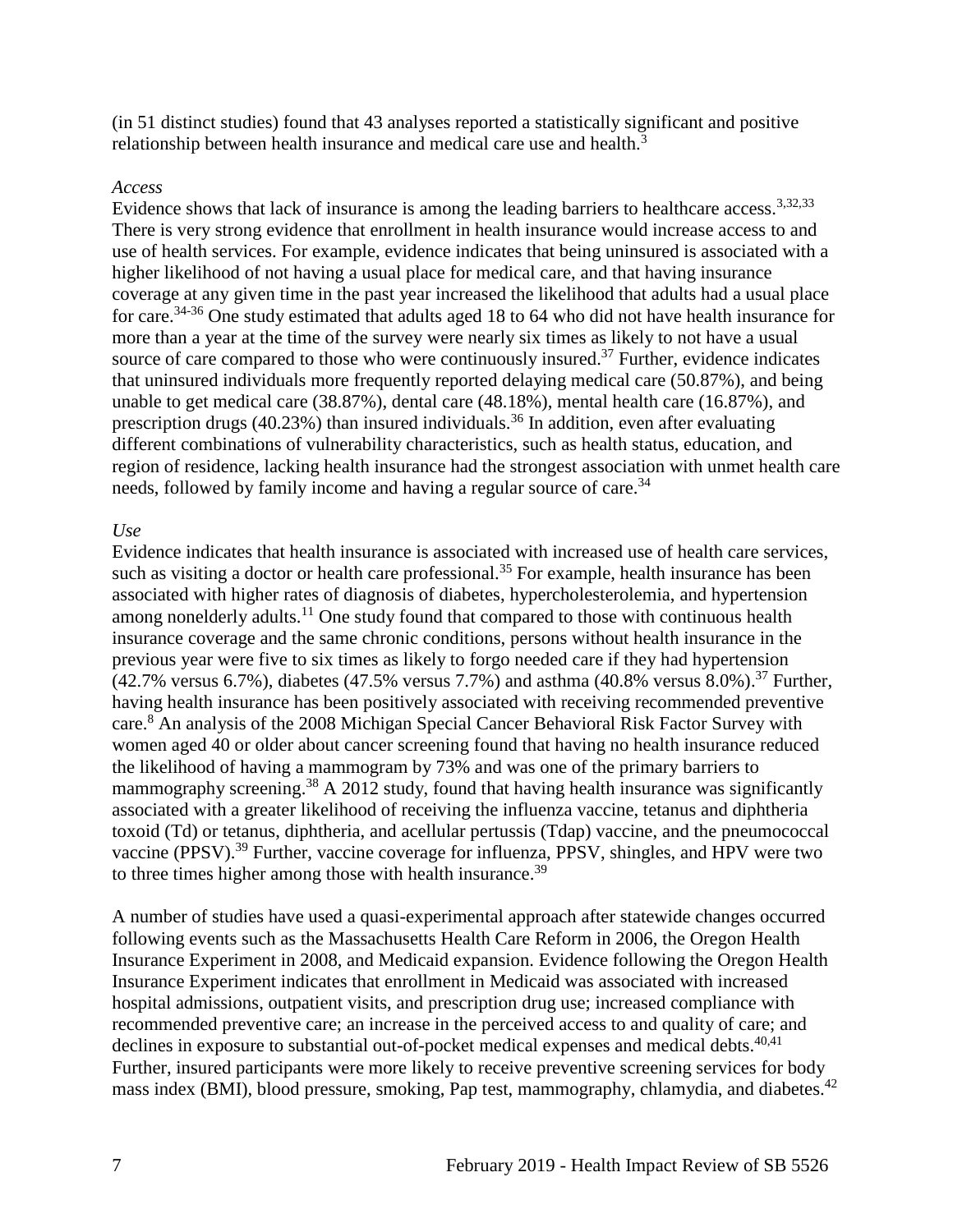(in 51 distinct studies) found that 43 analyses reported a statistically significant and positive relationship between health insurance and medical care use and health.<sup>3</sup>

### *Access*

Evidence shows that lack of insurance is among the leading barriers to healthcare access.<sup>[3](#page-16-0)[,32](#page-27-0)[,33](#page-27-1)</sup> There is very strong evidence that enrollment in health insurance would increase access to and use of health services. For example, evidence indicates that being uninsured is associated with a higher likelihood of not having a usual place for medical care, and that having insurance coverage at any given time in the past year increased the likelihood that adults had a usual place for care.34-36 One study estimated that adults aged 18 to 64 who did not have health insurance for more than a year at the time of the survey were nearly six times as likely to not have a usual source of care compared to those who were continuously insured.<sup>37</sup> Further, evidence indicates that uninsured individuals more frequently reported delaying medical care (50.87%), and being unable to get medical care (38.87%), dental care (48.18%), mental health care (16.87%), and prescription drugs (40.23%) than insured individuals.<sup>36</sup> In addition, even after evaluating different combinations of vulnerability characteristics, such as health status, education, and region of residence, lacking health insurance had the strongest association with unmet health care needs, followed by family income and having a regular source of care.<sup>34</sup>

### *Use*

Evidence indicates that health insurance is associated with increased use of health care services, such as visiting a doctor or health care professional.<sup>35</sup> For example, health insurance has been associated with higher rates of diagnosis of diabetes, hypercholesterolemia, and hypertension among nonelderly adults.<sup>11</sup> One study found that compared to those with continuous health insurance coverage and the same chronic conditions, persons without health insurance in the previous year were five to six times as likely to forgo needed care if they had hypertension  $(42.7\% \text{ versus } 6.7\%)$ , diabetes  $(47.5\% \text{ versus } 7.7\%)$  and asthma  $(40.8\% \text{ versus } 8.0\%)$ .<sup>37</sup> Further, having health insurance has been positively associated with receiving recommended preventive care.<sup>8</sup> An analysis of the 2008 Michigan Special Cancer Behavioral Risk Factor Survey with women aged 40 or older about cancer screening found that having no health insurance reduced the likelihood of having a mammogram by 73% and was one of the primary barriers to mammography screening.<sup>38</sup> A 2012 study, found that having health insurance was significantly associated with a greater likelihood of receiving the influenza vaccine, tetanus and diphtheria toxoid (Td) or tetanus, diphtheria, and acellular pertussis (Tdap) vaccine, and the pneumococcal vaccine (PPSV).<sup>39</sup> Further, vaccine coverage for influenza, PPSV, shingles, and HPV were two to three times higher among those with health insurance.<sup>39</sup>

A number of studies have used a quasi-experimental approach after statewide changes occurred following events such as the Massachusetts Health Care Reform in 2006, the Oregon Health Insurance Experiment in 2008, and Medicaid expansion. Evidence following the Oregon Health Insurance Experiment indicates that enrollment in Medicaid was associated with increased hospital admissions, outpatient visits, and prescription drug use; increased compliance with recommended preventive care; an increase in the perceived access to and quality of care; and declines in exposure to substantial out-of-pocket medical expenses and medical debts.<sup>[40](#page-30-0)[,41](#page-31-0)</sup> Further, insured participants were more likely to receive preventive screening services for body mass index (BMI), blood pressure, smoking, Pap test, mammography, chlamydia, and diabetes.<sup>42</sup>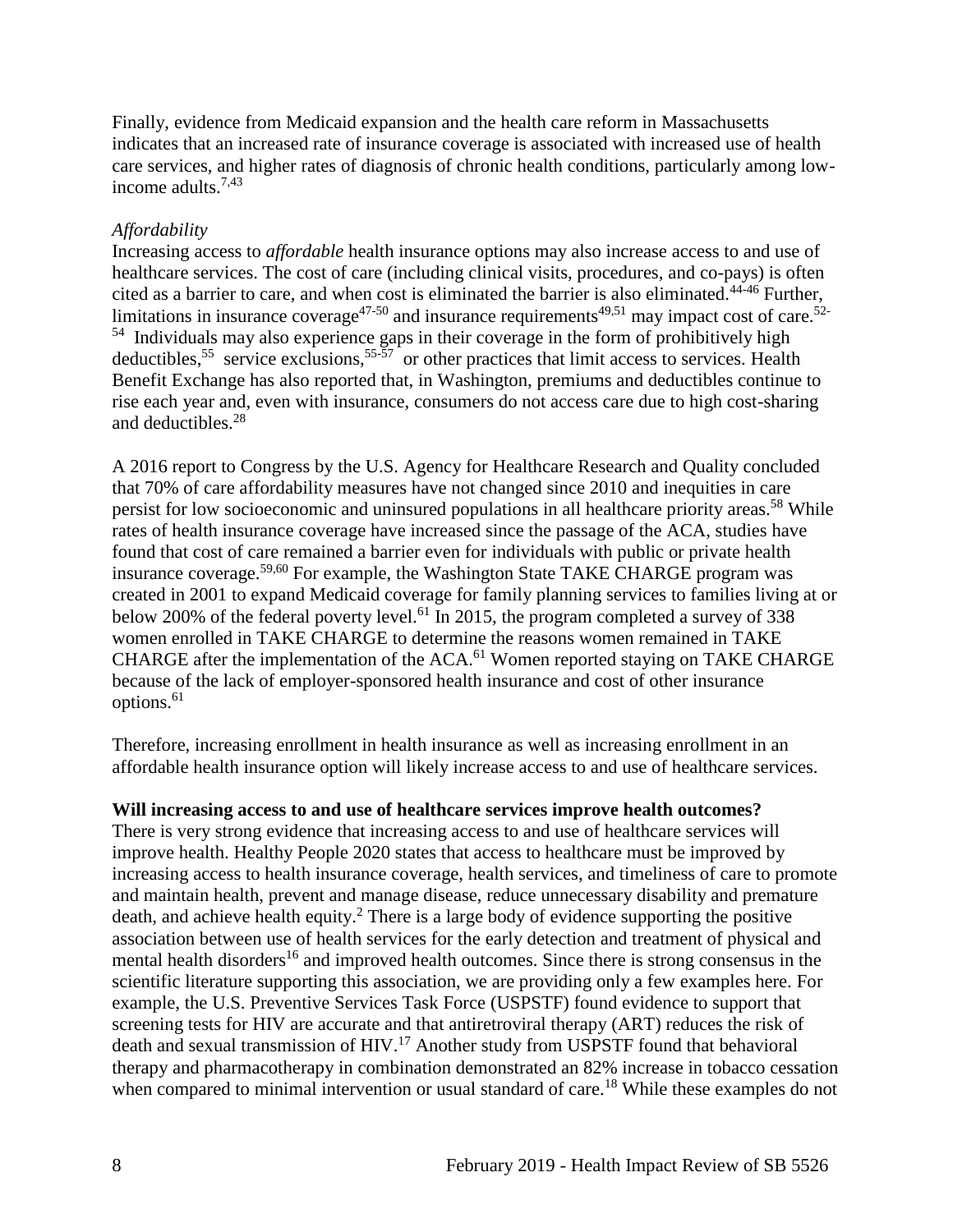Finally, evidence from Medicaid expansion and the health care reform in Massachusetts indicates that an increased rate of insurance coverage is associated with increased use of health care services, and higher rates of diagnosis of chronic health conditions, particularly among lowincome adults.[7](#page-18-1)[,43](#page-32-0)

### *Affordability*

Increasing access to *affordable* health insurance options may also increase access to and use of healthcare services. The cost of care (including clinical visits, procedures, and co-pays) is often cited as a barrier to care, and when cost is eliminated the barrier is also eliminated.<sup>44-46</sup> Further, limitations in insurance coverage<sup>47-50</sup> and insurance requirements<sup>[49,](#page-34-0)[51](#page-35-0)</sup> may impact cost of care.<sup>52-</sup> <sup>54</sup> Individuals may also experience gaps in their coverage in the form of prohibitively high deductibles,<sup>55</sup> service exclusions,<sup>55-57</sup> or other practices that limit access to services. Health Benefit Exchange has also reported that, in Washington, premiums and deductibles continue to rise each year and, even with insurance, consumers do not access care due to high cost-sharing and deductibles.<sup>28</sup>

A 2016 report to Congress by the U.S. Agency for Healthcare Research and Quality concluded that 70% of care affordability measures have not changed since 2010 and inequities in care persist for low socioeconomic and uninsured populations in all healthcare priority areas.<sup>58</sup> While rates of health insurance coverage have increased since the passage of the ACA, studies have found that cost of care remained a barrier even for individuals with public or private health insurance coverage.<sup>[59,](#page-41-0)[60](#page-41-1)</sup> For example, the Washington State TAKE CHARGE program was created in 2001 to expand Medicaid coverage for family planning services to families living at or below 200% of the federal poverty level.<sup>61</sup> In 2015, the program completed a survey of 338 women enrolled in TAKE CHARGE to determine the reasons women remained in TAKE CHARGE after the implementation of the ACA.<sup>61</sup> Women reported staying on TAKE CHARGE because of the lack of employer-sponsored health insurance and cost of other insurance options.<sup>61</sup>

Therefore, increasing enrollment in health insurance as well as increasing enrollment in an affordable health insurance option will likely increase access to and use of healthcare services.

#### **Will increasing access to and use of healthcare services improve health outcomes?**

There is very strong evidence that increasing access to and use of healthcare services will improve health. Healthy People 2020 states that access to healthcare must be improved by increasing access to health insurance coverage, health services, and timeliness of care to promote and maintain health, prevent and manage disease, reduce unnecessary disability and premature death, and achieve health equity.<sup>2</sup> There is a large body of evidence supporting the positive association between use of health services for the early detection and treatment of physical and mental health disorders<sup>16</sup> and improved health outcomes. Since there is strong consensus in the scientific literature supporting this association, we are providing only a few examples here. For example, the U.S. Preventive Services Task Force (USPSTF) found evidence to support that screening tests for HIV are accurate and that antiretroviral therapy (ART) reduces the risk of death and sexual transmission of HIV.<sup>17</sup> Another study from USPSTF found that behavioral therapy and pharmacotherapy in combination demonstrated an 82% increase in tobacco cessation when compared to minimal intervention or usual standard of care.<sup>18</sup> While these examples do not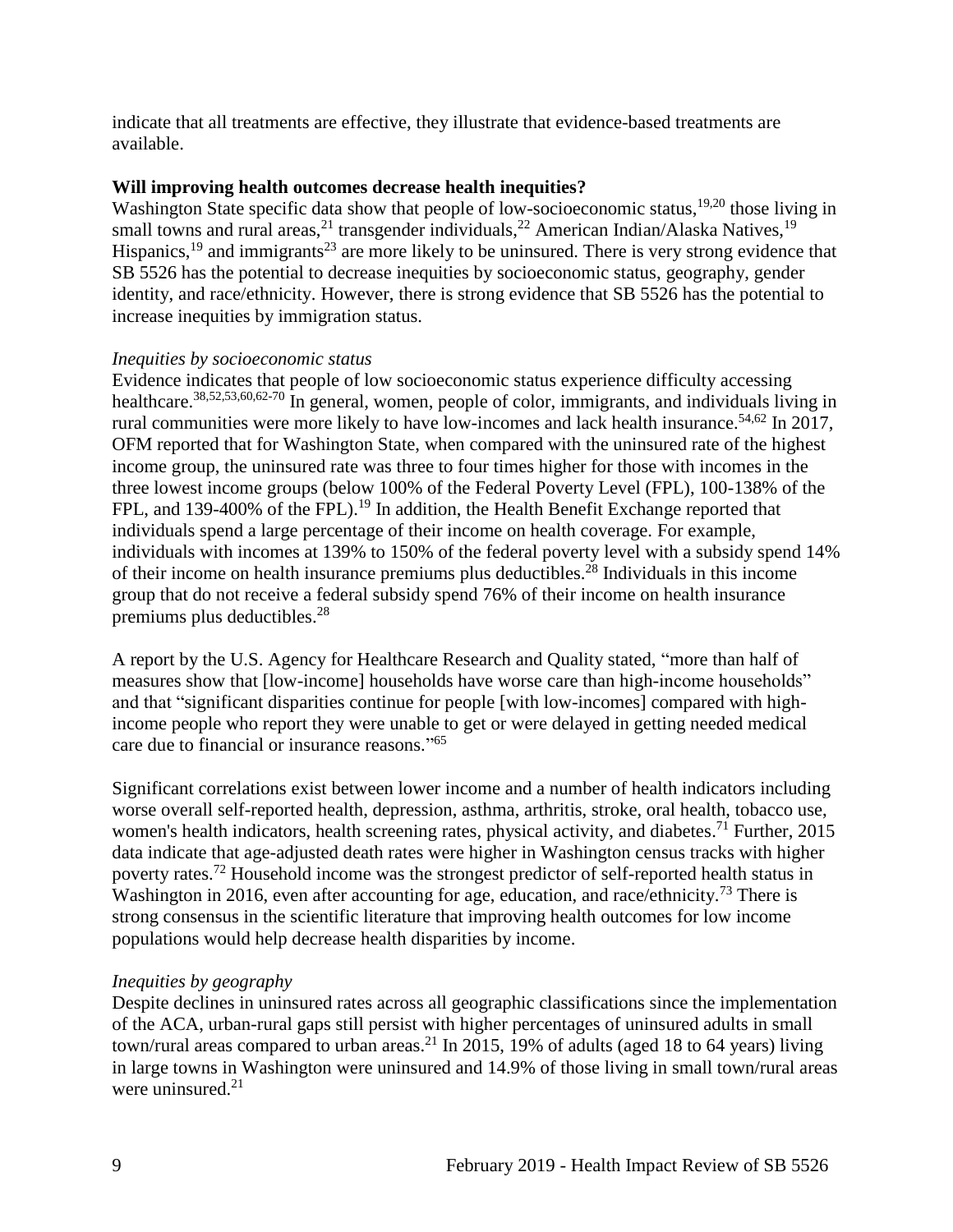indicate that all treatments are effective, they illustrate that evidence-based treatments are available.

#### **Will improving health outcomes decrease health inequities?**

Washington State specific data show that people of low-socioeconomic status,<sup>[19](#page-23-0)[,20](#page-23-1)</sup> those living in small towns and rural areas,<sup>21</sup> transgender individuals,<sup>22</sup> American Indian/Alaska Natives,<sup>19</sup> Hispanics,  $19$  and immigrants<sup>23</sup> are more likely to be uninsured. There is very strong evidence that SB 5526 has the potential to decrease inequities by socioeconomic status, geography, gender identity, and race/ethnicity. However, there is strong evidence that SB 5526 has the potential to increase inequities by immigration status.

#### *Inequities by socioeconomic status*

Evidence indicates that people of low socioeconomic status experience difficulty accessing healthcare.<sup>[38,](#page-30-1)[52,](#page-36-0)[53,](#page-36-1)[60,](#page-41-1)[62-70](#page-42-0)</sup> In general, women, people of color, immigrants, and individuals living in rural communities were more likely to have low-incomes and lack health insurance.<sup>[54,](#page-37-0)[62](#page-42-0)</sup> In 2017, OFM reported that for Washington State, when compared with the uninsured rate of the highest income group, the uninsured rate was three to four times higher for those with incomes in the three lowest income groups (below 100% of the Federal Poverty Level (FPL), 100-138% of the FPL, and 139-400% of the FPL).<sup>19</sup> In addition, the Health Benefit Exchange reported that individuals spend a large percentage of their income on health coverage. For example, individuals with incomes at 139% to 150% of the federal poverty level with a subsidy spend 14% of their income on health insurance premiums plus deductibles.<sup>28</sup> Individuals in this income group that do not receive a federal subsidy spend 76% of their income on health insurance premiums plus deductibles. 28

A report by the U.S. Agency for Healthcare Research and Quality stated, "more than half of measures show that [low-income] households have worse care than high-income households" and that "significant disparities continue for people [with low-incomes] compared with highincome people who report they were unable to get or were delayed in getting needed medical care due to financial or insurance reasons." 65

Significant correlations exist between lower income and a number of health indicators including worse overall self-reported health, depression, asthma, arthritis, stroke, oral health, tobacco use, women's health indicators, health screening rates, physical activity, and diabetes.<sup>71</sup> Further, 2015 data indicate that age-adjusted death rates were higher in Washington census tracks with higher poverty rates.<sup>72</sup> Household income was the strongest predictor of self-reported health status in Washington in 2016, even after accounting for age, education, and race/ethnicity.<sup>73</sup> There is strong consensus in the scientific literature that improving health outcomes for low income populations would help decrease health disparities by income.

#### *Inequities by geography*

Despite declines in uninsured rates across all geographic classifications since the implementation of the ACA, urban-rural gaps still persist with higher percentages of uninsured adults in small town/rural areas compared to urban areas.<sup>21</sup> In 2015, 19% of adults (aged 18 to 64 years) living in large towns in Washington were uninsured and 14.9% of those living in small town/rural areas were uninsured. $21$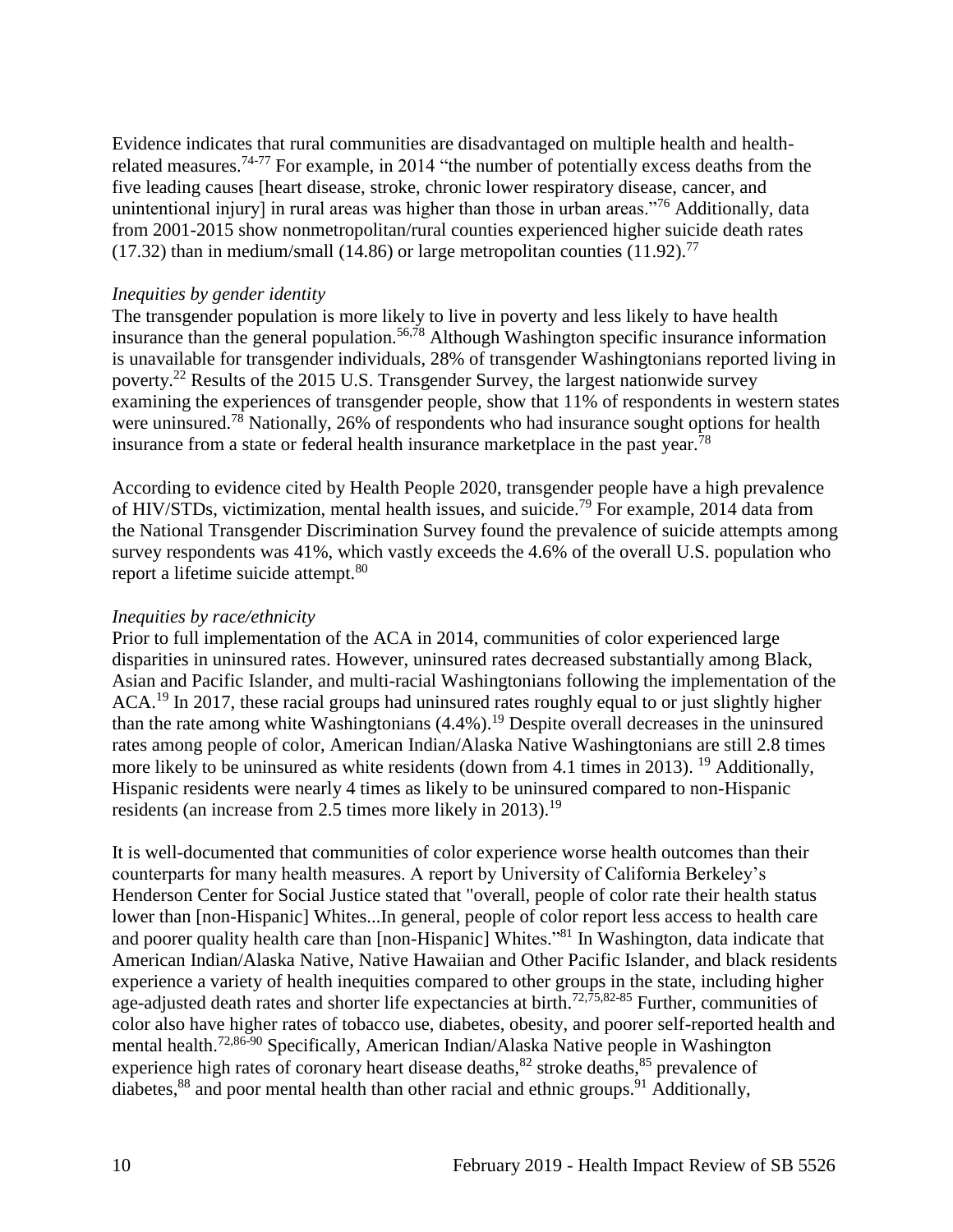Evidence indicates that rural communities are disadvantaged on multiple health and healthrelated measures.<sup>74-77</sup> For example, in 2014 "the number of potentially excess deaths from the five leading causes [heart disease, stroke, chronic lower respiratory disease, cancer, and unintentional injury] in rural areas was higher than those in urban areas."<sup>76</sup> Additionally, data from 2001-2015 show nonmetropolitan/rural counties experienced higher suicide death rates (17.32) than in medium/small (14.86) or large metropolitan counties (11.92).<sup>77</sup>

#### *Inequities by gender identity*

The transgender population is more likely to live in poverty and less likely to have health insurance than the general population.<sup>[56](#page-38-0)[,78](#page-49-0)</sup> Although Washington specific insurance information is unavailable for transgender individuals, 28% of transgender Washingtonians reported living in poverty.<sup>22</sup> Results of the 2015 U.S. Transgender Survey, the largest nationwide survey examining the experiences of transgender people, show that 11% of respondents in western states were uninsured.<sup>78</sup> Nationally, 26% of respondents who had insurance sought options for health insurance from a state or federal health insurance marketplace in the past year.<sup>78</sup>

According to evidence cited by Health People 2020, transgender people have a high prevalence of HIV/STDs, victimization, mental health issues, and suicide.<sup>79</sup> For example, 2014 data from the National Transgender Discrimination Survey found the prevalence of suicide attempts among survey respondents was 41%, which vastly exceeds the 4.6% of the overall U.S. population who report a lifetime suicide attempt.<sup>80</sup>

#### *Inequities by race/ethnicity*

Prior to full implementation of the ACA in 2014, communities of color experienced large disparities in uninsured rates. However, uninsured rates decreased substantially among Black, Asian and Pacific Islander, and multi-racial Washingtonians following the implementation of the ACA.<sup>19</sup> In 2017, these racial groups had uninsured rates roughly equal to or just slightly higher than the rate among white Washingtonians  $(4.4\%)$ .<sup>19</sup> Despite overall decreases in the uninsured rates among people of color, American Indian/Alaska Native Washingtonians are still 2.8 times more likely to be uninsured as white residents (down from 4.1 times in 2013). <sup>19</sup> Additionally, Hispanic residents were nearly 4 times as likely to be uninsured compared to non-Hispanic residents (an increase from 2.5 times more likely in 2013).<sup>19</sup>

It is well-documented that communities of color experience worse health outcomes than their counterparts for many health measures. A report by University of California Berkeley's Henderson Center for Social Justice stated that "overall, people of color rate their health status lower than [non-Hispanic] Whites...In general, people of color report less access to health care and poorer quality health care than [non-Hispanic] Whites."<sup>81</sup> In Washington, data indicate that American Indian/Alaska Native, Native Hawaiian and Other Pacific Islander, and black residents experience a variety of health inequities compared to other groups in the state, including higher age-adjusted death rates and shorter life expectancies at birth.<sup>[72,](#page-47-0)[75,](#page-48-0)[82-85](#page-50-0)</sup> Further, communities of color also have higher rates of tobacco use, diabetes, obesity, and poorer self-reported health and mental health.[72](#page-47-0)[,86-90](#page-51-0) Specifically, American Indian/Alaska Native people in Washington experience high rates of coronary heart disease deaths,  $82$  stroke deaths,  $85$  prevalence of diabetes, $88$  and poor mental health than other racial and ethnic groups.<sup>91</sup> Additionally,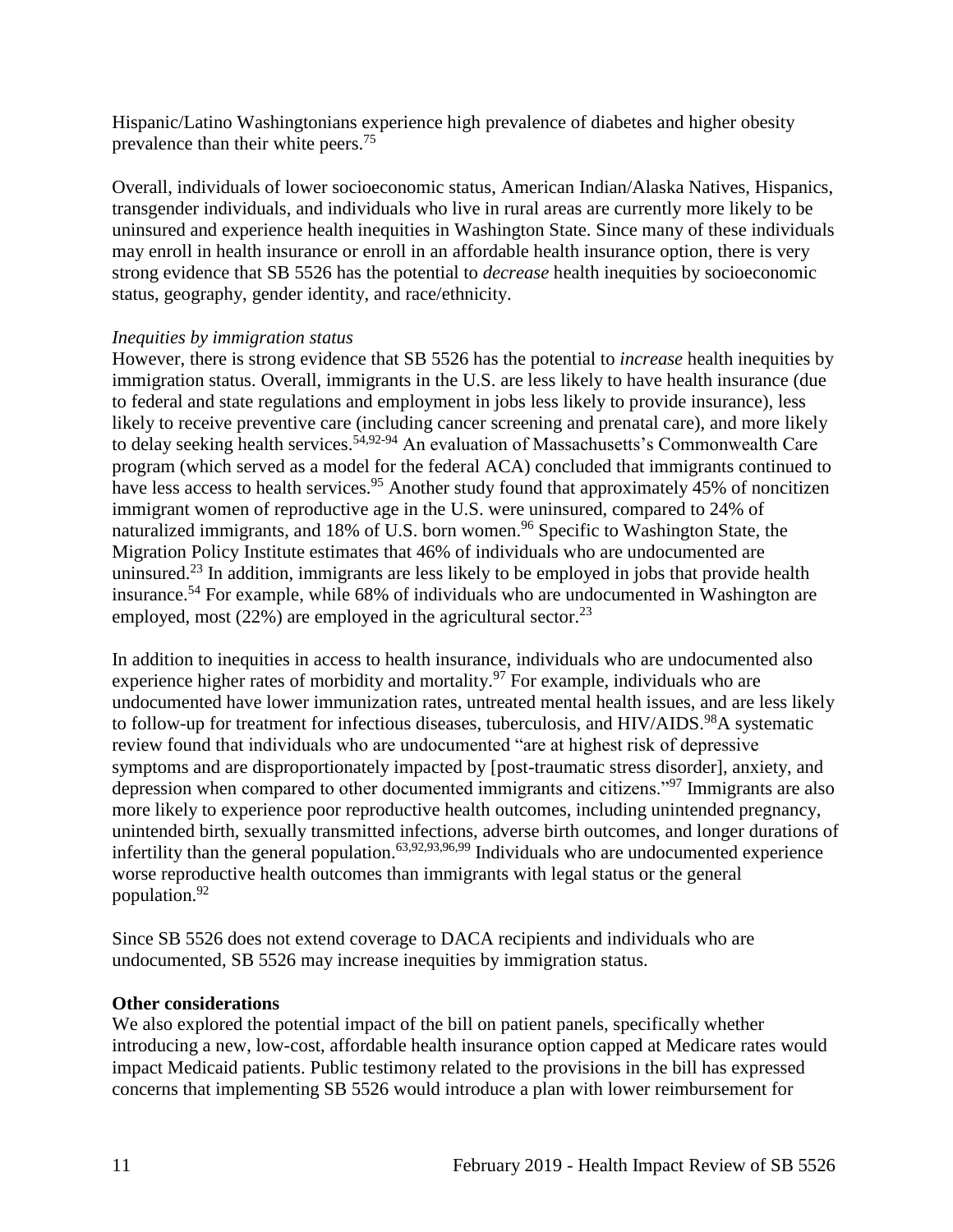Hispanic/Latino Washingtonians experience high prevalence of diabetes and higher obesity prevalence than their white peers.<sup>75</sup>

Overall, individuals of lower socioeconomic status, American Indian/Alaska Natives, Hispanics, transgender individuals, and individuals who live in rural areas are currently more likely to be uninsured and experience health inequities in Washington State. Since many of these individuals may enroll in health insurance or enroll in an affordable health insurance option, there is very strong evidence that SB 5526 has the potential to *decrease* health inequities by socioeconomic status, geography, gender identity, and race/ethnicity.

#### *Inequities by immigration status*

However, there is strong evidence that SB 5526 has the potential to *increase* health inequities by immigration status. Overall, immigrants in the U.S. are less likely to have health insurance (due to federal and state regulations and employment in jobs less likely to provide insurance), less likely to receive preventive care (including cancer screening and prenatal care), and more likely to delay seeking health services.<sup>[54](#page-37-0)[,92-94](#page-52-0)</sup> An evaluation of Massachusetts's Commonwealth Care program (which served as a model for the federal ACA) concluded that immigrants continued to have less access to health services.<sup>95</sup> Another study found that approximately 45% of noncitizen immigrant women of reproductive age in the U.S. were uninsured, compared to 24% of naturalized immigrants, and 18% of U.S. born women.<sup>96</sup> Specific to Washington State, the Migration Policy Institute estimates that 46% of individuals who are undocumented are uninsured.<sup>23</sup> In addition, immigrants are less likely to be employed in jobs that provide health insurance.<sup>54</sup> For example, while 68% of individuals who are undocumented in Washington are employed, most  $(22%)$  are employed in the agricultural sector.<sup>23</sup>

In addition to inequities in access to health insurance, individuals who are undocumented also experience higher rates of morbidity and mortality.<sup>97</sup> For example, individuals who are undocumented have lower immunization rates, untreated mental health issues, and are less likely to follow-up for treatment for infectious diseases, tuberculosis, and HIV/AIDS.<sup>98</sup>A systematic review found that individuals who are undocumented "are at highest risk of depressive symptoms and are disproportionately impacted by [post-traumatic stress disorder], anxiety, and depression when compared to other documented immigrants and citizens."<sup>97</sup> Immigrants are also more likely to experience poor reproductive health outcomes, including unintended pregnancy, unintended birth, sexually transmitted infections, adverse birth outcomes, and longer durations of infertility than the general population.<sup>[63,](#page-42-1)[92,](#page-52-0)[93,](#page-52-1)[96,](#page-54-0)[99](#page-56-0)</sup> Individuals who are undocumented experience worse reproductive health outcomes than immigrants with legal status or the general population.<sup>92</sup>

Since SB 5526 does not extend coverage to DACA recipients and individuals who are undocumented, SB 5526 may increase inequities by immigration status.

### **Other considerations**

<span id="page-13-0"></span>We also explored the potential impact of the bill on patient panels, specifically whether introducing a new, low-cost, affordable health insurance option capped at Medicare rates would impact Medicaid patients. Public testimony related to the provisions in the bill has expressed concerns that implementing SB 5526 would introduce a plan with lower reimbursement for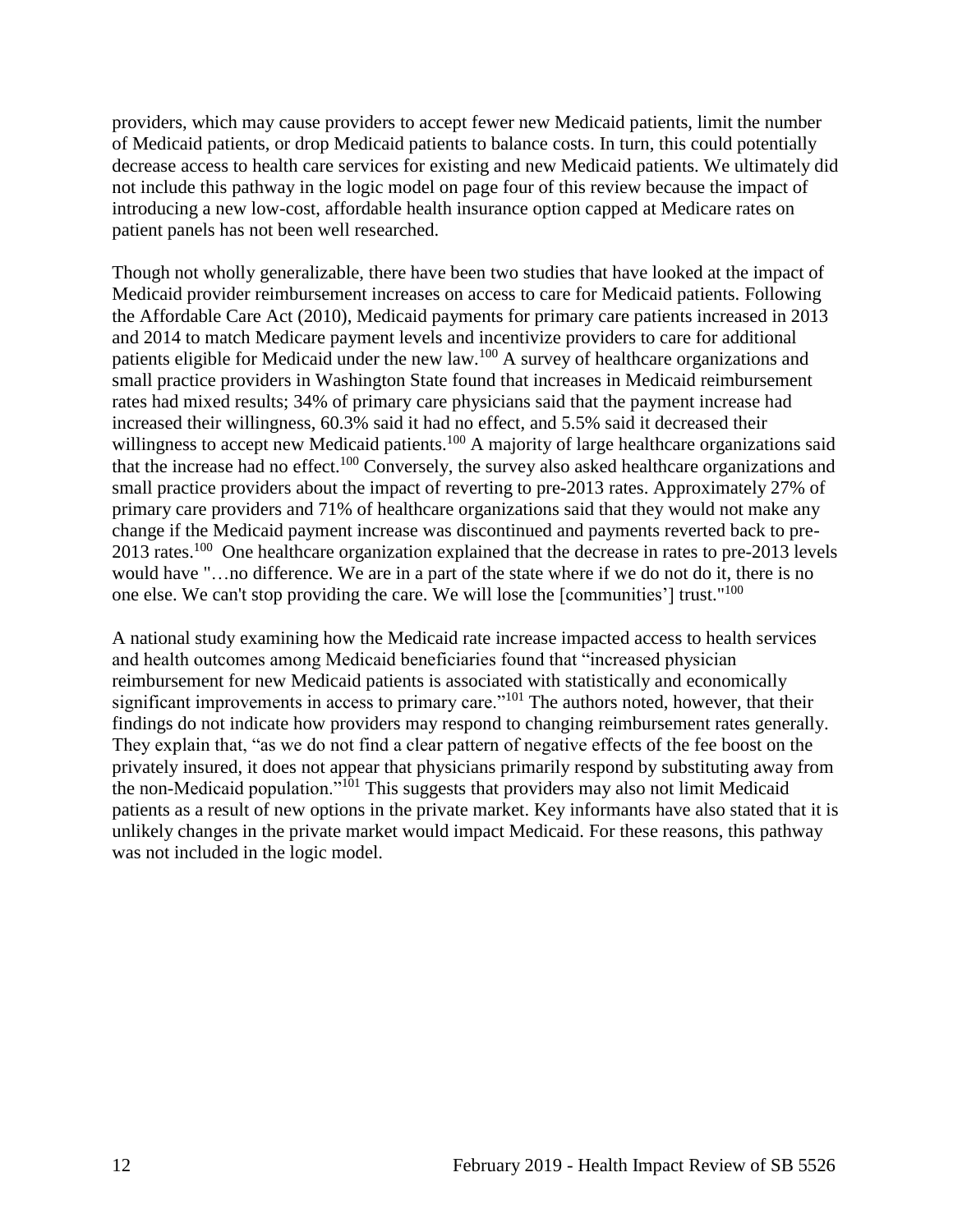providers, which may cause providers to accept fewer new Medicaid patients, limit the number of Medicaid patients, or drop Medicaid patients to balance costs. In turn, this could potentially decrease access to health care services for existing and new Medicaid patients. We ultimately did not include this pathway in the logic model on page four of this review because the impact of introducing a new low-cost, affordable health insurance option capped at Medicare rates on patient panels has not been well researched.

Though not wholly generalizable, there have been two studies that have looked at the impact of Medicaid provider reimbursement increases on access to care for Medicaid patients. Following the Affordable Care Act (2010), Medicaid payments for primary care patients increased in 2013 and 2014 to match Medicare payment levels and incentivize providers to care for additional patients eligible for Medicaid under the new law.<sup>100</sup> A survey of healthcare organizations and small practice providers in Washington State found that increases in Medicaid reimbursement rates had mixed results; 34% of primary care physicians said that the payment increase had increased their willingness, 60.3% said it had no effect, and 5.5% said it decreased their willingness to accept new Medicaid patients.<sup>100</sup> A majority of large healthcare organizations said that the increase had no effect.<sup>100</sup> Conversely, the survey also asked healthcare organizations and small practice providers about the impact of reverting to pre-2013 rates. Approximately 27% of primary care providers and 71% of healthcare organizations said that they would not make any change if the Medicaid payment increase was discontinued and payments reverted back to pre-2013 rates.<sup>100</sup> One healthcare organization explained that the decrease in rates to pre-2013 levels would have "…no difference. We are in a part of the state where if we do not do it, there is no one else. We can't stop providing the care. We will lose the [communities'] trust."<sup>100</sup>

A national study examining how the Medicaid rate increase impacted access to health services and health outcomes among Medicaid beneficiaries found that "increased physician reimbursement for new Medicaid patients is associated with statistically and economically significant improvements in access to primary care."<sup>101</sup> The authors noted, however, that their findings do not indicate how providers may respond to changing reimbursement rates generally. They explain that, "as we do not find a clear pattern of negative effects of the fee boost on the privately insured, it does not appear that physicians primarily respond by substituting away from the non-Medicaid population."<sup>101</sup> This suggests that providers may also not limit Medicaid patients as a result of new options in the private market. Key informants have also stated that it is unlikely changes in the private market would impact Medicaid. For these reasons, this pathway was not included in the logic model.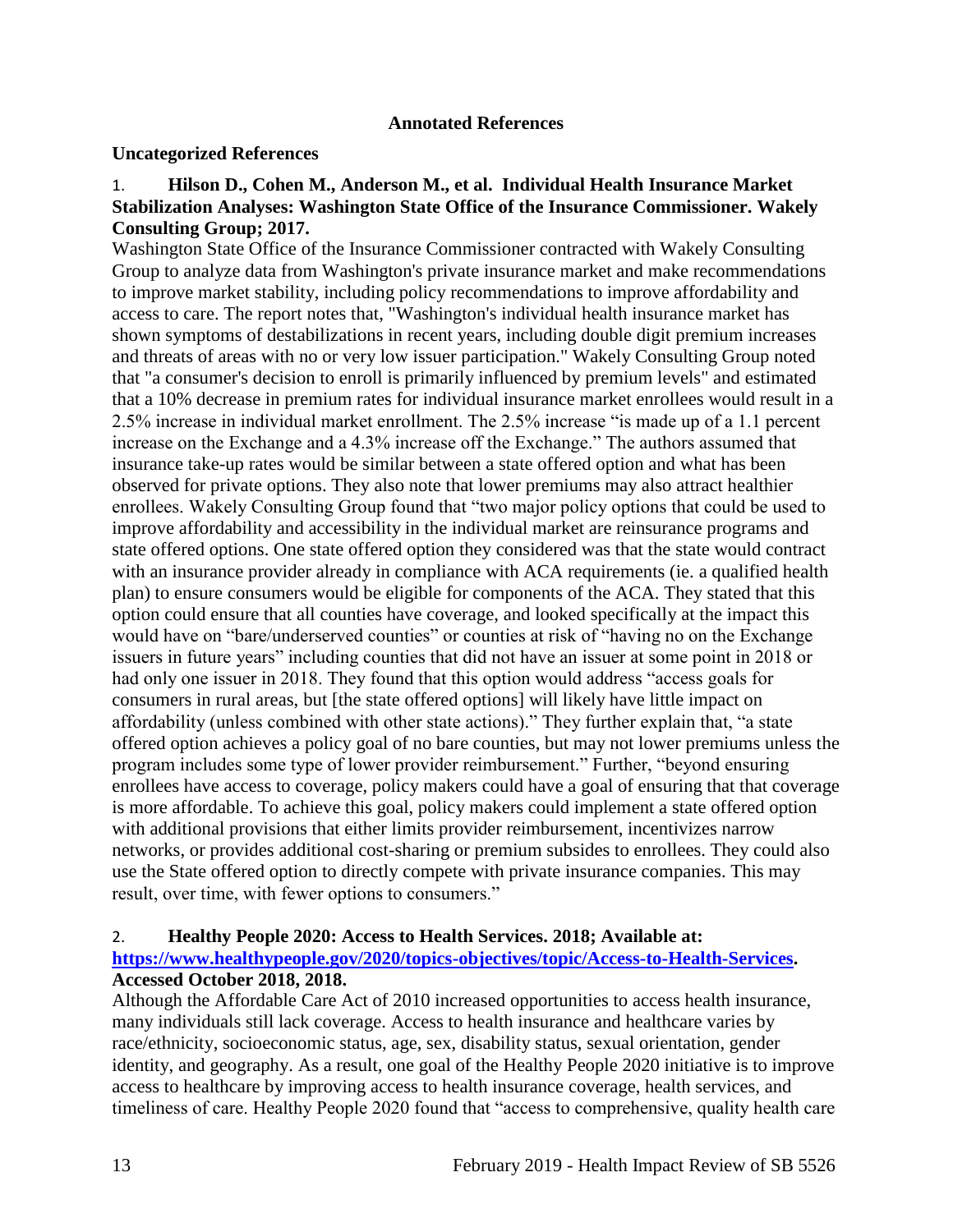#### **Annotated References**

#### **Uncategorized References**

### 1. **Hilson D., Cohen M., Anderson M., et al. Individual Health Insurance Market Stabilization Analyses: Washington State Office of the Insurance Commissioner. Wakely Consulting Group; 2017.**

Washington State Office of the Insurance Commissioner contracted with Wakely Consulting Group to analyze data from Washington's private insurance market and make recommendations to improve market stability, including policy recommendations to improve affordability and access to care. The report notes that, "Washington's individual health insurance market has shown symptoms of destabilizations in recent years, including double digit premium increases and threats of areas with no or very low issuer participation." Wakely Consulting Group noted that "a consumer's decision to enroll is primarily influenced by premium levels" and estimated that a 10% decrease in premium rates for individual insurance market enrollees would result in a 2.5% increase in individual market enrollment. The 2.5% increase "is made up of a 1.1 percent increase on the Exchange and a 4.3% increase off the Exchange." The authors assumed that insurance take-up rates would be similar between a state offered option and what has been observed for private options. They also note that lower premiums may also attract healthier enrollees. Wakely Consulting Group found that "two major policy options that could be used to improve affordability and accessibility in the individual market are reinsurance programs and state offered options. One state offered option they considered was that the state would contract with an insurance provider already in compliance with ACA requirements (ie. a qualified health plan) to ensure consumers would be eligible for components of the ACA. They stated that this option could ensure that all counties have coverage, and looked specifically at the impact this would have on "bare/underserved counties" or counties at risk of "having no on the Exchange issuers in future years" including counties that did not have an issuer at some point in 2018 or had only one issuer in 2018. They found that this option would address "access goals for consumers in rural areas, but [the state offered options] will likely have little impact on affordability (unless combined with other state actions)." They further explain that, "a state offered option achieves a policy goal of no bare counties, but may not lower premiums unless the program includes some type of lower provider reimbursement." Further, "beyond ensuring enrollees have access to coverage, policy makers could have a goal of ensuring that that coverage is more affordable. To achieve this goal, policy makers could implement a state offered option with additional provisions that either limits provider reimbursement, incentivizes narrow networks, or provides additional cost-sharing or premium subsides to enrollees. They could also use the State offered option to directly compete with private insurance companies. This may result, over time, with fewer options to consumers."

#### <span id="page-15-0"></span>2. **Healthy People 2020: Access to Health Services. 2018; Available at:**

### **[https://www.healthypeople.gov/2020/topics-objectives/topic/Access-to-Health-Services.](https://www.healthypeople.gov/2020/topics-objectives/topic/Access-to-Health-Services) Accessed October 2018, 2018.**

Although the Affordable Care Act of 2010 increased opportunities to access health insurance, many individuals still lack coverage. Access to health insurance and healthcare varies by race/ethnicity, socioeconomic status, age, sex, disability status, sexual orientation, gender identity, and geography. As a result, one goal of the Healthy People 2020 initiative is to improve access to healthcare by improving access to health insurance coverage, health services, and timeliness of care. Healthy People 2020 found that "access to comprehensive, quality health care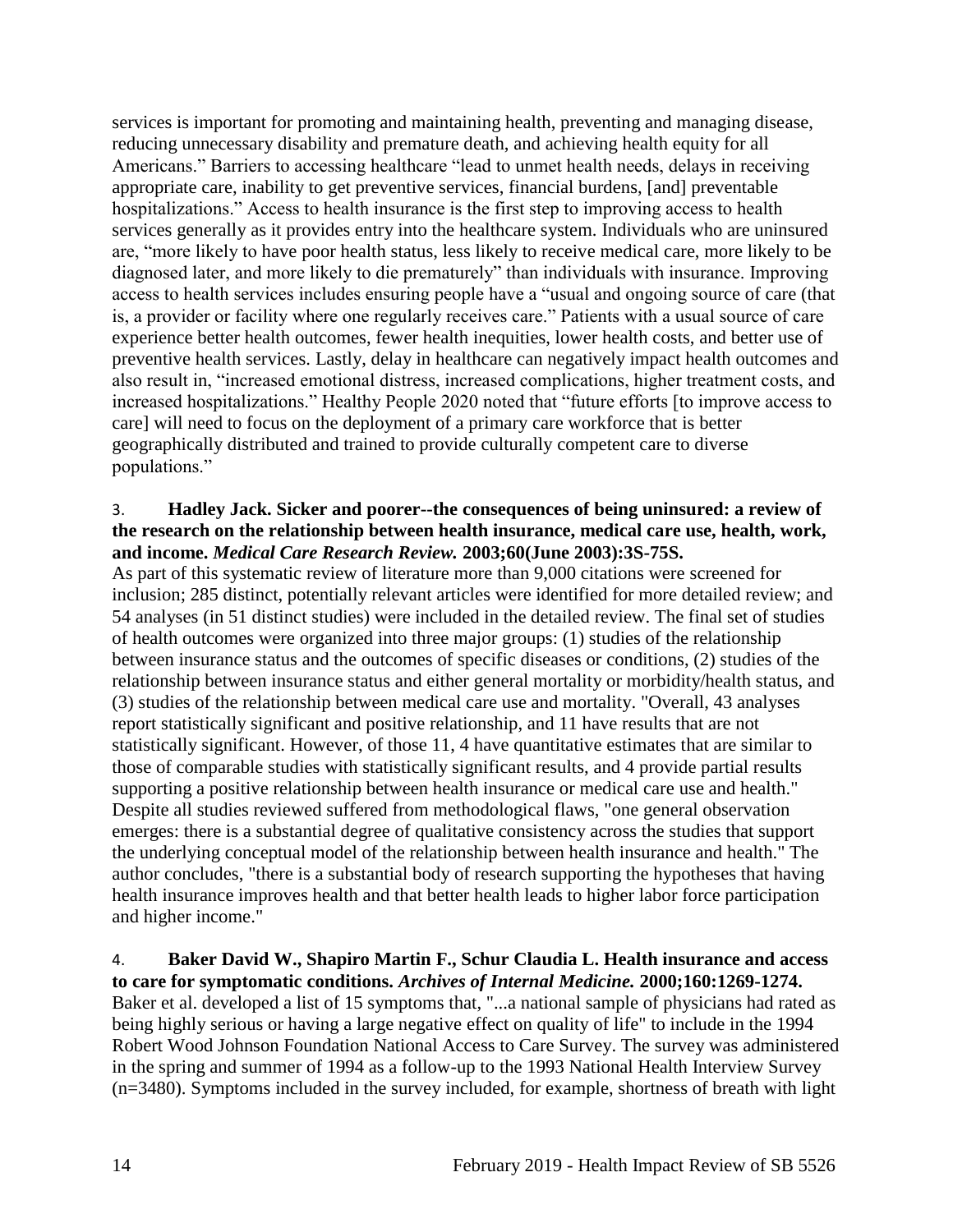services is important for promoting and maintaining health, preventing and managing disease, reducing unnecessary disability and premature death, and achieving health equity for all Americans." Barriers to accessing healthcare "lead to unmet health needs, delays in receiving appropriate care, inability to get preventive services, financial burdens, [and] preventable hospitalizations." Access to health insurance is the first step to improving access to health services generally as it provides entry into the healthcare system. Individuals who are uninsured are, "more likely to have poor health status, less likely to receive medical care, more likely to be diagnosed later, and more likely to die prematurely" than individuals with insurance. Improving access to health services includes ensuring people have a "usual and ongoing source of care (that is, a provider or facility where one regularly receives care." Patients with a usual source of care experience better health outcomes, fewer health inequities, lower health costs, and better use of preventive health services. Lastly, delay in healthcare can negatively impact health outcomes and also result in, "increased emotional distress, increased complications, higher treatment costs, and increased hospitalizations." Healthy People 2020 noted that "future efforts [to improve access to care] will need to focus on the deployment of a primary care workforce that is better geographically distributed and trained to provide culturally competent care to diverse populations."

### <span id="page-16-0"></span>3. **Hadley Jack. Sicker and poorer--the consequences of being uninsured: a review of the research on the relationship between health insurance, medical care use, health, work, and income.** *Medical Care Research Review.* **2003;60(June 2003):3S-75S.**

As part of this systematic review of literature more than 9,000 citations were screened for inclusion; 285 distinct, potentially relevant articles were identified for more detailed review; and 54 analyses (in 51 distinct studies) were included in the detailed review. The final set of studies of health outcomes were organized into three major groups: (1) studies of the relationship between insurance status and the outcomes of specific diseases or conditions, (2) studies of the relationship between insurance status and either general mortality or morbidity/health status, and (3) studies of the relationship between medical care use and mortality. "Overall, 43 analyses report statistically significant and positive relationship, and 11 have results that are not statistically significant. However, of those 11, 4 have quantitative estimates that are similar to those of comparable studies with statistically significant results, and 4 provide partial results supporting a positive relationship between health insurance or medical care use and health." Despite all studies reviewed suffered from methodological flaws, "one general observation emerges: there is a substantial degree of qualitative consistency across the studies that support the underlying conceptual model of the relationship between health insurance and health." The author concludes, "there is a substantial body of research supporting the hypotheses that having health insurance improves health and that better health leads to higher labor force participation and higher income."

#### <span id="page-16-1"></span>4. **Baker David W., Shapiro Martin F., Schur Claudia L. Health insurance and access to care for symptomatic conditions.** *Archives of Internal Medicine.* **2000;160:1269-1274.**

Baker et al. developed a list of 15 symptoms that, "...a national sample of physicians had rated as being highly serious or having a large negative effect on quality of life" to include in the 1994 Robert Wood Johnson Foundation National Access to Care Survey. The survey was administered in the spring and summer of 1994 as a follow-up to the 1993 National Health Interview Survey (n=3480). Symptoms included in the survey included, for example, shortness of breath with light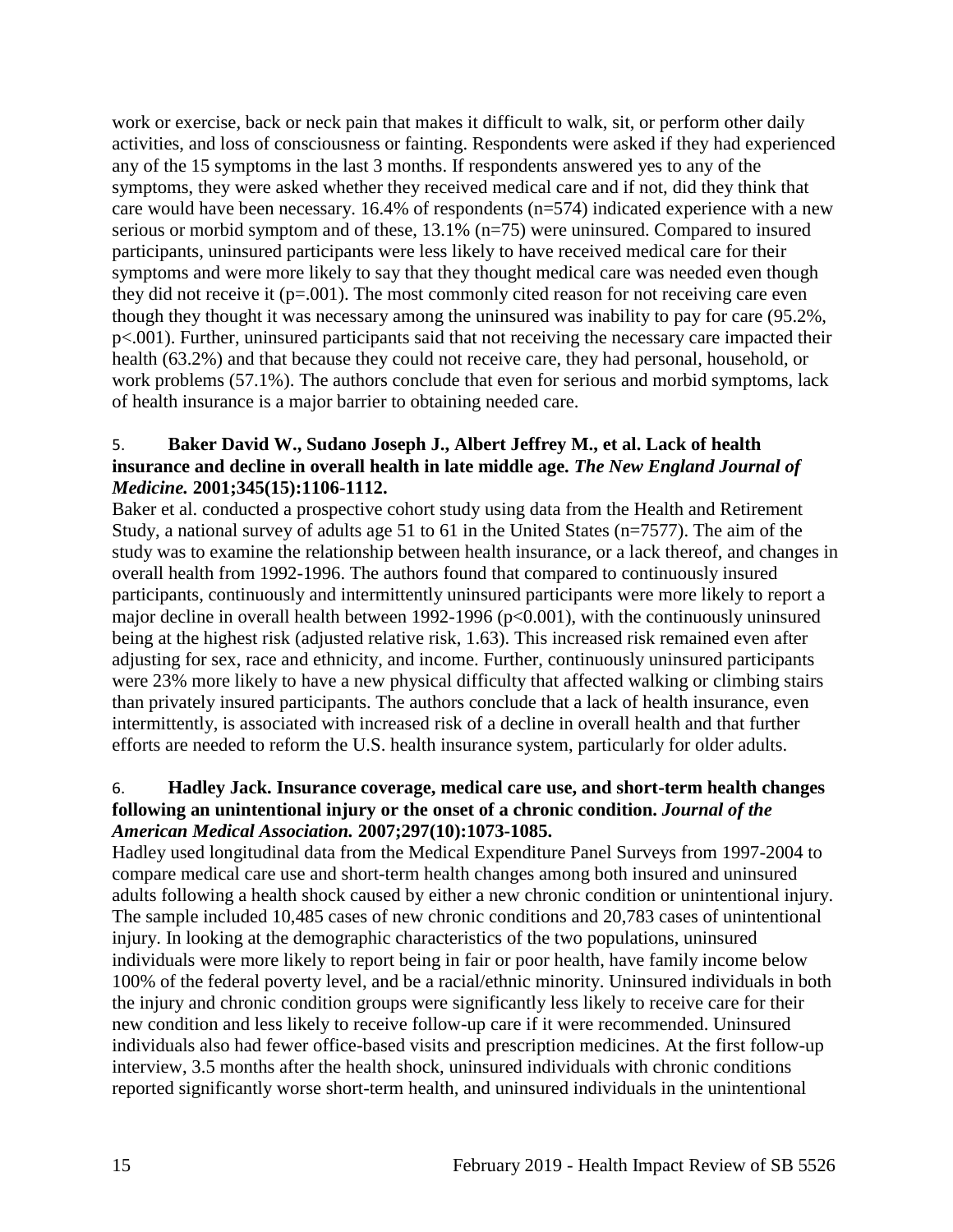work or exercise, back or neck pain that makes it difficult to walk, sit, or perform other daily activities, and loss of consciousness or fainting. Respondents were asked if they had experienced any of the 15 symptoms in the last 3 months. If respondents answered yes to any of the symptoms, they were asked whether they received medical care and if not, did they think that care would have been necessary. 16.4% of respondents (n=574) indicated experience with a new serious or morbid symptom and of these, 13.1% (n=75) were uninsured. Compared to insured participants, uninsured participants were less likely to have received medical care for their symptoms and were more likely to say that they thought medical care was needed even though they did not receive it  $(p=.001)$ . The most commonly cited reason for not receiving care even though they thought it was necessary among the uninsured was inability to pay for care (95.2%, p<.001). Further, uninsured participants said that not receiving the necessary care impacted their health (63.2%) and that because they could not receive care, they had personal, household, or work problems (57.1%). The authors conclude that even for serious and morbid symptoms, lack of health insurance is a major barrier to obtaining needed care.

# 5. **Baker David W., Sudano Joseph J., Albert Jeffrey M., et al. Lack of health insurance and decline in overall health in late middle age.** *The New England Journal of Medicine.* **2001;345(15):1106-1112.**

Baker et al. conducted a prospective cohort study using data from the Health and Retirement Study, a national survey of adults age 51 to 61 in the United States (n=7577). The aim of the study was to examine the relationship between health insurance, or a lack thereof, and changes in overall health from 1992-1996. The authors found that compared to continuously insured participants, continuously and intermittently uninsured participants were more likely to report a major decline in overall health between 1992-1996 (p<0.001), with the continuously uninsured being at the highest risk (adjusted relative risk, 1.63). This increased risk remained even after adjusting for sex, race and ethnicity, and income. Further, continuously uninsured participants were 23% more likely to have a new physical difficulty that affected walking or climbing stairs than privately insured participants. The authors conclude that a lack of health insurance, even intermittently, is associated with increased risk of a decline in overall health and that further efforts are needed to reform the U.S. health insurance system, particularly for older adults.

### 6. **Hadley Jack. Insurance coverage, medical care use, and short-term health changes following an unintentional injury or the onset of a chronic condition.** *Journal of the American Medical Association.* **2007;297(10):1073-1085.**

Hadley used longitudinal data from the Medical Expenditure Panel Surveys from 1997-2004 to compare medical care use and short-term health changes among both insured and uninsured adults following a health shock caused by either a new chronic condition or unintentional injury. The sample included 10,485 cases of new chronic conditions and 20,783 cases of unintentional injury. In looking at the demographic characteristics of the two populations, uninsured individuals were more likely to report being in fair or poor health, have family income below 100% of the federal poverty level, and be a racial/ethnic minority. Uninsured individuals in both the injury and chronic condition groups were significantly less likely to receive care for their new condition and less likely to receive follow-up care if it were recommended. Uninsured individuals also had fewer office-based visits and prescription medicines. At the first follow-up interview, 3.5 months after the health shock, uninsured individuals with chronic conditions reported significantly worse short-term health, and uninsured individuals in the unintentional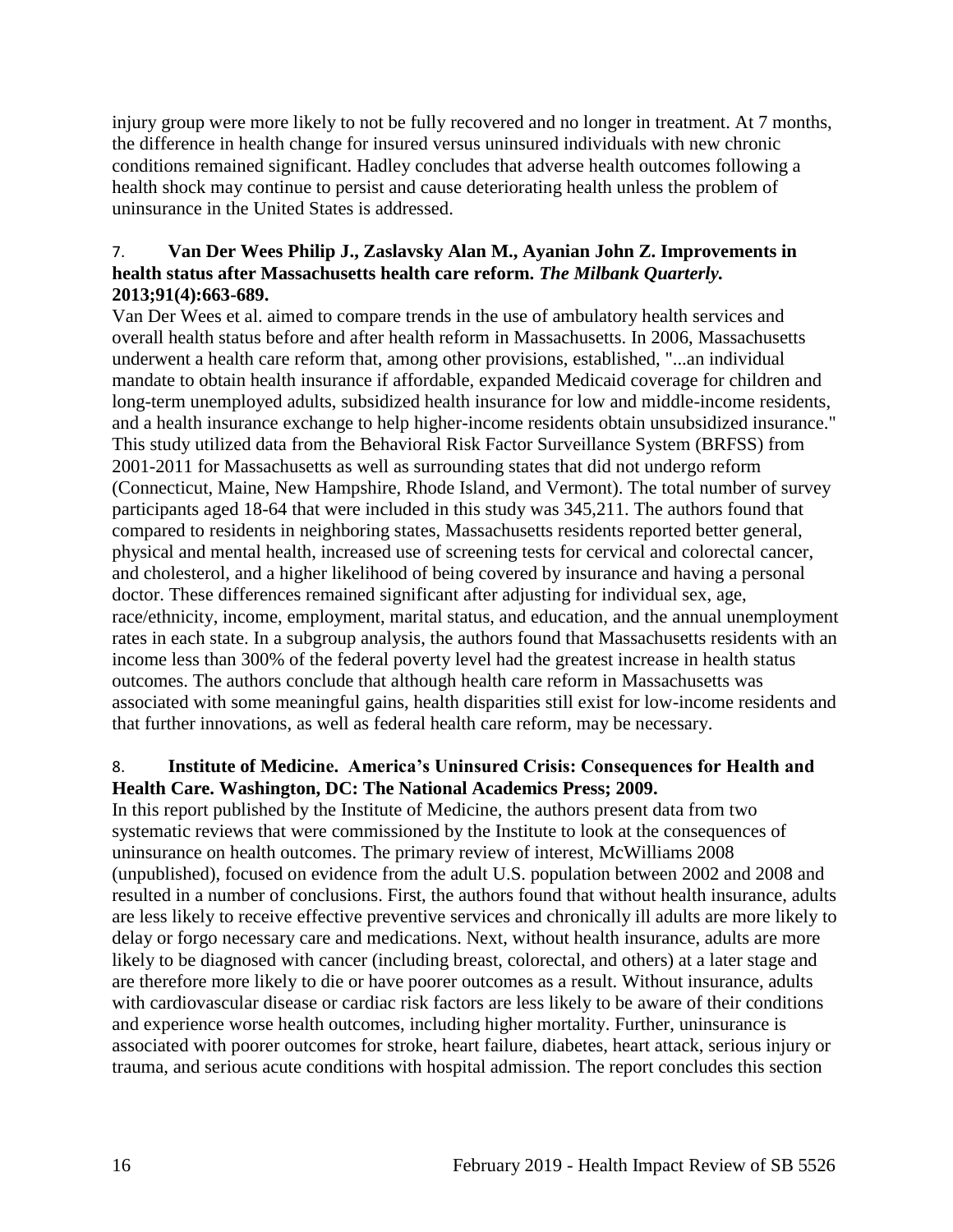injury group were more likely to not be fully recovered and no longer in treatment. At 7 months, the difference in health change for insured versus uninsured individuals with new chronic conditions remained significant. Hadley concludes that adverse health outcomes following a health shock may continue to persist and cause deteriorating health unless the problem of uninsurance in the United States is addressed.

### <span id="page-18-1"></span>7. **Van Der Wees Philip J., Zaslavsky Alan M., Ayanian John Z. Improvements in health status after Massachusetts health care reform.** *The Milbank Quarterly.*  **2013;91(4):663-689.**

Van Der Wees et al. aimed to compare trends in the use of ambulatory health services and overall health status before and after health reform in Massachusetts. In 2006, Massachusetts underwent a health care reform that, among other provisions, established, "...an individual mandate to obtain health insurance if affordable, expanded Medicaid coverage for children and long-term unemployed adults, subsidized health insurance for low and middle-income residents, and a health insurance exchange to help higher-income residents obtain unsubsidized insurance." This study utilized data from the Behavioral Risk Factor Surveillance System (BRFSS) from 2001-2011 for Massachusetts as well as surrounding states that did not undergo reform (Connecticut, Maine, New Hampshire, Rhode Island, and Vermont). The total number of survey participants aged 18-64 that were included in this study was 345,211. The authors found that compared to residents in neighboring states, Massachusetts residents reported better general, physical and mental health, increased use of screening tests for cervical and colorectal cancer, and cholesterol, and a higher likelihood of being covered by insurance and having a personal doctor. These differences remained significant after adjusting for individual sex, age, race/ethnicity, income, employment, marital status, and education, and the annual unemployment rates in each state. In a subgroup analysis, the authors found that Massachusetts residents with an income less than 300% of the federal poverty level had the greatest increase in health status outcomes. The authors conclude that although health care reform in Massachusetts was associated with some meaningful gains, health disparities still exist for low-income residents and that further innovations, as well as federal health care reform, may be necessary.

### <span id="page-18-0"></span>8. **Institute of Medicine. America's Uninsured Crisis: Consequences for Health and Health Care. Washington, DC: The National Academics Press; 2009.**

In this report published by the Institute of Medicine, the authors present data from two systematic reviews that were commissioned by the Institute to look at the consequences of uninsurance on health outcomes. The primary review of interest, McWilliams 2008 (unpublished), focused on evidence from the adult U.S. population between 2002 and 2008 and resulted in a number of conclusions. First, the authors found that without health insurance, adults are less likely to receive effective preventive services and chronically ill adults are more likely to delay or forgo necessary care and medications. Next, without health insurance, adults are more likely to be diagnosed with cancer (including breast, colorectal, and others) at a later stage and are therefore more likely to die or have poorer outcomes as a result. Without insurance, adults with cardiovascular disease or cardiac risk factors are less likely to be aware of their conditions and experience worse health outcomes, including higher mortality. Further, uninsurance is associated with poorer outcomes for stroke, heart failure, diabetes, heart attack, serious injury or trauma, and serious acute conditions with hospital admission. The report concludes this section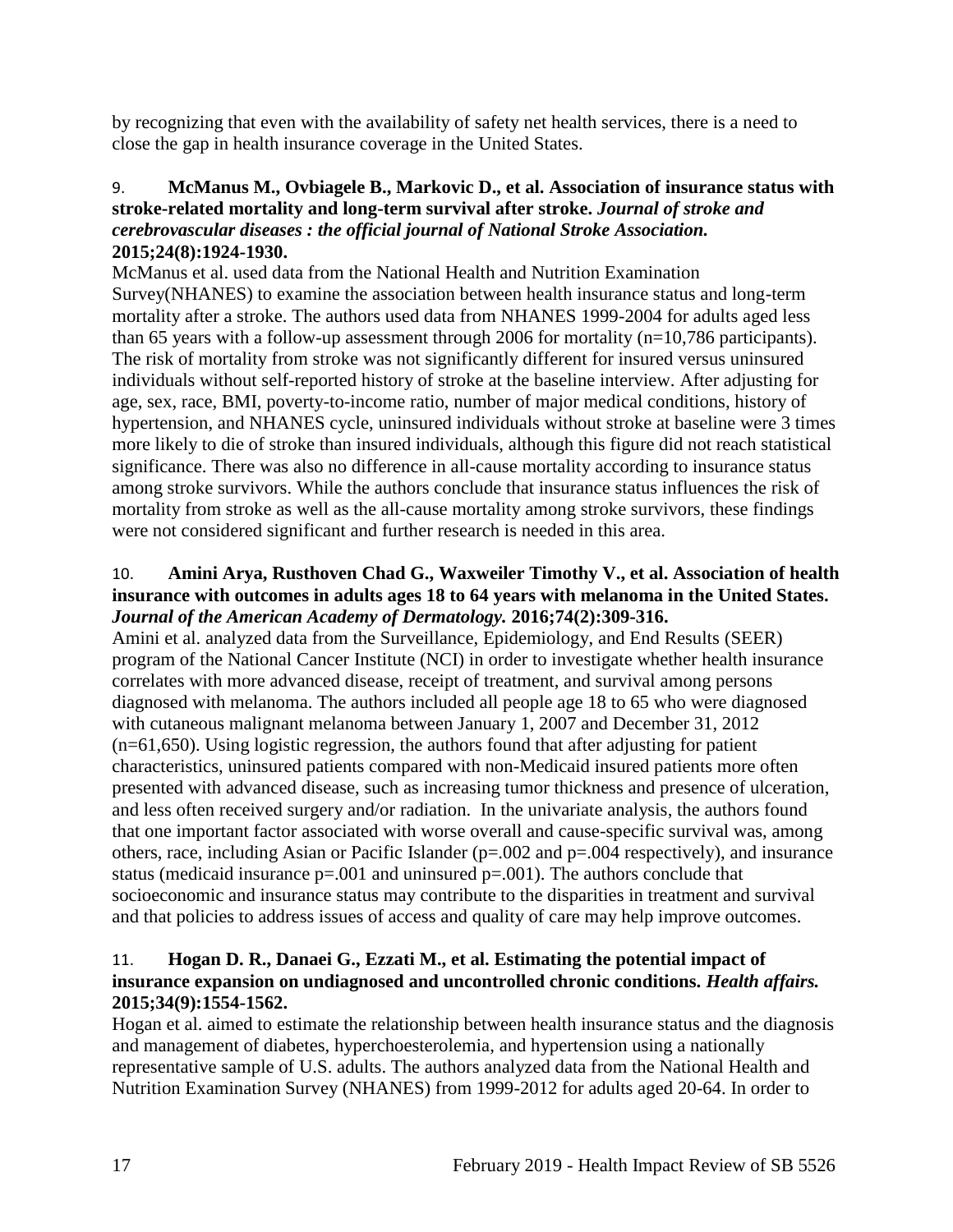by recognizing that even with the availability of safety net health services, there is a need to close the gap in health insurance coverage in the United States.

## 9. **McManus M., Ovbiagele B., Markovic D., et al. Association of insurance status with stroke-related mortality and long-term survival after stroke.** *Journal of stroke and cerebrovascular diseases : the official journal of National Stroke Association.*  **2015;24(8):1924-1930.**

McManus et al. used data from the National Health and Nutrition Examination Survey(NHANES) to examine the association between health insurance status and long-term mortality after a stroke. The authors used data from NHANES 1999-2004 for adults aged less than 65 years with a follow-up assessment through 2006 for mortality (n=10,786 participants). The risk of mortality from stroke was not significantly different for insured versus uninsured individuals without self-reported history of stroke at the baseline interview. After adjusting for age, sex, race, BMI, poverty-to-income ratio, number of major medical conditions, history of hypertension, and NHANES cycle, uninsured individuals without stroke at baseline were 3 times more likely to die of stroke than insured individuals, although this figure did not reach statistical significance. There was also no difference in all-cause mortality according to insurance status among stroke survivors. While the authors conclude that insurance status influences the risk of mortality from stroke as well as the all-cause mortality among stroke survivors, these findings were not considered significant and further research is needed in this area.

### 10. **Amini Arya, Rusthoven Chad G., Waxweiler Timothy V., et al. Association of health insurance with outcomes in adults ages 18 to 64 years with melanoma in the United States.**  *Journal of the American Academy of Dermatology.* **2016;74(2):309-316.**

Amini et al. analyzed data from the Surveillance, Epidemiology, and End Results (SEER) program of the National Cancer Institute (NCI) in order to investigate whether health insurance correlates with more advanced disease, receipt of treatment, and survival among persons diagnosed with melanoma. The authors included all people age 18 to 65 who were diagnosed with cutaneous malignant melanoma between January 1, 2007 and December 31, 2012 (n=61,650). Using logistic regression, the authors found that after adjusting for patient characteristics, uninsured patients compared with non-Medicaid insured patients more often presented with advanced disease, such as increasing tumor thickness and presence of ulceration, and less often received surgery and/or radiation. In the univariate analysis, the authors found that one important factor associated with worse overall and cause-specific survival was, among others, race, including Asian or Pacific Islander (p=.002 and p=.004 respectively), and insurance status (medicaid insurance  $p=.001$  and uninsured  $p=.001$ ). The authors conclude that socioeconomic and insurance status may contribute to the disparities in treatment and survival and that policies to address issues of access and quality of care may help improve outcomes.

# 11. **Hogan D. R., Danaei G., Ezzati M., et al. Estimating the potential impact of insurance expansion on undiagnosed and uncontrolled chronic conditions.** *Health affairs.*  **2015;34(9):1554-1562.**

Hogan et al. aimed to estimate the relationship between health insurance status and the diagnosis and management of diabetes, hyperchoesterolemia, and hypertension using a nationally representative sample of U.S. adults. The authors analyzed data from the National Health and Nutrition Examination Survey (NHANES) from 1999-2012 for adults aged 20-64. In order to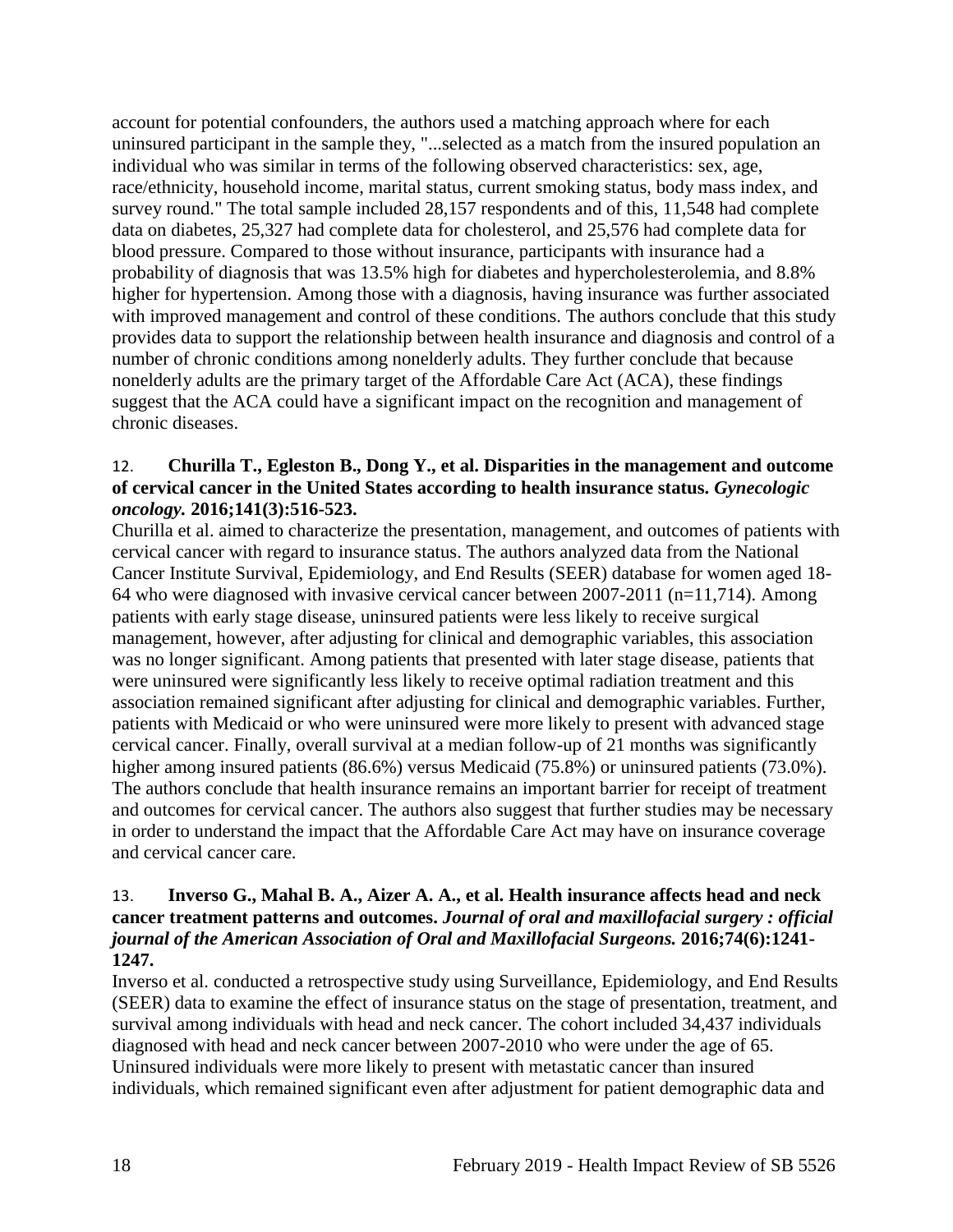account for potential confounders, the authors used a matching approach where for each uninsured participant in the sample they, "...selected as a match from the insured population an individual who was similar in terms of the following observed characteristics: sex, age, race/ethnicity, household income, marital status, current smoking status, body mass index, and survey round." The total sample included 28,157 respondents and of this, 11,548 had complete data on diabetes, 25,327 had complete data for cholesterol, and 25,576 had complete data for blood pressure. Compared to those without insurance, participants with insurance had a probability of diagnosis that was 13.5% high for diabetes and hypercholesterolemia, and 8.8% higher for hypertension. Among those with a diagnosis, having insurance was further associated with improved management and control of these conditions. The authors conclude that this study provides data to support the relationship between health insurance and diagnosis and control of a number of chronic conditions among nonelderly adults. They further conclude that because nonelderly adults are the primary target of the Affordable Care Act (ACA), these findings suggest that the ACA could have a significant impact on the recognition and management of chronic diseases.

#### 12. **Churilla T., Egleston B., Dong Y., et al. Disparities in the management and outcome of cervical cancer in the United States according to health insurance status.** *Gynecologic oncology.* **2016;141(3):516-523.**

Churilla et al. aimed to characterize the presentation, management, and outcomes of patients with cervical cancer with regard to insurance status. The authors analyzed data from the National Cancer Institute Survival, Epidemiology, and End Results (SEER) database for women aged 18- 64 who were diagnosed with invasive cervical cancer between 2007-2011 (n=11,714). Among patients with early stage disease, uninsured patients were less likely to receive surgical management, however, after adjusting for clinical and demographic variables, this association was no longer significant. Among patients that presented with later stage disease, patients that were uninsured were significantly less likely to receive optimal radiation treatment and this association remained significant after adjusting for clinical and demographic variables. Further, patients with Medicaid or who were uninsured were more likely to present with advanced stage cervical cancer. Finally, overall survival at a median follow-up of 21 months was significantly higher among insured patients (86.6%) versus Medicaid (75.8%) or uninsured patients (73.0%). The authors conclude that health insurance remains an important barrier for receipt of treatment and outcomes for cervical cancer. The authors also suggest that further studies may be necessary in order to understand the impact that the Affordable Care Act may have on insurance coverage and cervical cancer care.

### 13. **Inverso G., Mahal B. A., Aizer A. A., et al. Health insurance affects head and neck cancer treatment patterns and outcomes.** *Journal of oral and maxillofacial surgery : official journal of the American Association of Oral and Maxillofacial Surgeons.* **2016;74(6):1241- 1247.**

Inverso et al. conducted a retrospective study using Surveillance, Epidemiology, and End Results (SEER) data to examine the effect of insurance status on the stage of presentation, treatment, and survival among individuals with head and neck cancer. The cohort included 34,437 individuals diagnosed with head and neck cancer between 2007-2010 who were under the age of 65. Uninsured individuals were more likely to present with metastatic cancer than insured individuals, which remained significant even after adjustment for patient demographic data and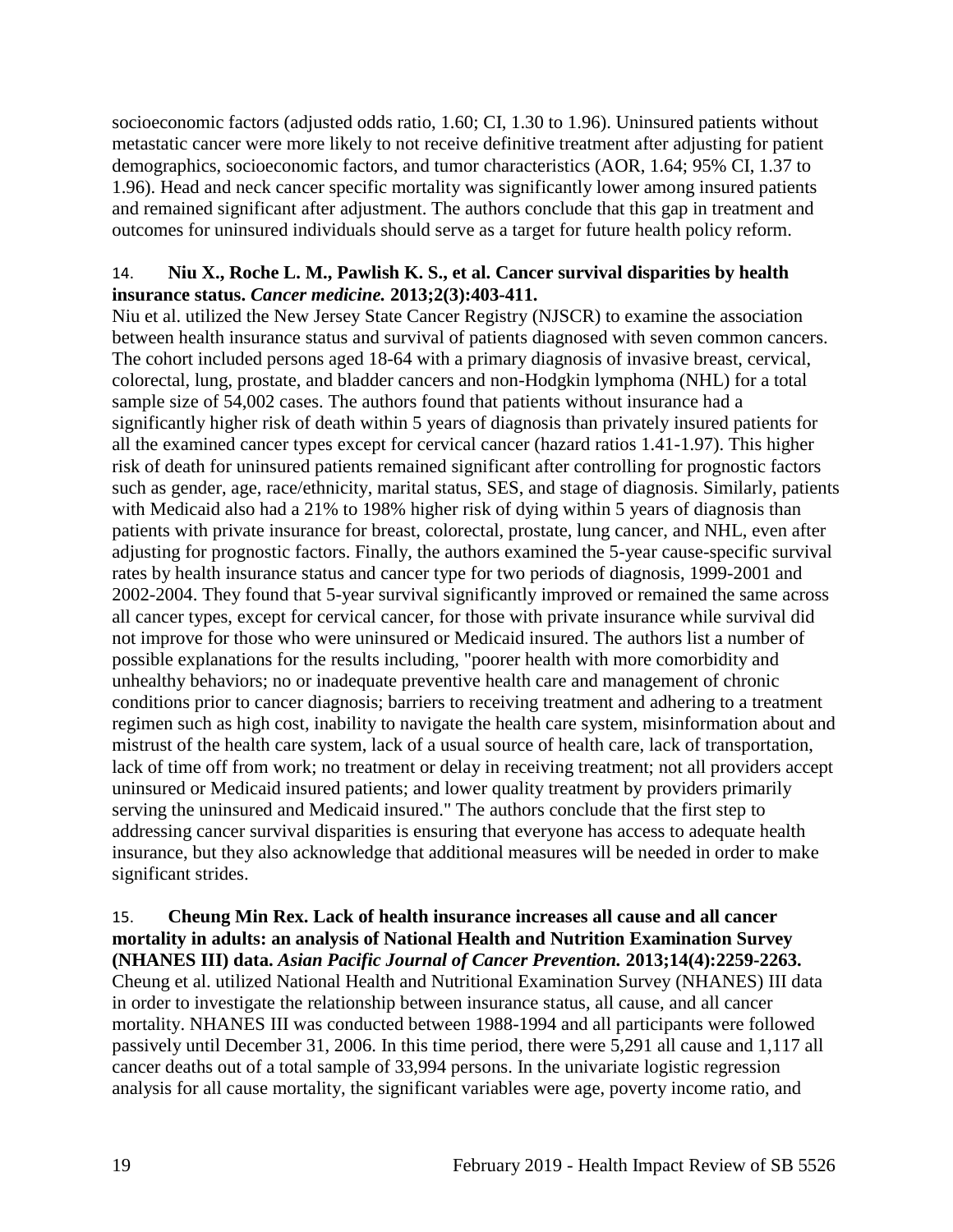socioeconomic factors (adjusted odds ratio, 1.60; CI, 1.30 to 1.96). Uninsured patients without metastatic cancer were more likely to not receive definitive treatment after adjusting for patient demographics, socioeconomic factors, and tumor characteristics (AOR, 1.64; 95% CI, 1.37 to 1.96). Head and neck cancer specific mortality was significantly lower among insured patients and remained significant after adjustment. The authors conclude that this gap in treatment and outcomes for uninsured individuals should serve as a target for future health policy reform.

### <span id="page-21-0"></span>14. **Niu X., Roche L. M., Pawlish K. S., et al. Cancer survival disparities by health insurance status.** *Cancer medicine.* **2013;2(3):403-411.**

Niu et al. utilized the New Jersey State Cancer Registry (NJSCR) to examine the association between health insurance status and survival of patients diagnosed with seven common cancers. The cohort included persons aged 18-64 with a primary diagnosis of invasive breast, cervical, colorectal, lung, prostate, and bladder cancers and non-Hodgkin lymphoma (NHL) for a total sample size of 54,002 cases. The authors found that patients without insurance had a significantly higher risk of death within 5 years of diagnosis than privately insured patients for all the examined cancer types except for cervical cancer (hazard ratios 1.41-1.97). This higher risk of death for uninsured patients remained significant after controlling for prognostic factors such as gender, age, race/ethnicity, marital status, SES, and stage of diagnosis. Similarly, patients with Medicaid also had a 21% to 198% higher risk of dying within 5 years of diagnosis than patients with private insurance for breast, colorectal, prostate, lung cancer, and NHL, even after adjusting for prognostic factors. Finally, the authors examined the 5-year cause-specific survival rates by health insurance status and cancer type for two periods of diagnosis, 1999-2001 and 2002-2004. They found that 5-year survival significantly improved or remained the same across all cancer types, except for cervical cancer, for those with private insurance while survival did not improve for those who were uninsured or Medicaid insured. The authors list a number of possible explanations for the results including, "poorer health with more comorbidity and unhealthy behaviors; no or inadequate preventive health care and management of chronic conditions prior to cancer diagnosis; barriers to receiving treatment and adhering to a treatment regimen such as high cost, inability to navigate the health care system, misinformation about and mistrust of the health care system, lack of a usual source of health care, lack of transportation, lack of time off from work; no treatment or delay in receiving treatment; not all providers accept uninsured or Medicaid insured patients; and lower quality treatment by providers primarily serving the uninsured and Medicaid insured." The authors conclude that the first step to addressing cancer survival disparities is ensuring that everyone has access to adequate health insurance, but they also acknowledge that additional measures will be needed in order to make significant strides.

### <span id="page-21-1"></span>15. **Cheung Min Rex. Lack of health insurance increases all cause and all cancer mortality in adults: an analysis of National Health and Nutrition Examination Survey (NHANES III) data.** *Asian Pacific Journal of Cancer Prevention.* **2013;14(4):2259-2263.**

Cheung et al. utilized National Health and Nutritional Examination Survey (NHANES) III data in order to investigate the relationship between insurance status, all cause, and all cancer mortality. NHANES III was conducted between 1988-1994 and all participants were followed passively until December 31, 2006. In this time period, there were 5,291 all cause and 1,117 all cancer deaths out of a total sample of 33,994 persons. In the univariate logistic regression analysis for all cause mortality, the significant variables were age, poverty income ratio, and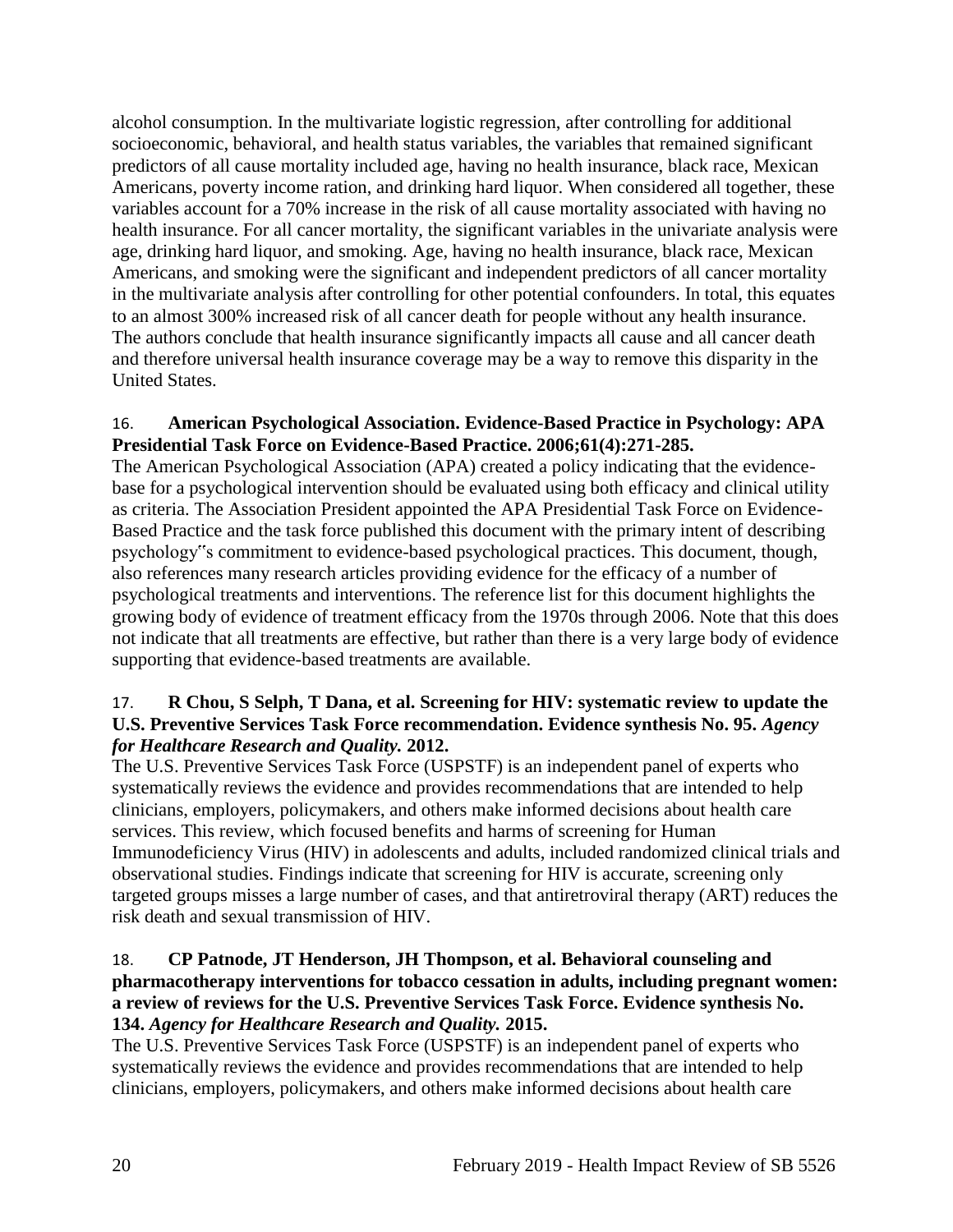alcohol consumption. In the multivariate logistic regression, after controlling for additional socioeconomic, behavioral, and health status variables, the variables that remained significant predictors of all cause mortality included age, having no health insurance, black race, Mexican Americans, poverty income ration, and drinking hard liquor. When considered all together, these variables account for a 70% increase in the risk of all cause mortality associated with having no health insurance. For all cancer mortality, the significant variables in the univariate analysis were age, drinking hard liquor, and smoking. Age, having no health insurance, black race, Mexican Americans, and smoking were the significant and independent predictors of all cancer mortality in the multivariate analysis after controlling for other potential confounders. In total, this equates to an almost 300% increased risk of all cancer death for people without any health insurance. The authors conclude that health insurance significantly impacts all cause and all cancer death and therefore universal health insurance coverage may be a way to remove this disparity in the United States.

## <span id="page-22-0"></span>16. **American Psychological Association. Evidence-Based Practice in Psychology: APA Presidential Task Force on Evidence-Based Practice. 2006;61(4):271-285.**

The American Psychological Association (APA) created a policy indicating that the evidencebase for a psychological intervention should be evaluated using both efficacy and clinical utility as criteria. The Association President appointed the APA Presidential Task Force on Evidence-Based Practice and the task force published this document with the primary intent of describing psychology"s commitment to evidence-based psychological practices. This document, though, also references many research articles providing evidence for the efficacy of a number of psychological treatments and interventions. The reference list for this document highlights the growing body of evidence of treatment efficacy from the 1970s through 2006. Note that this does not indicate that all treatments are effective, but rather than there is a very large body of evidence supporting that evidence-based treatments are available.

### 17. **R Chou, S Selph, T Dana, et al. Screening for HIV: systematic review to update the U.S. Preventive Services Task Force recommendation. Evidence synthesis No. 95.** *Agency for Healthcare Research and Quality.* **2012.**

The U.S. Preventive Services Task Force (USPSTF) is an independent panel of experts who systematically reviews the evidence and provides recommendations that are intended to help clinicians, employers, policymakers, and others make informed decisions about health care services. This review, which focused benefits and harms of screening for Human Immunodeficiency Virus (HIV) in adolescents and adults, included randomized clinical trials and observational studies. Findings indicate that screening for HIV is accurate, screening only targeted groups misses a large number of cases, and that antiretroviral therapy (ART) reduces the risk death and sexual transmission of HIV.

### 18. **CP Patnode, JT Henderson, JH Thompson, et al. Behavioral counseling and pharmacotherapy interventions for tobacco cessation in adults, including pregnant women: a review of reviews for the U.S. Preventive Services Task Force. Evidence synthesis No. 134.** *Agency for Healthcare Research and Quality.* **2015.**

The U.S. Preventive Services Task Force (USPSTF) is an independent panel of experts who systematically reviews the evidence and provides recommendations that are intended to help clinicians, employers, policymakers, and others make informed decisions about health care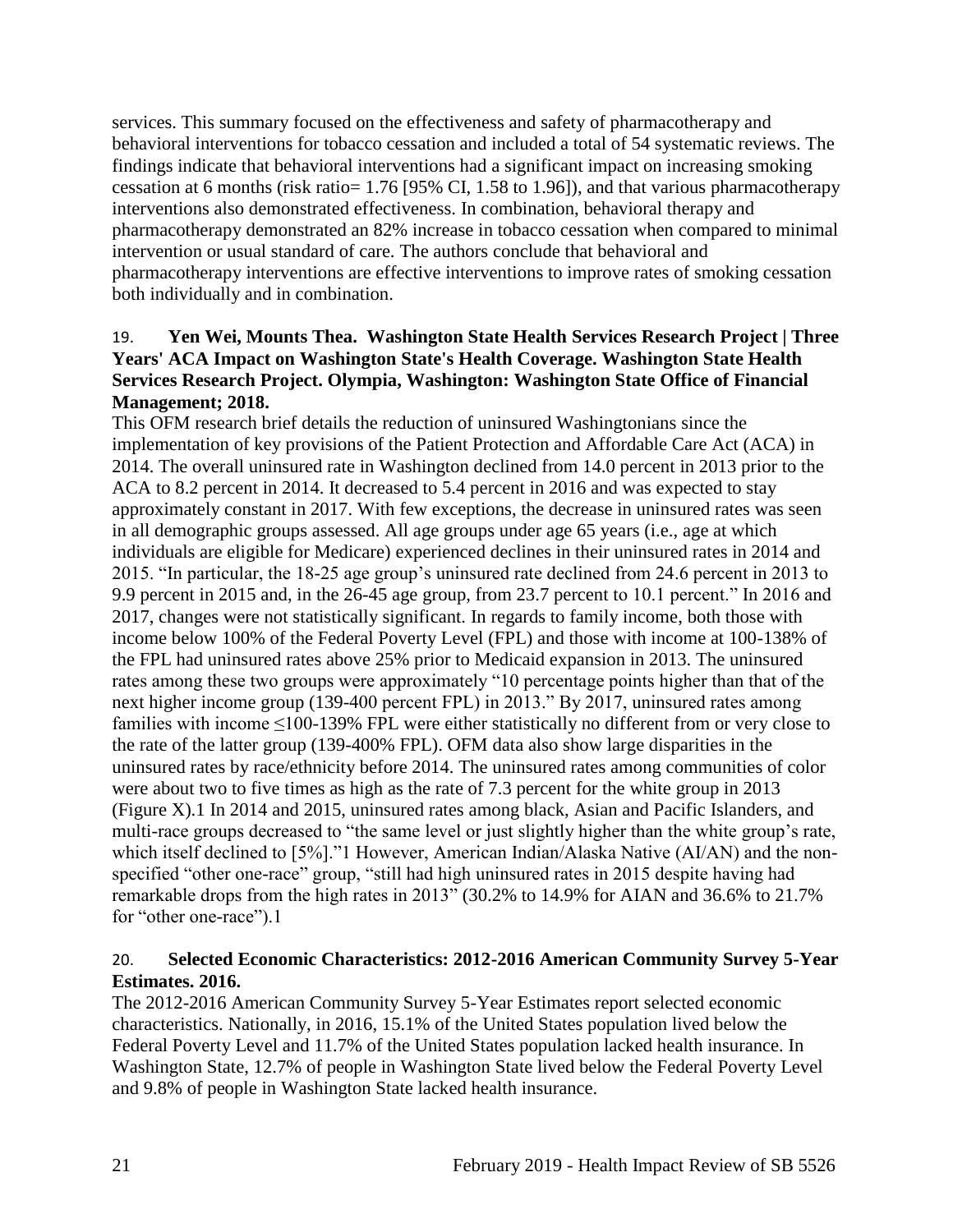services. This summary focused on the effectiveness and safety of pharmacotherapy and behavioral interventions for tobacco cessation and included a total of 54 systematic reviews. The findings indicate that behavioral interventions had a significant impact on increasing smoking cessation at 6 months (risk ratio= 1.76 [95% CI, 1.58 to 1.96]), and that various pharmacotherapy interventions also demonstrated effectiveness. In combination, behavioral therapy and pharmacotherapy demonstrated an 82% increase in tobacco cessation when compared to minimal intervention or usual standard of care. The authors conclude that behavioral and pharmacotherapy interventions are effective interventions to improve rates of smoking cessation both individually and in combination.

### <span id="page-23-0"></span>19. **Yen Wei, Mounts Thea. Washington State Health Services Research Project | Three Years' ACA Impact on Washington State's Health Coverage. Washington State Health Services Research Project. Olympia, Washington: Washington State Office of Financial Management; 2018.**

This OFM research brief details the reduction of uninsured Washingtonians since the implementation of key provisions of the Patient Protection and Affordable Care Act (ACA) in 2014. The overall uninsured rate in Washington declined from 14.0 percent in 2013 prior to the ACA to 8.2 percent in 2014. It decreased to 5.4 percent in 2016 and was expected to stay approximately constant in 2017. With few exceptions, the decrease in uninsured rates was seen in all demographic groups assessed. All age groups under age 65 years (i.e., age at which individuals are eligible for Medicare) experienced declines in their uninsured rates in 2014 and 2015. "In particular, the 18-25 age group's uninsured rate declined from 24.6 percent in 2013 to 9.9 percent in 2015 and, in the 26-45 age group, from 23.7 percent to 10.1 percent." In 2016 and 2017, changes were not statistically significant. In regards to family income, both those with income below 100% of the Federal Poverty Level (FPL) and those with income at 100-138% of the FPL had uninsured rates above 25% prior to Medicaid expansion in 2013. The uninsured rates among these two groups were approximately "10 percentage points higher than that of the next higher income group (139-400 percent FPL) in 2013." By 2017, uninsured rates among families with income ≤100-139% FPL were either statistically no different from or very close to the rate of the latter group (139-400% FPL). OFM data also show large disparities in the uninsured rates by race/ethnicity before 2014. The uninsured rates among communities of color were about two to five times as high as the rate of 7.3 percent for the white group in 2013 (Figure X).1 In 2014 and 2015, uninsured rates among black, Asian and Pacific Islanders, and multi-race groups decreased to "the same level or just slightly higher than the white group's rate, which itself declined to [5%]."1 However, American Indian/Alaska Native (AI/AN) and the nonspecified "other one-race" group, "still had high uninsured rates in 2015 despite having had remarkable drops from the high rates in 2013" (30.2% to 14.9% for AIAN and 36.6% to 21.7% for "other one-race").1

# <span id="page-23-1"></span>20. **Selected Economic Characteristics: 2012-2016 American Community Survey 5-Year Estimates. 2016.**

The 2012-2016 American Community Survey 5-Year Estimates report selected economic characteristics. Nationally, in 2016, 15.1% of the United States population lived below the Federal Poverty Level and 11.7% of the United States population lacked health insurance. In Washington State, 12.7% of people in Washington State lived below the Federal Poverty Level and 9.8% of people in Washington State lacked health insurance.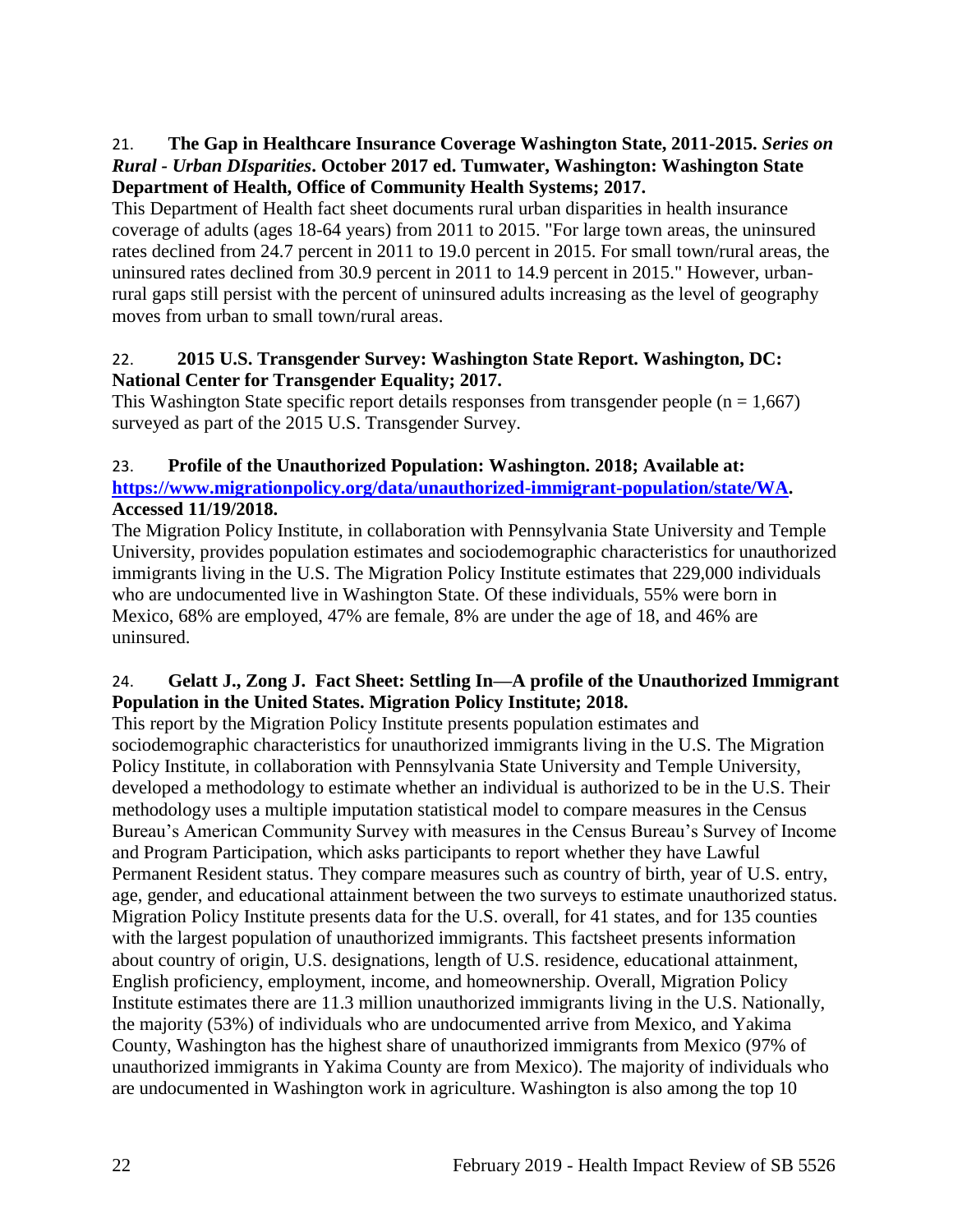## 21. **The Gap in Healthcare Insurance Coverage Washington State, 2011-2015.** *Series on Rural - Urban DIsparities***. October 2017 ed. Tumwater, Washington: Washington State Department of Health, Office of Community Health Systems; 2017.**

This Department of Health fact sheet documents rural urban disparities in health insurance coverage of adults (ages 18-64 years) from 2011 to 2015. "For large town areas, the uninsured rates declined from 24.7 percent in 2011 to 19.0 percent in 2015. For small town/rural areas, the uninsured rates declined from 30.9 percent in 2011 to 14.9 percent in 2015." However, urbanrural gaps still persist with the percent of uninsured adults increasing as the level of geography moves from urban to small town/rural areas.

### 22. **2015 U.S. Transgender Survey: Washington State Report. Washington, DC: National Center for Transgender Equality; 2017.**

This Washington State specific report details responses from transgender people ( $n = 1,667$ ) surveyed as part of the 2015 U.S. Transgender Survey.

### <span id="page-24-0"></span>23. **Profile of the Unauthorized Population: Washington. 2018; Available at: [https://www.migrationpolicy.org/data/unauthorized-immigrant-population/state/WA.](https://www.migrationpolicy.org/data/unauthorized-immigrant-population/state/WA) Accessed 11/19/2018.**

The Migration Policy Institute, in collaboration with Pennsylvania State University and Temple University, provides population estimates and sociodemographic characteristics for unauthorized immigrants living in the U.S. The Migration Policy Institute estimates that 229,000 individuals who are undocumented live in Washington State. Of these individuals, 55% were born in Mexico, 68% are employed, 47% are female, 8% are under the age of 18, and 46% are uninsured.

# <span id="page-24-1"></span>24. **Gelatt J., Zong J. Fact Sheet: Settling In—A profile of the Unauthorized Immigrant Population in the United States. Migration Policy Institute; 2018.**

This report by the Migration Policy Institute presents population estimates and sociodemographic characteristics for unauthorized immigrants living in the U.S. The Migration Policy Institute, in collaboration with Pennsylvania State University and Temple University, developed a methodology to estimate whether an individual is authorized to be in the U.S. Their methodology uses a multiple imputation statistical model to compare measures in the Census Bureau's American Community Survey with measures in the Census Bureau's Survey of Income and Program Participation, which asks participants to report whether they have Lawful Permanent Resident status. They compare measures such as country of birth, year of U.S. entry, age, gender, and educational attainment between the two surveys to estimate unauthorized status. Migration Policy Institute presents data for the U.S. overall, for 41 states, and for 135 counties with the largest population of unauthorized immigrants. This factsheet presents information about country of origin, U.S. designations, length of U.S. residence, educational attainment, English proficiency, employment, income, and homeownership. Overall, Migration Policy Institute estimates there are 11.3 million unauthorized immigrants living in the U.S. Nationally, the majority (53%) of individuals who are undocumented arrive from Mexico, and Yakima County, Washington has the highest share of unauthorized immigrants from Mexico (97% of unauthorized immigrants in Yakima County are from Mexico). The majority of individuals who are undocumented in Washington work in agriculture. Washington is also among the top 10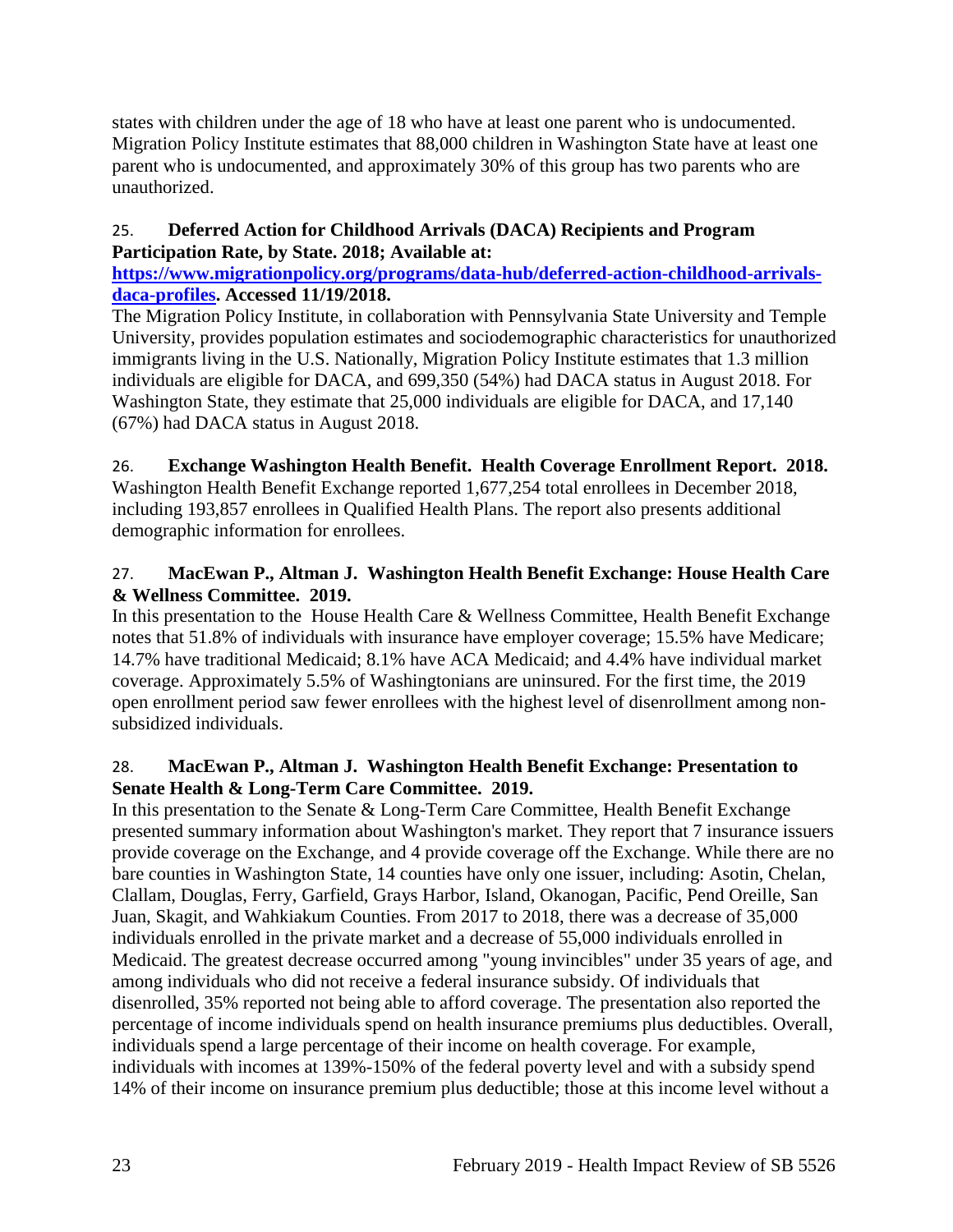states with children under the age of 18 who have at least one parent who is undocumented. Migration Policy Institute estimates that 88,000 children in Washington State have at least one parent who is undocumented, and approximately 30% of this group has two parents who are unauthorized.

# 25. **Deferred Action for Childhood Arrivals (DACA) Recipients and Program Participation Rate, by State. 2018; Available at:**

**[https://www.migrationpolicy.org/programs/data-hub/deferred-action-childhood-arrivals](https://www.migrationpolicy.org/programs/data-hub/deferred-action-childhood-arrivals-daca-profiles)[daca-profiles.](https://www.migrationpolicy.org/programs/data-hub/deferred-action-childhood-arrivals-daca-profiles) Accessed 11/19/2018.**

The Migration Policy Institute, in collaboration with Pennsylvania State University and Temple University, provides population estimates and sociodemographic characteristics for unauthorized immigrants living in the U.S. Nationally, Migration Policy Institute estimates that 1.3 million individuals are eligible for DACA, and 699,350 (54%) had DACA status in August 2018. For Washington State, they estimate that 25,000 individuals are eligible for DACA, and 17,140 (67%) had DACA status in August 2018.

# 26. **Exchange Washington Health Benefit. Health Coverage Enrollment Report. 2018.**

Washington Health Benefit Exchange reported 1,677,254 total enrollees in December 2018, including 193,857 enrollees in Qualified Health Plans. The report also presents additional demographic information for enrollees.

# 27. **MacEwan P., Altman J. Washington Health Benefit Exchange: House Health Care & Wellness Committee. 2019.**

In this presentation to the House Health Care & Wellness Committee, Health Benefit Exchange notes that 51.8% of individuals with insurance have employer coverage; 15.5% have Medicare; 14.7% have traditional Medicaid; 8.1% have ACA Medicaid; and 4.4% have individual market coverage. Approximately 5.5% of Washingtonians are uninsured. For the first time, the 2019 open enrollment period saw fewer enrollees with the highest level of disenrollment among nonsubsidized individuals.

# 28. **MacEwan P., Altman J. Washington Health Benefit Exchange: Presentation to Senate Health & Long-Term Care Committee. 2019.**

In this presentation to the Senate  $&$  Long-Term Care Committee, Health Benefit Exchange presented summary information about Washington's market. They report that 7 insurance issuers provide coverage on the Exchange, and 4 provide coverage off the Exchange. While there are no bare counties in Washington State, 14 counties have only one issuer, including: Asotin, Chelan, Clallam, Douglas, Ferry, Garfield, Grays Harbor, Island, Okanogan, Pacific, Pend Oreille, San Juan, Skagit, and Wahkiakum Counties. From 2017 to 2018, there was a decrease of 35,000 individuals enrolled in the private market and a decrease of 55,000 individuals enrolled in Medicaid. The greatest decrease occurred among "young invincibles" under 35 years of age, and among individuals who did not receive a federal insurance subsidy. Of individuals that disenrolled, 35% reported not being able to afford coverage. The presentation also reported the percentage of income individuals spend on health insurance premiums plus deductibles. Overall, individuals spend a large percentage of their income on health coverage. For example, individuals with incomes at 139%-150% of the federal poverty level and with a subsidy spend 14% of their income on insurance premium plus deductible; those at this income level without a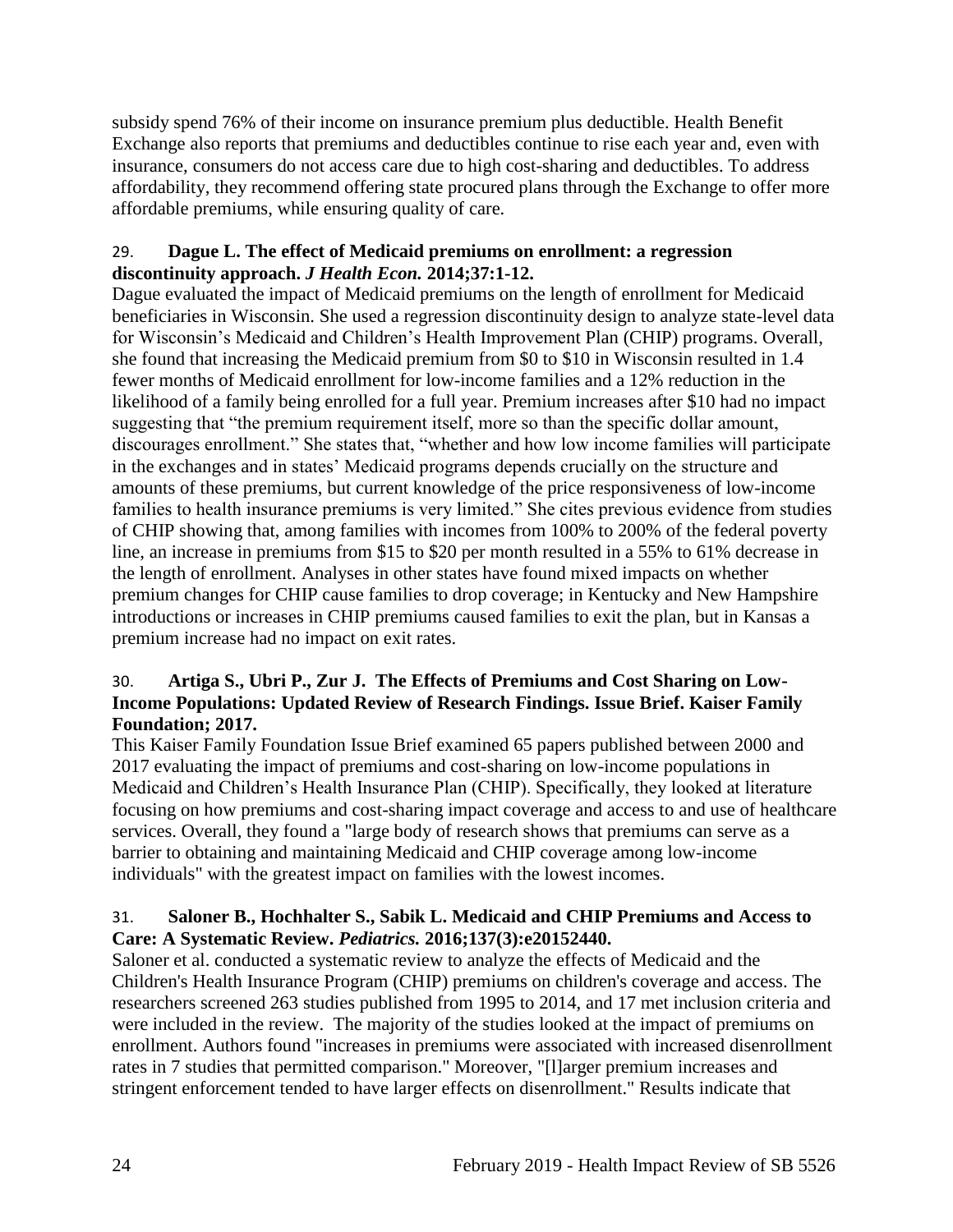subsidy spend 76% of their income on insurance premium plus deductible. Health Benefit Exchange also reports that premiums and deductibles continue to rise each year and, even with insurance, consumers do not access care due to high cost-sharing and deductibles. To address affordability, they recommend offering state procured plans through the Exchange to offer more affordable premiums, while ensuring quality of care.

### <span id="page-26-0"></span>29. **Dague L. The effect of Medicaid premiums on enrollment: a regression discontinuity approach.** *J Health Econ.* **2014;37:1-12.**

Dague evaluated the impact of Medicaid premiums on the length of enrollment for Medicaid beneficiaries in Wisconsin. She used a regression discontinuity design to analyze state-level data for Wisconsin's Medicaid and Children's Health Improvement Plan (CHIP) programs. Overall, she found that increasing the Medicaid premium from \$0 to \$10 in Wisconsin resulted in 1.4 fewer months of Medicaid enrollment for low-income families and a 12% reduction in the likelihood of a family being enrolled for a full year. Premium increases after \$10 had no impact suggesting that "the premium requirement itself, more so than the specific dollar amount, discourages enrollment." She states that, "whether and how low income families will participate in the exchanges and in states' Medicaid programs depends crucially on the structure and amounts of these premiums, but current knowledge of the price responsiveness of low-income families to health insurance premiums is very limited." She cites previous evidence from studies of CHIP showing that, among families with incomes from 100% to 200% of the federal poverty line, an increase in premiums from \$15 to \$20 per month resulted in a 55% to 61% decrease in the length of enrollment. Analyses in other states have found mixed impacts on whether premium changes for CHIP cause families to drop coverage; in Kentucky and New Hampshire introductions or increases in CHIP premiums caused families to exit the plan, but in Kansas a premium increase had no impact on exit rates.

### 30. **Artiga S., Ubri P., Zur J. The Effects of Premiums and Cost Sharing on Low-Income Populations: Updated Review of Research Findings. Issue Brief. Kaiser Family Foundation; 2017.**

This Kaiser Family Foundation Issue Brief examined 65 papers published between 2000 and 2017 evaluating the impact of premiums and cost-sharing on low-income populations in Medicaid and Children's Health Insurance Plan (CHIP). Specifically, they looked at literature focusing on how premiums and cost-sharing impact coverage and access to and use of healthcare services. Overall, they found a "large body of research shows that premiums can serve as a barrier to obtaining and maintaining Medicaid and CHIP coverage among low-income individuals" with the greatest impact on families with the lowest incomes.

# <span id="page-26-1"></span>31. **Saloner B., Hochhalter S., Sabik L. Medicaid and CHIP Premiums and Access to Care: A Systematic Review.** *Pediatrics.* **2016;137(3):e20152440.**

Saloner et al. conducted a systematic review to analyze the effects of Medicaid and the Children's Health Insurance Program (CHIP) premiums on children's coverage and access. The researchers screened 263 studies published from 1995 to 2014, and 17 met inclusion criteria and were included in the review. The majority of the studies looked at the impact of premiums on enrollment. Authors found "increases in premiums were associated with increased disenrollment rates in 7 studies that permitted comparison." Moreover, "[l]arger premium increases and stringent enforcement tended to have larger effects on disenrollment." Results indicate that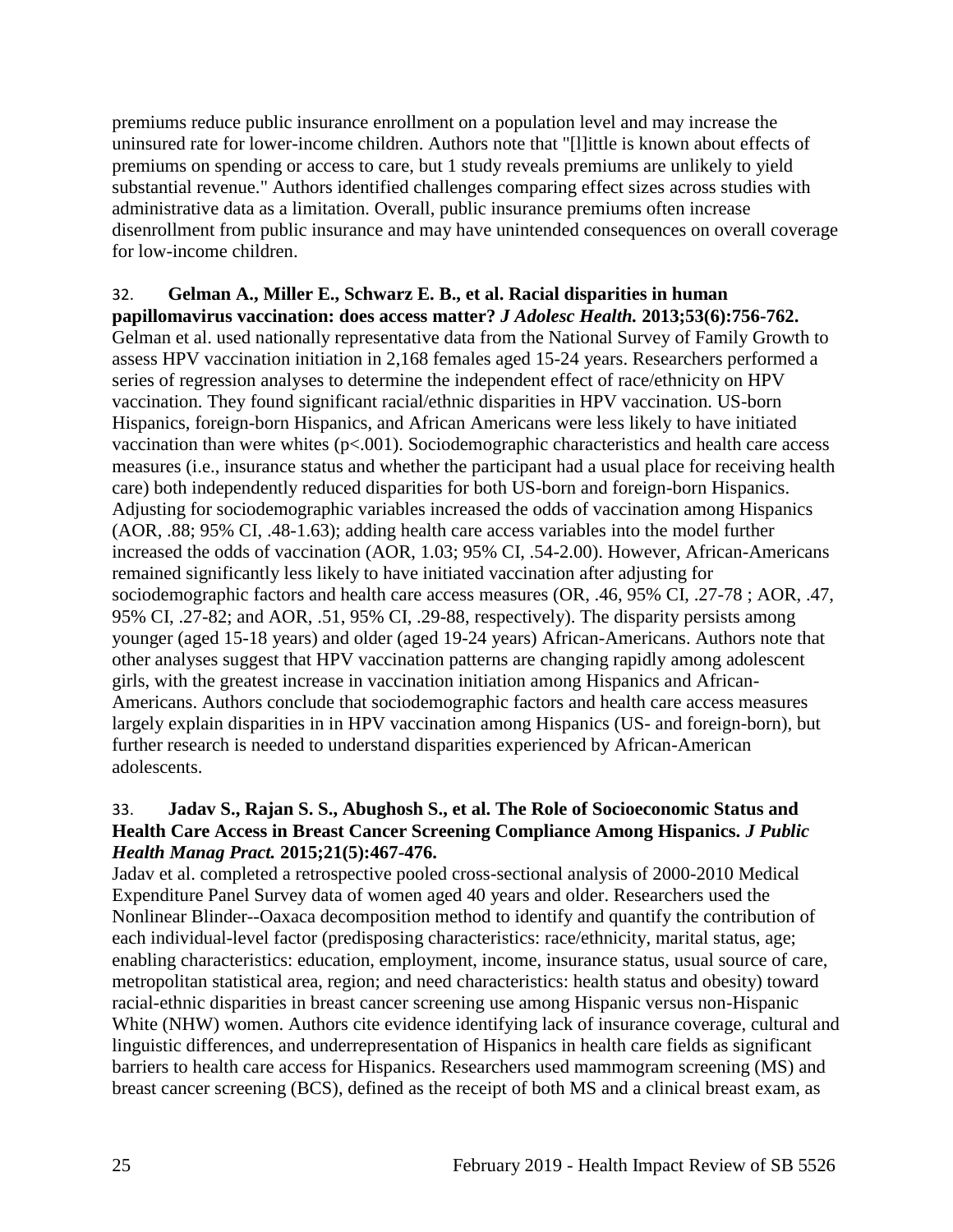premiums reduce public insurance enrollment on a population level and may increase the uninsured rate for lower-income children. Authors note that "[l]ittle is known about effects of premiums on spending or access to care, but 1 study reveals premiums are unlikely to yield substantial revenue." Authors identified challenges comparing effect sizes across studies with administrative data as a limitation. Overall, public insurance premiums often increase disenrollment from public insurance and may have unintended consequences on overall coverage for low-income children.

# <span id="page-27-0"></span>32. **Gelman A., Miller E., Schwarz E. B., et al. Racial disparities in human**

**papillomavirus vaccination: does access matter?** *J Adolesc Health.* **2013;53(6):756-762.** Gelman et al. used nationally representative data from the National Survey of Family Growth to assess HPV vaccination initiation in 2,168 females aged 15-24 years. Researchers performed a series of regression analyses to determine the independent effect of race/ethnicity on HPV vaccination. They found significant racial/ethnic disparities in HPV vaccination. US-born Hispanics, foreign-born Hispanics, and African Americans were less likely to have initiated vaccination than were whites  $(p<.001)$ . Sociodemographic characteristics and health care access measures (i.e., insurance status and whether the participant had a usual place for receiving health care) both independently reduced disparities for both US-born and foreign-born Hispanics. Adjusting for sociodemographic variables increased the odds of vaccination among Hispanics (AOR, .88; 95% CI, .48-1.63); adding health care access variables into the model further increased the odds of vaccination (AOR, 1.03; 95% CI, .54-2.00). However, African-Americans remained significantly less likely to have initiated vaccination after adjusting for sociodemographic factors and health care access measures (OR, .46, 95% CI, .27-78 ; AOR, .47, 95% CI, .27-82; and AOR, .51, 95% CI, .29-88, respectively). The disparity persists among younger (aged 15-18 years) and older (aged 19-24 years) African-Americans. Authors note that other analyses suggest that HPV vaccination patterns are changing rapidly among adolescent girls, with the greatest increase in vaccination initiation among Hispanics and African-Americans. Authors conclude that sociodemographic factors and health care access measures largely explain disparities in in HPV vaccination among Hispanics (US- and foreign-born), but further research is needed to understand disparities experienced by African-American adolescents.

### <span id="page-27-1"></span>33. **Jadav S., Rajan S. S., Abughosh S., et al. The Role of Socioeconomic Status and Health Care Access in Breast Cancer Screening Compliance Among Hispanics.** *J Public Health Manag Pract.* **2015;21(5):467-476.**

Jadav et al. completed a retrospective pooled cross-sectional analysis of 2000-2010 Medical Expenditure Panel Survey data of women aged 40 years and older. Researchers used the Nonlinear Blinder--Oaxaca decomposition method to identify and quantify the contribution of each individual-level factor (predisposing characteristics: race/ethnicity, marital status, age; enabling characteristics: education, employment, income, insurance status, usual source of care, metropolitan statistical area, region; and need characteristics: health status and obesity) toward racial-ethnic disparities in breast cancer screening use among Hispanic versus non-Hispanic White (NHW) women. Authors cite evidence identifying lack of insurance coverage, cultural and linguistic differences, and underrepresentation of Hispanics in health care fields as significant barriers to health care access for Hispanics. Researchers used mammogram screening (MS) and breast cancer screening (BCS), defined as the receipt of both MS and a clinical breast exam, as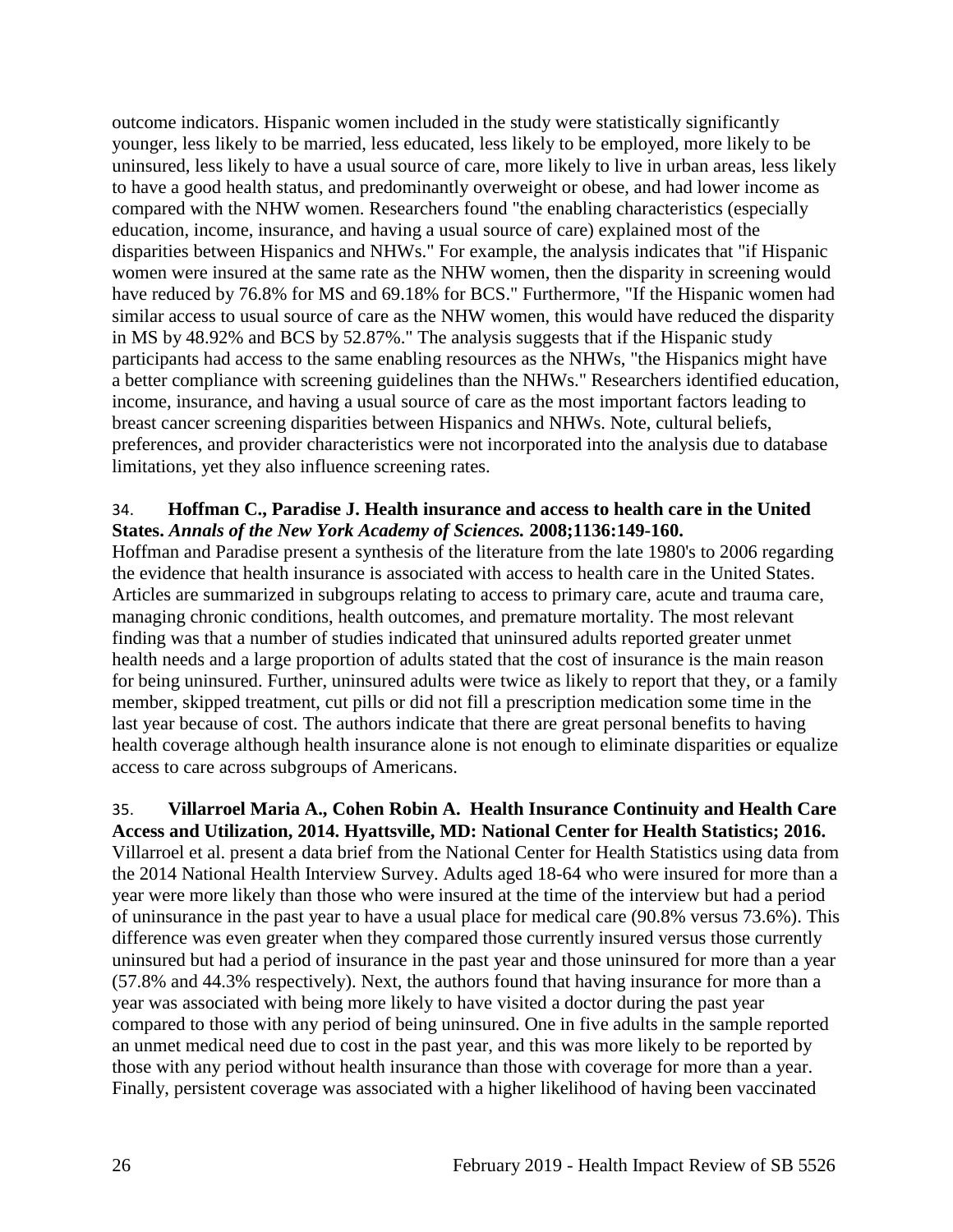outcome indicators. Hispanic women included in the study were statistically significantly younger, less likely to be married, less educated, less likely to be employed, more likely to be uninsured, less likely to have a usual source of care, more likely to live in urban areas, less likely to have a good health status, and predominantly overweight or obese, and had lower income as compared with the NHW women. Researchers found "the enabling characteristics (especially education, income, insurance, and having a usual source of care) explained most of the disparities between Hispanics and NHWs." For example, the analysis indicates that "if Hispanic women were insured at the same rate as the NHW women, then the disparity in screening would have reduced by 76.8% for MS and 69.18% for BCS." Furthermore, "If the Hispanic women had similar access to usual source of care as the NHW women, this would have reduced the disparity in MS by 48.92% and BCS by 52.87%." The analysis suggests that if the Hispanic study participants had access to the same enabling resources as the NHWs, "the Hispanics might have a better compliance with screening guidelines than the NHWs." Researchers identified education, income, insurance, and having a usual source of care as the most important factors leading to breast cancer screening disparities between Hispanics and NHWs. Note, cultural beliefs, preferences, and provider characteristics were not incorporated into the analysis due to database limitations, yet they also influence screening rates.

#### 34. **Hoffman C., Paradise J. Health insurance and access to health care in the United States.** *Annals of the New York Academy of Sciences.* **2008;1136:149-160.**

Hoffman and Paradise present a synthesis of the literature from the late 1980's to 2006 regarding the evidence that health insurance is associated with access to health care in the United States. Articles are summarized in subgroups relating to access to primary care, acute and trauma care, managing chronic conditions, health outcomes, and premature mortality. The most relevant finding was that a number of studies indicated that uninsured adults reported greater unmet health needs and a large proportion of adults stated that the cost of insurance is the main reason for being uninsured. Further, uninsured adults were twice as likely to report that they, or a family member, skipped treatment, cut pills or did not fill a prescription medication some time in the last year because of cost. The authors indicate that there are great personal benefits to having health coverage although health insurance alone is not enough to eliminate disparities or equalize access to care across subgroups of Americans.

35. **Villarroel Maria A., Cohen Robin A. Health Insurance Continuity and Health Care Access and Utilization, 2014. Hyattsville, MD: National Center for Health Statistics; 2016.** Villarroel et al. present a data brief from the National Center for Health Statistics using data from the 2014 National Health Interview Survey. Adults aged 18-64 who were insured for more than a year were more likely than those who were insured at the time of the interview but had a period of uninsurance in the past year to have a usual place for medical care (90.8% versus 73.6%). This difference was even greater when they compared those currently insured versus those currently uninsured but had a period of insurance in the past year and those uninsured for more than a year (57.8% and 44.3% respectively). Next, the authors found that having insurance for more than a year was associated with being more likely to have visited a doctor during the past year compared to those with any period of being uninsured. One in five adults in the sample reported an unmet medical need due to cost in the past year, and this was more likely to be reported by those with any period without health insurance than those with coverage for more than a year. Finally, persistent coverage was associated with a higher likelihood of having been vaccinated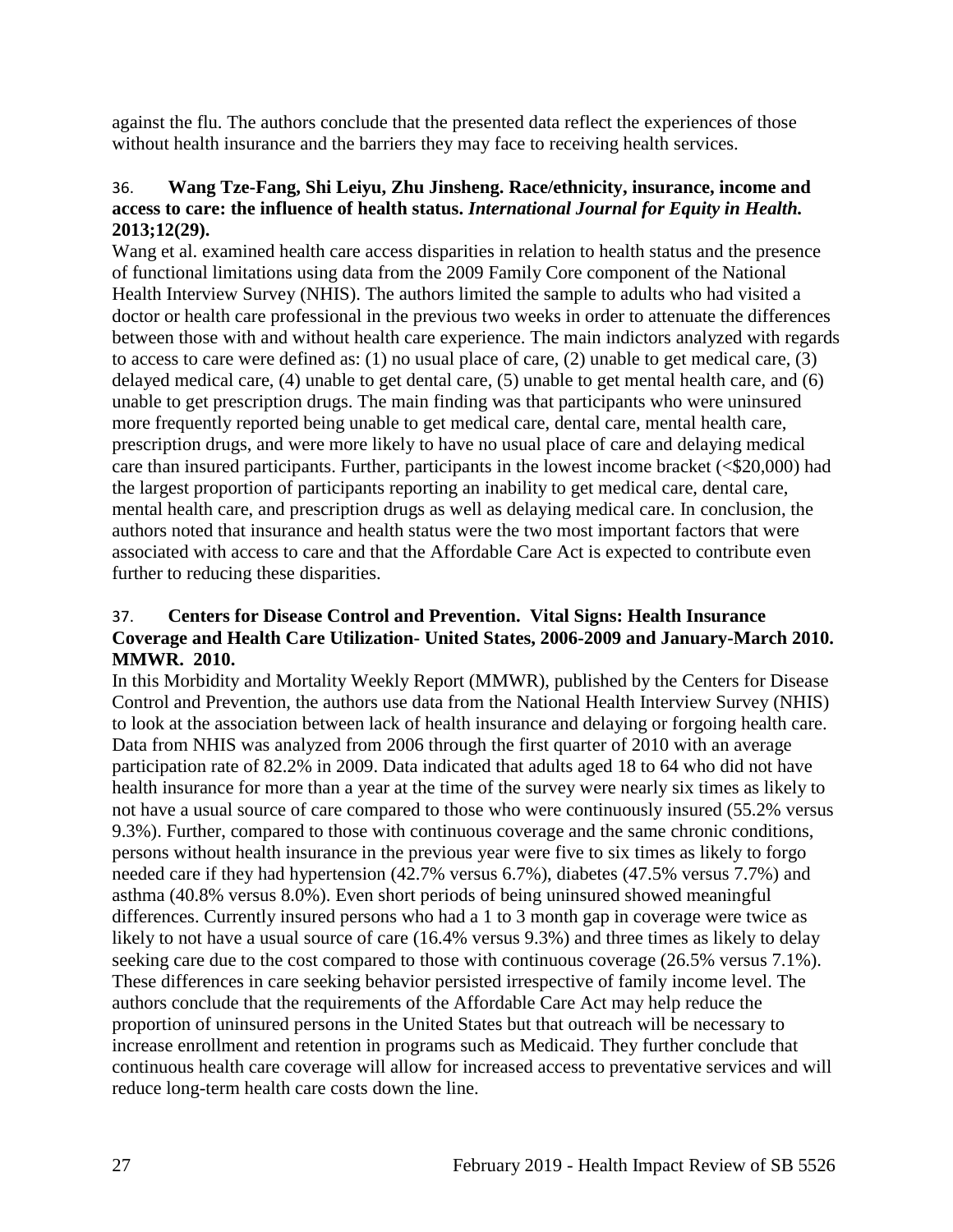against the flu. The authors conclude that the presented data reflect the experiences of those without health insurance and the barriers they may face to receiving health services.

### 36. **Wang Tze-Fang, Shi Leiyu, Zhu Jinsheng. Race/ethnicity, insurance, income and access to care: the influence of health status.** *International Journal for Equity in Health.*  **2013;12(29).**

Wang et al. examined health care access disparities in relation to health status and the presence of functional limitations using data from the 2009 Family Core component of the National Health Interview Survey (NHIS). The authors limited the sample to adults who had visited a doctor or health care professional in the previous two weeks in order to attenuate the differences between those with and without health care experience. The main indictors analyzed with regards to access to care were defined as: (1) no usual place of care, (2) unable to get medical care, (3) delayed medical care, (4) unable to get dental care, (5) unable to get mental health care, and (6) unable to get prescription drugs. The main finding was that participants who were uninsured more frequently reported being unable to get medical care, dental care, mental health care, prescription drugs, and were more likely to have no usual place of care and delaying medical care than insured participants. Further, participants in the lowest income bracket (<\$20,000) had the largest proportion of participants reporting an inability to get medical care, dental care, mental health care, and prescription drugs as well as delaying medical care. In conclusion, the authors noted that insurance and health status were the two most important factors that were associated with access to care and that the Affordable Care Act is expected to contribute even further to reducing these disparities.

### 37. **Centers for Disease Control and Prevention. Vital Signs: Health Insurance Coverage and Health Care Utilization- United States, 2006-2009 and January-March 2010. MMWR. 2010.**

In this Morbidity and Mortality Weekly Report (MMWR), published by the Centers for Disease Control and Prevention, the authors use data from the National Health Interview Survey (NHIS) to look at the association between lack of health insurance and delaying or forgoing health care. Data from NHIS was analyzed from 2006 through the first quarter of 2010 with an average participation rate of 82.2% in 2009. Data indicated that adults aged 18 to 64 who did not have health insurance for more than a year at the time of the survey were nearly six times as likely to not have a usual source of care compared to those who were continuously insured (55.2% versus 9.3%). Further, compared to those with continuous coverage and the same chronic conditions, persons without health insurance in the previous year were five to six times as likely to forgo needed care if they had hypertension (42.7% versus 6.7%), diabetes (47.5% versus 7.7%) and asthma (40.8% versus 8.0%). Even short periods of being uninsured showed meaningful differences. Currently insured persons who had a 1 to 3 month gap in coverage were twice as likely to not have a usual source of care (16.4% versus 9.3%) and three times as likely to delay seeking care due to the cost compared to those with continuous coverage (26.5% versus 7.1%). These differences in care seeking behavior persisted irrespective of family income level. The authors conclude that the requirements of the Affordable Care Act may help reduce the proportion of uninsured persons in the United States but that outreach will be necessary to increase enrollment and retention in programs such as Medicaid. They further conclude that continuous health care coverage will allow for increased access to preventative services and will reduce long-term health care costs down the line.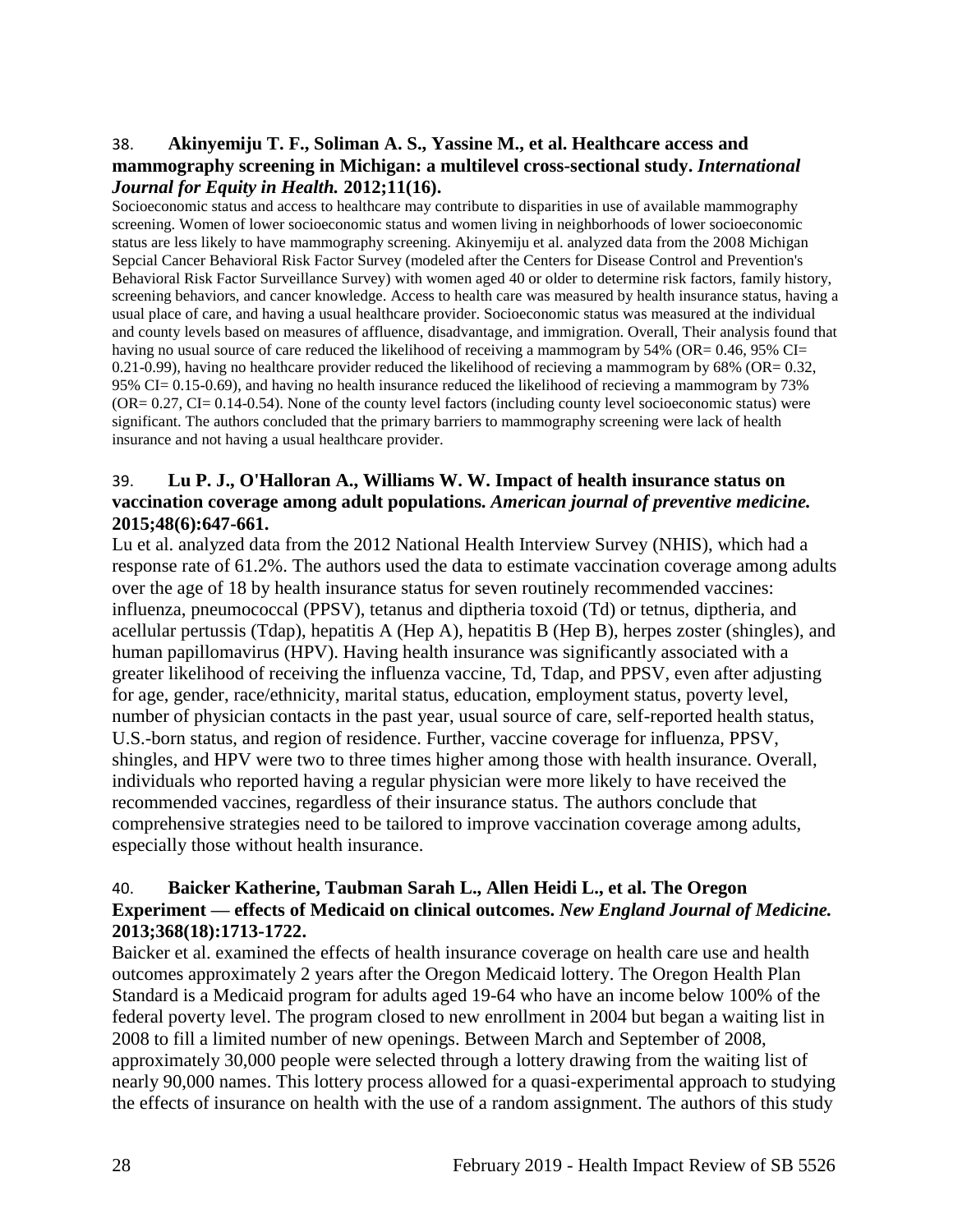### <span id="page-30-1"></span>38. **Akinyemiju T. F., Soliman A. S., Yassine M., et al. Healthcare access and mammography screening in Michigan: a multilevel cross-sectional study.** *International Journal for Equity in Health.* **2012;11(16).**

Socioeconomic status and access to healthcare may contribute to disparities in use of available mammography screening. Women of lower socioeconomic status and women living in neighborhoods of lower socioeconomic status are less likely to have mammography screening. Akinyemiju et al. analyzed data from the 2008 Michigan Sepcial Cancer Behavioral Risk Factor Survey (modeled after the Centers for Disease Control and Prevention's Behavioral Risk Factor Surveillance Survey) with women aged 40 or older to determine risk factors, family history, screening behaviors, and cancer knowledge. Access to health care was measured by health insurance status, having a usual place of care, and having a usual healthcare provider. Socioeconomic status was measured at the individual and county levels based on measures of affluence, disadvantage, and immigration. Overall, Their analysis found that having no usual source of care reduced the likelihood of receiving a mammogram by 54% (OR= 0.46, 95% CI= 0.21-0.99), having no healthcare provider reduced the likelihood of recieving a mammogram by  $68\%$  (OR=  $0.32$ , 95% CI= 0.15-0.69), and having no health insurance reduced the likelihood of recieving a mammogram by 73% (OR= 0.27, CI= 0.14-0.54). None of the county level factors (including county level socioeconomic status) were significant. The authors concluded that the primary barriers to mammography screening were lack of health insurance and not having a usual healthcare provider.

### 39. **Lu P. J., O'Halloran A., Williams W. W. Impact of health insurance status on vaccination coverage among adult populations.** *American journal of preventive medicine.*  **2015;48(6):647-661.**

Lu et al. analyzed data from the 2012 National Health Interview Survey (NHIS), which had a response rate of 61.2%. The authors used the data to estimate vaccination coverage among adults over the age of 18 by health insurance status for seven routinely recommended vaccines: influenza, pneumococcal (PPSV), tetanus and diptheria toxoid (Td) or tetnus, diptheria, and acellular pertussis (Tdap), hepatitis A (Hep A), hepatitis B (Hep B), herpes zoster (shingles), and human papillomavirus (HPV). Having health insurance was significantly associated with a greater likelihood of receiving the influenza vaccine, Td, Tdap, and PPSV, even after adjusting for age, gender, race/ethnicity, marital status, education, employment status, poverty level, number of physician contacts in the past year, usual source of care, self-reported health status, U.S.-born status, and region of residence. Further, vaccine coverage for influenza, PPSV, shingles, and HPV were two to three times higher among those with health insurance. Overall, individuals who reported having a regular physician were more likely to have received the recommended vaccines, regardless of their insurance status. The authors conclude that comprehensive strategies need to be tailored to improve vaccination coverage among adults, especially those without health insurance.

### <span id="page-30-0"></span>40. **Baicker Katherine, Taubman Sarah L., Allen Heidi L., et al. The Oregon Experiment — effects of Medicaid on clinical outcomes.** *New England Journal of Medicine.*  **2013;368(18):1713-1722.**

Baicker et al. examined the effects of health insurance coverage on health care use and health outcomes approximately 2 years after the Oregon Medicaid lottery. The Oregon Health Plan Standard is a Medicaid program for adults aged 19-64 who have an income below 100% of the federal poverty level. The program closed to new enrollment in 2004 but began a waiting list in 2008 to fill a limited number of new openings. Between March and September of 2008, approximately 30,000 people were selected through a lottery drawing from the waiting list of nearly 90,000 names. This lottery process allowed for a quasi-experimental approach to studying the effects of insurance on health with the use of a random assignment. The authors of this study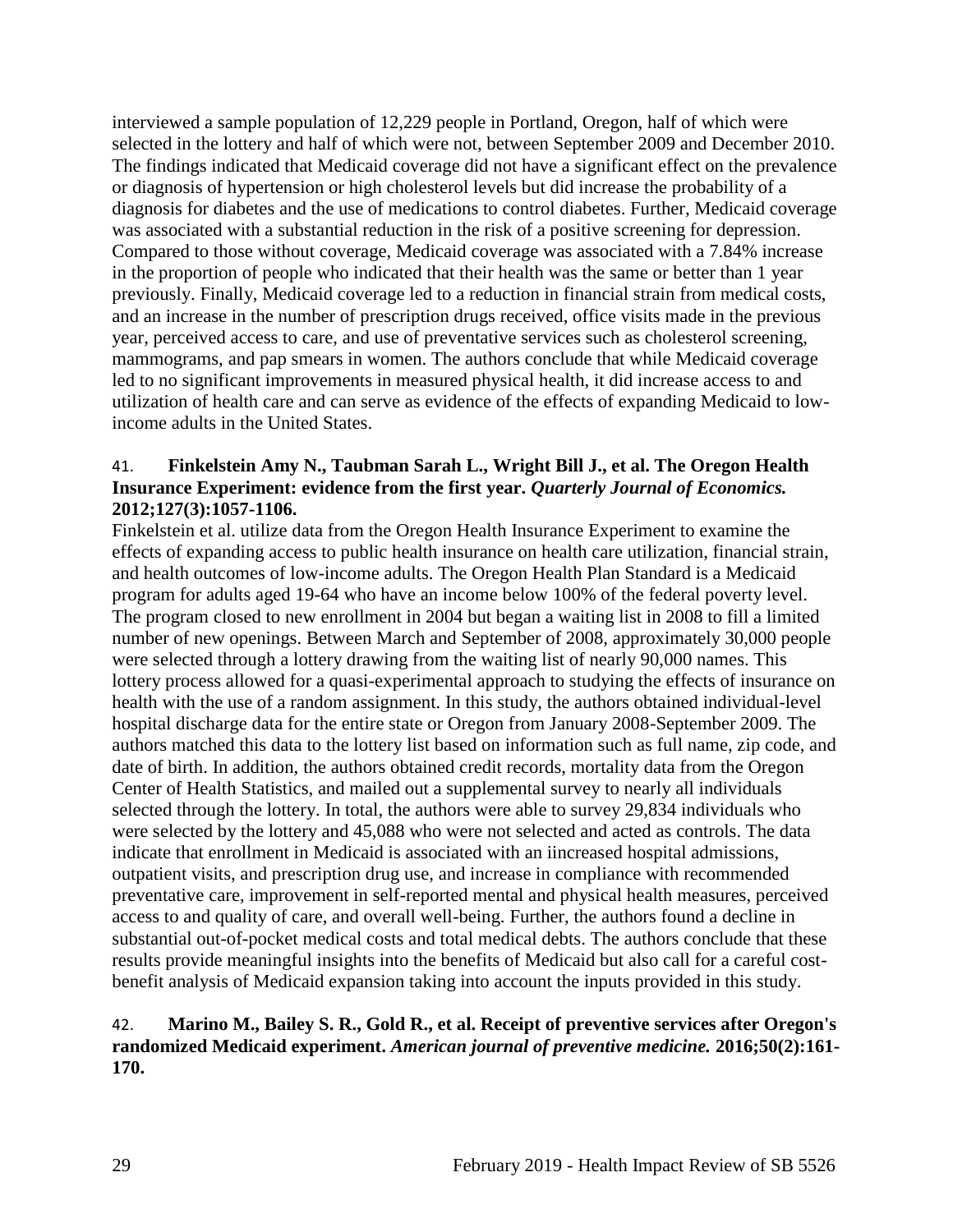interviewed a sample population of 12,229 people in Portland, Oregon, half of which were selected in the lottery and half of which were not, between September 2009 and December 2010. The findings indicated that Medicaid coverage did not have a significant effect on the prevalence or diagnosis of hypertension or high cholesterol levels but did increase the probability of a diagnosis for diabetes and the use of medications to control diabetes. Further, Medicaid coverage was associated with a substantial reduction in the risk of a positive screening for depression. Compared to those without coverage, Medicaid coverage was associated with a 7.84% increase in the proportion of people who indicated that their health was the same or better than 1 year previously. Finally, Medicaid coverage led to a reduction in financial strain from medical costs, and an increase in the number of prescription drugs received, office visits made in the previous year, perceived access to care, and use of preventative services such as cholesterol screening, mammograms, and pap smears in women. The authors conclude that while Medicaid coverage led to no significant improvements in measured physical health, it did increase access to and utilization of health care and can serve as evidence of the effects of expanding Medicaid to lowincome adults in the United States.

### <span id="page-31-0"></span>41. **Finkelstein Amy N., Taubman Sarah L., Wright Bill J., et al. The Oregon Health Insurance Experiment: evidence from the first year.** *Quarterly Journal of Economics.*  **2012;127(3):1057-1106.**

Finkelstein et al. utilize data from the Oregon Health Insurance Experiment to examine the effects of expanding access to public health insurance on health care utilization, financial strain, and health outcomes of low-income adults. The Oregon Health Plan Standard is a Medicaid program for adults aged 19-64 who have an income below 100% of the federal poverty level. The program closed to new enrollment in 2004 but began a waiting list in 2008 to fill a limited number of new openings. Between March and September of 2008, approximately 30,000 people were selected through a lottery drawing from the waiting list of nearly 90,000 names. This lottery process allowed for a quasi-experimental approach to studying the effects of insurance on health with the use of a random assignment. In this study, the authors obtained individual-level hospital discharge data for the entire state or Oregon from January 2008-September 2009. The authors matched this data to the lottery list based on information such as full name, zip code, and date of birth. In addition, the authors obtained credit records, mortality data from the Oregon Center of Health Statistics, and mailed out a supplemental survey to nearly all individuals selected through the lottery. In total, the authors were able to survey 29,834 individuals who were selected by the lottery and 45,088 who were not selected and acted as controls. The data indicate that enrollment in Medicaid is associated with an iincreased hospital admissions, outpatient visits, and prescription drug use, and increase in compliance with recommended preventative care, improvement in self-reported mental and physical health measures, perceived access to and quality of care, and overall well-being. Further, the authors found a decline in substantial out-of-pocket medical costs and total medical debts. The authors conclude that these results provide meaningful insights into the benefits of Medicaid but also call for a careful costbenefit analysis of Medicaid expansion taking into account the inputs provided in this study.

### 42. **Marino M., Bailey S. R., Gold R., et al. Receipt of preventive services after Oregon's randomized Medicaid experiment.** *American journal of preventive medicine.* **2016;50(2):161- 170.**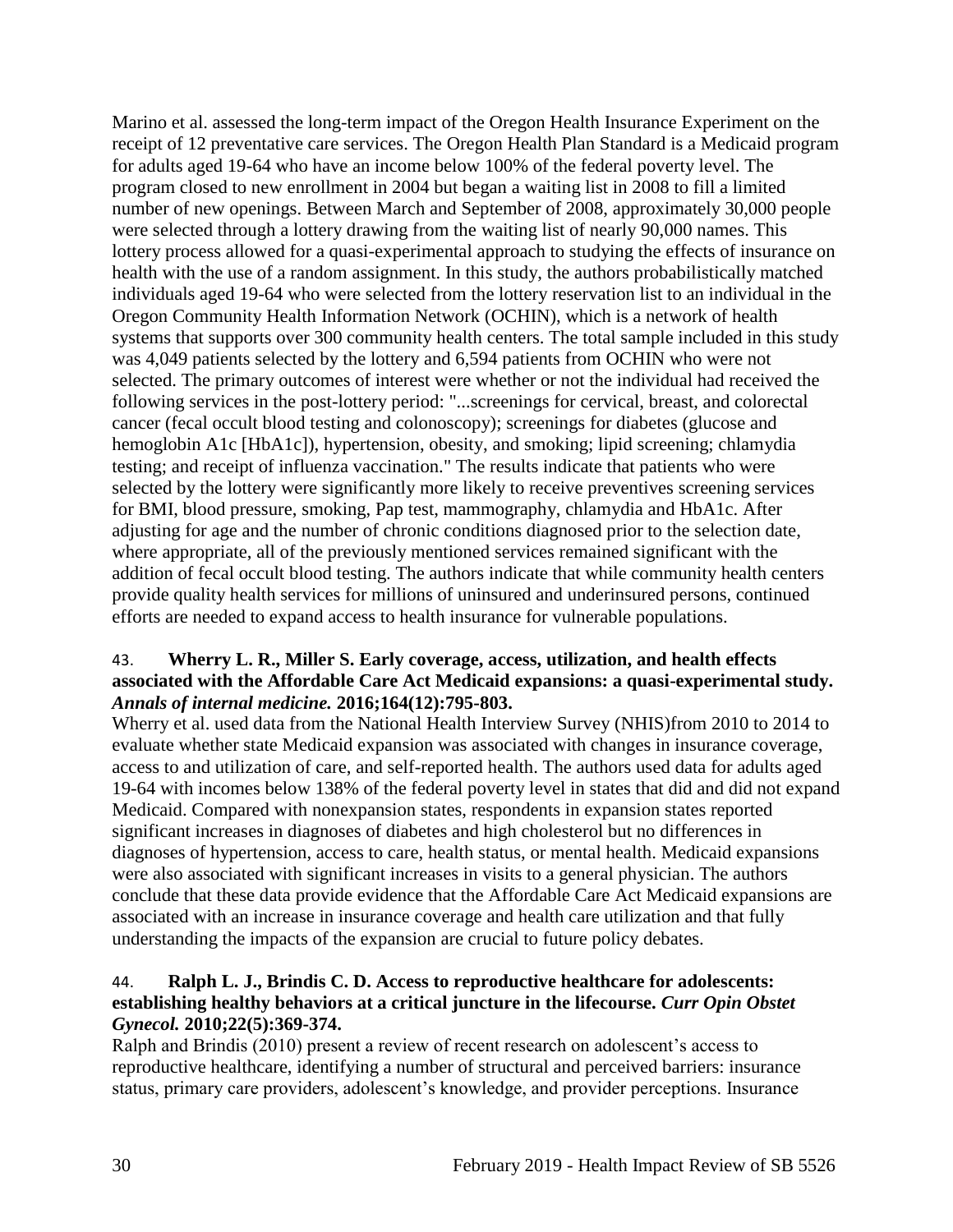Marino et al. assessed the long-term impact of the Oregon Health Insurance Experiment on the receipt of 12 preventative care services. The Oregon Health Plan Standard is a Medicaid program for adults aged 19-64 who have an income below 100% of the federal poverty level. The program closed to new enrollment in 2004 but began a waiting list in 2008 to fill a limited number of new openings. Between March and September of 2008, approximately 30,000 people were selected through a lottery drawing from the waiting list of nearly 90,000 names. This lottery process allowed for a quasi-experimental approach to studying the effects of insurance on health with the use of a random assignment. In this study, the authors probabilistically matched individuals aged 19-64 who were selected from the lottery reservation list to an individual in the Oregon Community Health Information Network (OCHIN), which is a network of health systems that supports over 300 community health centers. The total sample included in this study was 4,049 patients selected by the lottery and 6,594 patients from OCHIN who were not selected. The primary outcomes of interest were whether or not the individual had received the following services in the post-lottery period: "...screenings for cervical, breast, and colorectal cancer (fecal occult blood testing and colonoscopy); screenings for diabetes (glucose and hemoglobin A1c [HbA1c]), hypertension, obesity, and smoking; lipid screening; chlamydia testing; and receipt of influenza vaccination." The results indicate that patients who were selected by the lottery were significantly more likely to receive preventives screening services for BMI, blood pressure, smoking, Pap test, mammography, chlamydia and HbA1c. After adjusting for age and the number of chronic conditions diagnosed prior to the selection date, where appropriate, all of the previously mentioned services remained significant with the addition of fecal occult blood testing. The authors indicate that while community health centers provide quality health services for millions of uninsured and underinsured persons, continued efforts are needed to expand access to health insurance for vulnerable populations.

# <span id="page-32-0"></span>43. **Wherry L. R., Miller S. Early coverage, access, utilization, and health effects associated with the Affordable Care Act Medicaid expansions: a quasi-experimental study.**  *Annals of internal medicine.* **2016;164(12):795-803.**

Wherry et al. used data from the National Health Interview Survey (NHIS)from 2010 to 2014 to evaluate whether state Medicaid expansion was associated with changes in insurance coverage, access to and utilization of care, and self-reported health. The authors used data for adults aged 19-64 with incomes below 138% of the federal poverty level in states that did and did not expand Medicaid. Compared with nonexpansion states, respondents in expansion states reported significant increases in diagnoses of diabetes and high cholesterol but no differences in diagnoses of hypertension, access to care, health status, or mental health. Medicaid expansions were also associated with significant increases in visits to a general physician. The authors conclude that these data provide evidence that the Affordable Care Act Medicaid expansions are associated with an increase in insurance coverage and health care utilization and that fully understanding the impacts of the expansion are crucial to future policy debates.

# 44. **Ralph L. J., Brindis C. D. Access to reproductive healthcare for adolescents: establishing healthy behaviors at a critical juncture in the lifecourse.** *Curr Opin Obstet Gynecol.* **2010;22(5):369-374.**

Ralph and Brindis (2010) present a review of recent research on adolescent's access to reproductive healthcare, identifying a number of structural and perceived barriers: insurance status, primary care providers, adolescent's knowledge, and provider perceptions. Insurance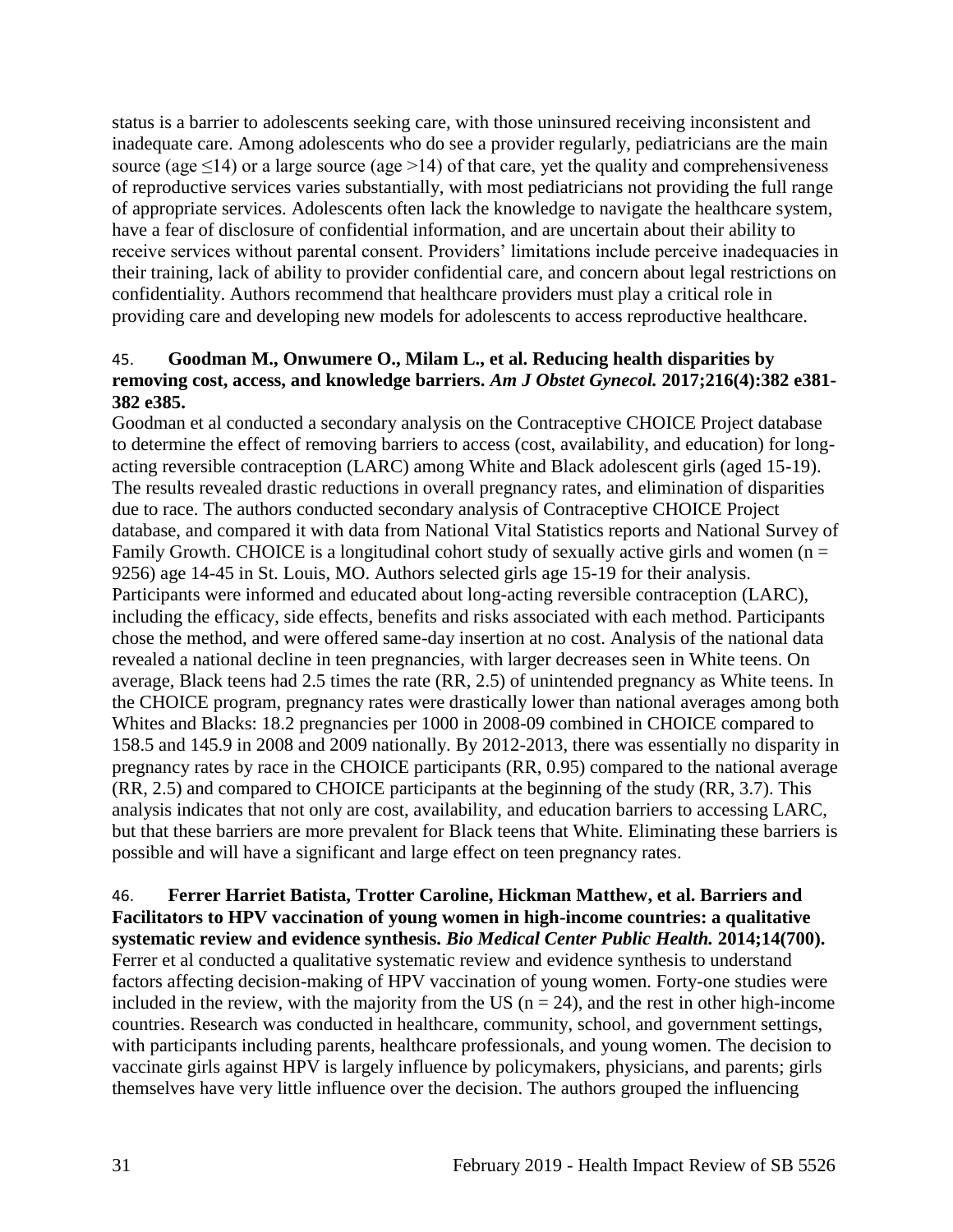status is a barrier to adolescents seeking care, with those uninsured receiving inconsistent and inadequate care. Among adolescents who do see a provider regularly, pediatricians are the main source (age  $\leq$ 14) or a large source (age >14) of that care, yet the quality and comprehensiveness of reproductive services varies substantially, with most pediatricians not providing the full range of appropriate services. Adolescents often lack the knowledge to navigate the healthcare system, have a fear of disclosure of confidential information, and are uncertain about their ability to receive services without parental consent. Providers' limitations include perceive inadequacies in their training, lack of ability to provider confidential care, and concern about legal restrictions on confidentiality. Authors recommend that healthcare providers must play a critical role in providing care and developing new models for adolescents to access reproductive healthcare.

### 45. **Goodman M., Onwumere O., Milam L., et al. Reducing health disparities by removing cost, access, and knowledge barriers.** *Am J Obstet Gynecol.* **2017;216(4):382 e381- 382 e385.**

Goodman et al conducted a secondary analysis on the Contraceptive CHOICE Project database to determine the effect of removing barriers to access (cost, availability, and education) for longacting reversible contraception (LARC) among White and Black adolescent girls (aged 15-19). The results revealed drastic reductions in overall pregnancy rates, and elimination of disparities due to race. The authors conducted secondary analysis of Contraceptive CHOICE Project database, and compared it with data from National Vital Statistics reports and National Survey of Family Growth. CHOICE is a longitudinal cohort study of sexually active girls and women ( $n =$ 9256) age 14-45 in St. Louis, MO. Authors selected girls age 15-19 for their analysis. Participants were informed and educated about long-acting reversible contraception (LARC), including the efficacy, side effects, benefits and risks associated with each method. Participants chose the method, and were offered same-day insertion at no cost. Analysis of the national data revealed a national decline in teen pregnancies, with larger decreases seen in White teens. On average, Black teens had 2.5 times the rate (RR, 2.5) of unintended pregnancy as White teens. In the CHOICE program, pregnancy rates were drastically lower than national averages among both Whites and Blacks: 18.2 pregnancies per 1000 in 2008-09 combined in CHOICE compared to 158.5 and 145.9 in 2008 and 2009 nationally. By 2012-2013, there was essentially no disparity in pregnancy rates by race in the CHOICE participants (RR, 0.95) compared to the national average (RR, 2.5) and compared to CHOICE participants at the beginning of the study (RR, 3.7). This analysis indicates that not only are cost, availability, and education barriers to accessing LARC, but that these barriers are more prevalent for Black teens that White. Eliminating these barriers is possible and will have a significant and large effect on teen pregnancy rates.

46. **Ferrer Harriet Batista, Trotter Caroline, Hickman Matthew, et al. Barriers and Facilitators to HPV vaccination of young women in high-income countries: a qualitative systematic review and evidence synthesis.** *Bio Medical Center Public Health.* **2014;14(700).** Ferrer et al conducted a qualitative systematic review and evidence synthesis to understand factors affecting decision-making of HPV vaccination of young women. Forty-one studies were included in the review, with the majority from the US ( $n = 24$ ), and the rest in other high-income countries. Research was conducted in healthcare, community, school, and government settings, with participants including parents, healthcare professionals, and young women. The decision to vaccinate girls against HPV is largely influence by policymakers, physicians, and parents; girls themselves have very little influence over the decision. The authors grouped the influencing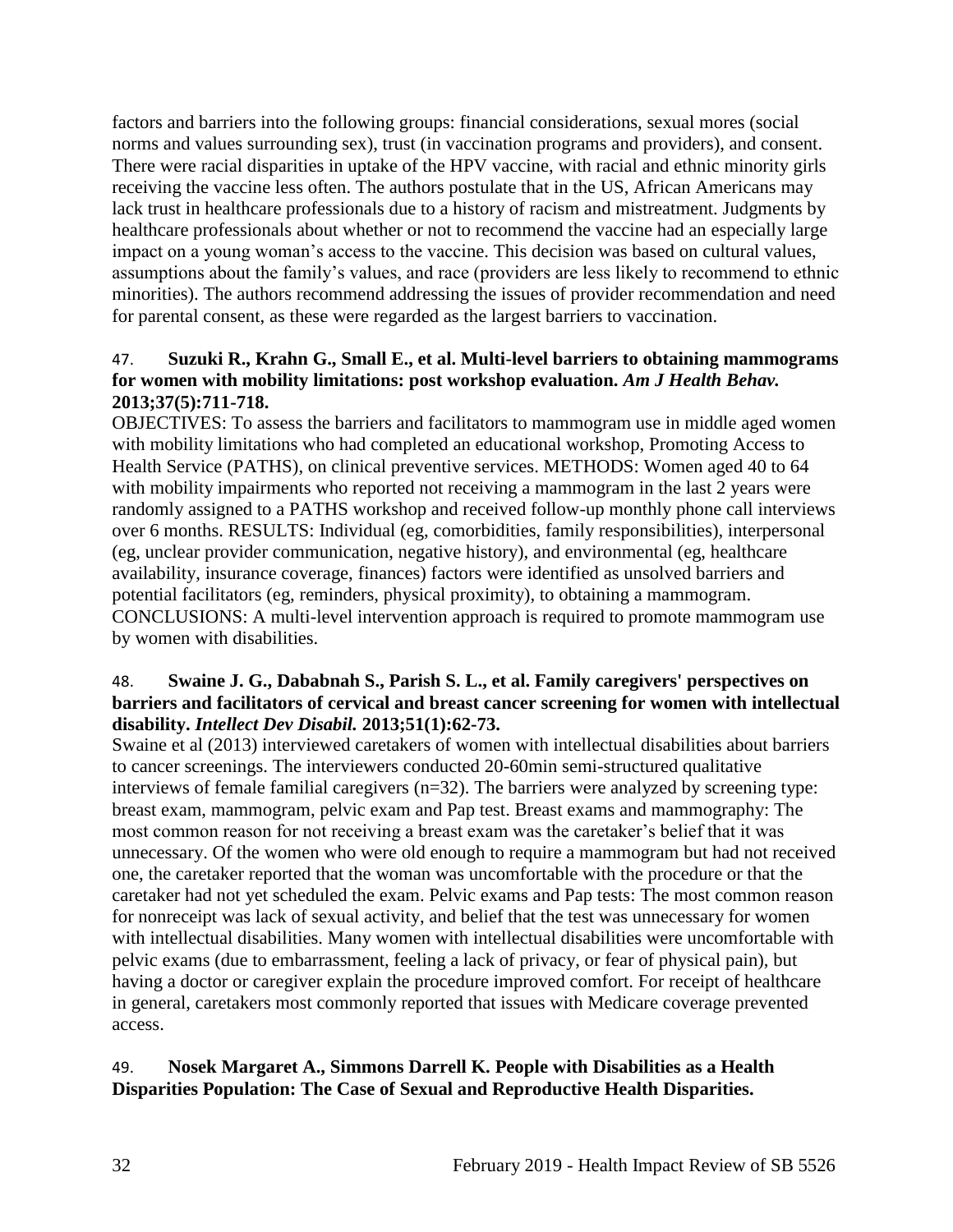factors and barriers into the following groups: financial considerations, sexual mores (social norms and values surrounding sex), trust (in vaccination programs and providers), and consent. There were racial disparities in uptake of the HPV vaccine, with racial and ethnic minority girls receiving the vaccine less often. The authors postulate that in the US, African Americans may lack trust in healthcare professionals due to a history of racism and mistreatment. Judgments by healthcare professionals about whether or not to recommend the vaccine had an especially large impact on a young woman's access to the vaccine. This decision was based on cultural values, assumptions about the family's values, and race (providers are less likely to recommend to ethnic minorities). The authors recommend addressing the issues of provider recommendation and need for parental consent, as these were regarded as the largest barriers to vaccination.

### 47. **Suzuki R., Krahn G., Small E., et al. Multi-level barriers to obtaining mammograms for women with mobility limitations: post workshop evaluation.** *Am J Health Behav.*  **2013;37(5):711-718.**

OBJECTIVES: To assess the barriers and facilitators to mammogram use in middle aged women with mobility limitations who had completed an educational workshop, Promoting Access to Health Service (PATHS), on clinical preventive services. METHODS: Women aged 40 to 64 with mobility impairments who reported not receiving a mammogram in the last 2 years were randomly assigned to a PATHS workshop and received follow-up monthly phone call interviews over 6 months. RESULTS: Individual (eg, comorbidities, family responsibilities), interpersonal (eg, unclear provider communication, negative history), and environmental (eg, healthcare availability, insurance coverage, finances) factors were identified as unsolved barriers and potential facilitators (eg, reminders, physical proximity), to obtaining a mammogram. CONCLUSIONS: A multi-level intervention approach is required to promote mammogram use by women with disabilities.

### 48. **Swaine J. G., Dababnah S., Parish S. L., et al. Family caregivers' perspectives on barriers and facilitators of cervical and breast cancer screening for women with intellectual disability.** *Intellect Dev Disabil.* **2013;51(1):62-73.**

Swaine et al (2013) interviewed caretakers of women with intellectual disabilities about barriers to cancer screenings. The interviewers conducted 20-60min semi-structured qualitative interviews of female familial caregivers (n=32). The barriers were analyzed by screening type: breast exam, mammogram, pelvic exam and Pap test. Breast exams and mammography: The most common reason for not receiving a breast exam was the caretaker's belief that it was unnecessary. Of the women who were old enough to require a mammogram but had not received one, the caretaker reported that the woman was uncomfortable with the procedure or that the caretaker had not yet scheduled the exam. Pelvic exams and Pap tests: The most common reason for nonreceipt was lack of sexual activity, and belief that the test was unnecessary for women with intellectual disabilities. Many women with intellectual disabilities were uncomfortable with pelvic exams (due to embarrassment, feeling a lack of privacy, or fear of physical pain), but having a doctor or caregiver explain the procedure improved comfort. For receipt of healthcare in general, caretakers most commonly reported that issues with Medicare coverage prevented access.

# <span id="page-34-0"></span>49. **Nosek Margaret A., Simmons Darrell K. People with Disabilities as a Health Disparities Population: The Case of Sexual and Reproductive Health Disparities.**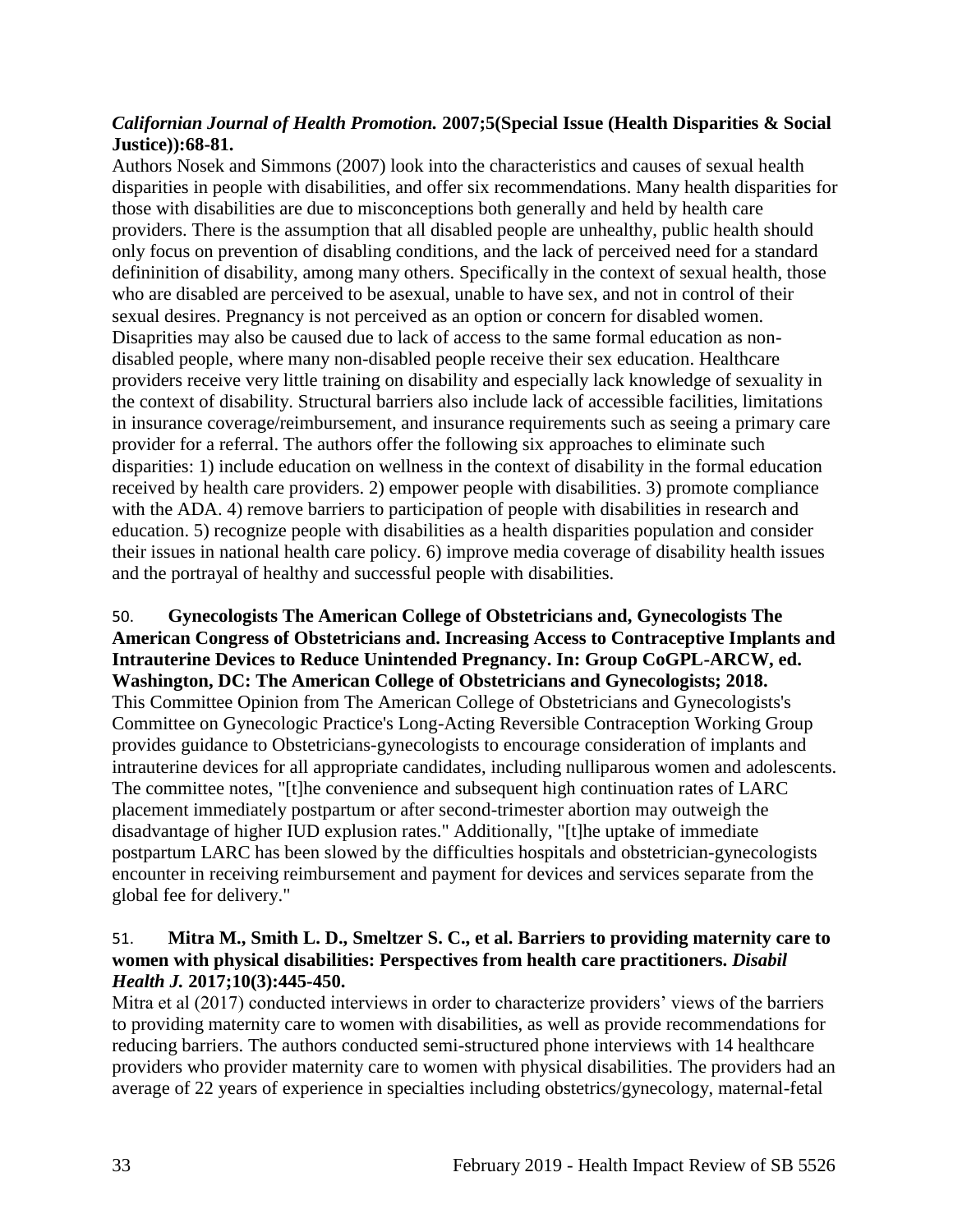### *Californian Journal of Health Promotion.* **2007;5(Special Issue (Health Disparities & Social Justice)):68-81.**

Authors Nosek and Simmons (2007) look into the characteristics and causes of sexual health disparities in people with disabilities, and offer six recommendations. Many health disparities for those with disabilities are due to misconceptions both generally and held by health care providers. There is the assumption that all disabled people are unhealthy, public health should only focus on prevention of disabling conditions, and the lack of perceived need for a standard defininition of disability, among many others. Specifically in the context of sexual health, those who are disabled are perceived to be asexual, unable to have sex, and not in control of their sexual desires. Pregnancy is not perceived as an option or concern for disabled women. Disaprities may also be caused due to lack of access to the same formal education as nondisabled people, where many non-disabled people receive their sex education. Healthcare providers receive very little training on disability and especially lack knowledge of sexuality in the context of disability. Structural barriers also include lack of accessible facilities, limitations in insurance coverage/reimbursement, and insurance requirements such as seeing a primary care provider for a referral. The authors offer the following six approaches to eliminate such disparities: 1) include education on wellness in the context of disability in the formal education received by health care providers. 2) empower people with disabilities. 3) promote compliance with the ADA. 4) remove barriers to participation of people with disabilities in research and education. 5) recognize people with disabilities as a health disparities population and consider their issues in national health care policy. 6) improve media coverage of disability health issues and the portrayal of healthy and successful people with disabilities.

50. **Gynecologists The American College of Obstetricians and, Gynecologists The American Congress of Obstetricians and. Increasing Access to Contraceptive Implants and Intrauterine Devices to Reduce Unintended Pregnancy. In: Group CoGPL-ARCW, ed. Washington, DC: The American College of Obstetricians and Gynecologists; 2018.** This Committee Opinion from The American College of Obstetricians and Gynecologists's Committee on Gynecologic Practice's Long-Acting Reversible Contraception Working Group provides guidance to Obstetricians-gynecologists to encourage consideration of implants and intrauterine devices for all appropriate candidates, including nulliparous women and adolescents. The committee notes, "[t]he convenience and subsequent high continuation rates of LARC placement immediately postpartum or after second-trimester abortion may outweigh the disadvantage of higher IUD explusion rates." Additionally, "[t]he uptake of immediate postpartum LARC has been slowed by the difficulties hospitals and obstetrician-gynecologists encounter in receiving reimbursement and payment for devices and services separate from the global fee for delivery."

# <span id="page-35-0"></span>51. **Mitra M., Smith L. D., Smeltzer S. C., et al. Barriers to providing maternity care to women with physical disabilities: Perspectives from health care practitioners.** *Disabil Health J.* **2017;10(3):445-450.**

Mitra et al (2017) conducted interviews in order to characterize providers' views of the barriers to providing maternity care to women with disabilities, as well as provide recommendations for reducing barriers. The authors conducted semi-structured phone interviews with 14 healthcare providers who provider maternity care to women with physical disabilities. The providers had an average of 22 years of experience in specialties including obstetrics/gynecology, maternal-fetal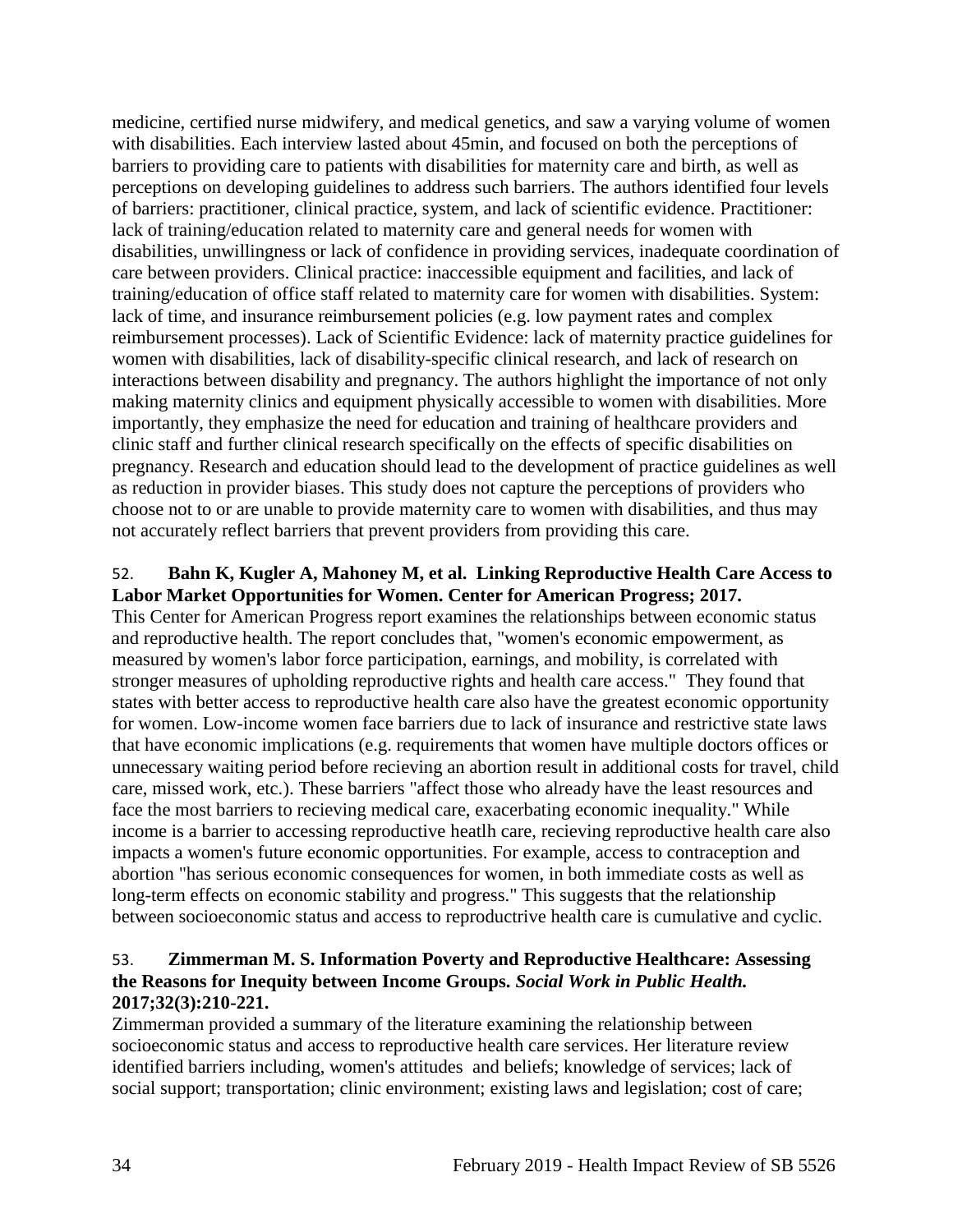medicine, certified nurse midwifery, and medical genetics, and saw a varying volume of women with disabilities. Each interview lasted about 45min, and focused on both the perceptions of barriers to providing care to patients with disabilities for maternity care and birth, as well as perceptions on developing guidelines to address such barriers. The authors identified four levels of barriers: practitioner, clinical practice, system, and lack of scientific evidence. Practitioner: lack of training/education related to maternity care and general needs for women with disabilities, unwillingness or lack of confidence in providing services, inadequate coordination of care between providers. Clinical practice: inaccessible equipment and facilities, and lack of training/education of office staff related to maternity care for women with disabilities. System: lack of time, and insurance reimbursement policies (e.g. low payment rates and complex reimbursement processes). Lack of Scientific Evidence: lack of maternity practice guidelines for women with disabilities, lack of disability-specific clinical research, and lack of research on interactions between disability and pregnancy. The authors highlight the importance of not only making maternity clinics and equipment physically accessible to women with disabilities. More importantly, they emphasize the need for education and training of healthcare providers and clinic staff and further clinical research specifically on the effects of specific disabilities on pregnancy. Research and education should lead to the development of practice guidelines as well as reduction in provider biases. This study does not capture the perceptions of providers who choose not to or are unable to provide maternity care to women with disabilities, and thus may not accurately reflect barriers that prevent providers from providing this care.

# <span id="page-36-0"></span>52. **Bahn K, Kugler A, Mahoney M, et al. Linking Reproductive Health Care Access to Labor Market Opportunities for Women. Center for American Progress; 2017.**

This Center for American Progress report examines the relationships between economic status and reproductive health. The report concludes that, "women's economic empowerment, as measured by women's labor force participation, earnings, and mobility, is correlated with stronger measures of upholding reproductive rights and health care access." They found that states with better access to reproductive health care also have the greatest economic opportunity for women. Low-income women face barriers due to lack of insurance and restrictive state laws that have economic implications (e.g. requirements that women have multiple doctors offices or unnecessary waiting period before recieving an abortion result in additional costs for travel, child care, missed work, etc.). These barriers "affect those who already have the least resources and face the most barriers to recieving medical care, exacerbating economic inequality." While income is a barrier to accessing reproductive heatlh care, recieving reproductive health care also impacts a women's future economic opportunities. For example, access to contraception and abortion "has serious economic consequences for women, in both immediate costs as well as long-term effects on economic stability and progress." This suggests that the relationship between socioeconomic status and access to reproductrive health care is cumulative and cyclic.

# <span id="page-36-1"></span>53. **Zimmerman M. S. Information Poverty and Reproductive Healthcare: Assessing the Reasons for Inequity between Income Groups.** *Social Work in Public Health.*  **2017;32(3):210-221.**

Zimmerman provided a summary of the literature examining the relationship between socioeconomic status and access to reproductive health care services. Her literature review identified barriers including, women's attitudes and beliefs; knowledge of services; lack of social support; transportation; clinic environment; existing laws and legislation; cost of care;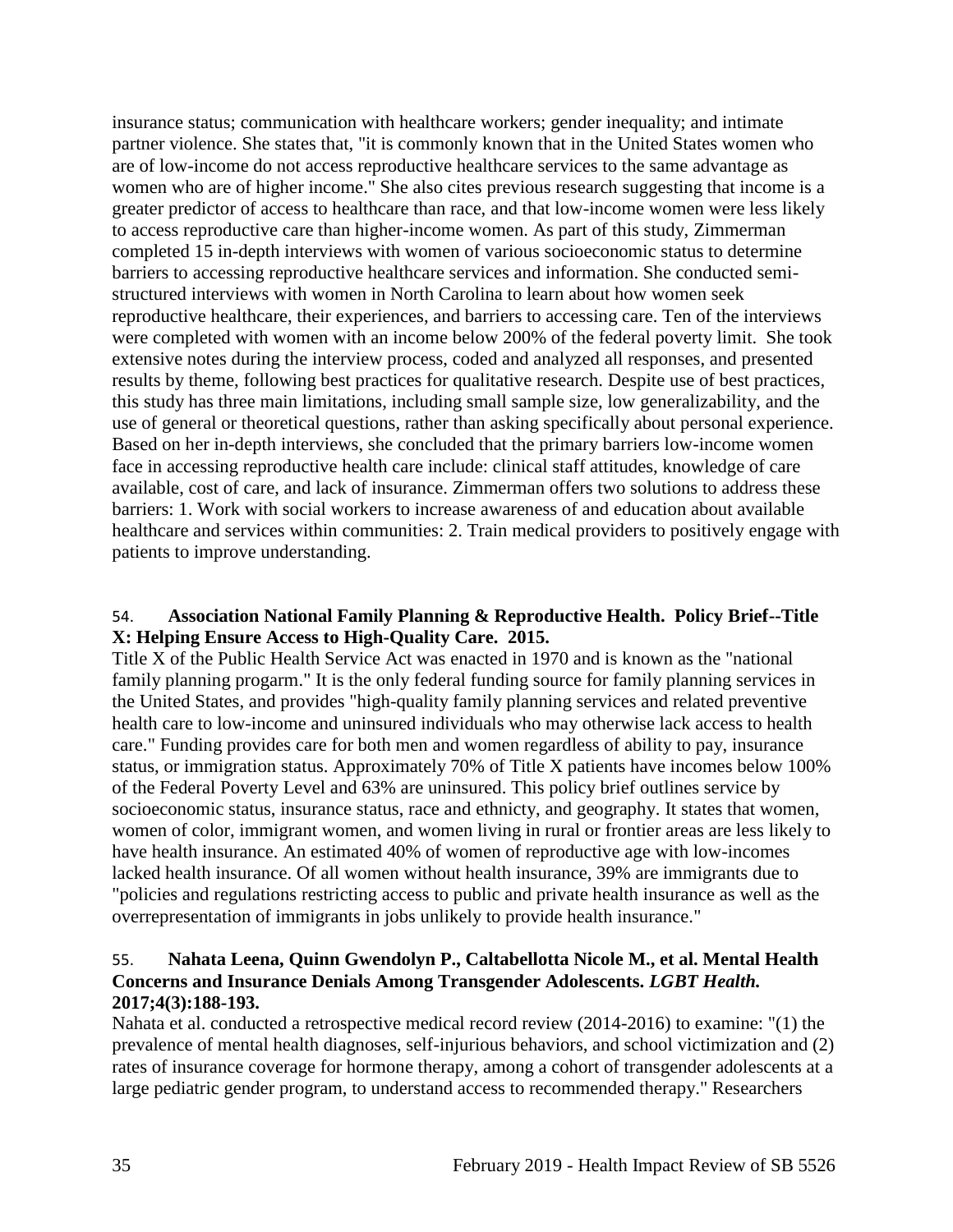insurance status; communication with healthcare workers; gender inequality; and intimate partner violence. She states that, "it is commonly known that in the United States women who are of low-income do not access reproductive healthcare services to the same advantage as women who are of higher income." She also cites previous research suggesting that income is a greater predictor of access to healthcare than race, and that low-income women were less likely to access reproductive care than higher-income women. As part of this study, Zimmerman completed 15 in-depth interviews with women of various socioeconomic status to determine barriers to accessing reproductive healthcare services and information. She conducted semistructured interviews with women in North Carolina to learn about how women seek reproductive healthcare, their experiences, and barriers to accessing care. Ten of the interviews were completed with women with an income below 200% of the federal poverty limit. She took extensive notes during the interview process, coded and analyzed all responses, and presented results by theme, following best practices for qualitative research. Despite use of best practices, this study has three main limitations, including small sample size, low generalizability, and the use of general or theoretical questions, rather than asking specifically about personal experience. Based on her in-depth interviews, she concluded that the primary barriers low-income women face in accessing reproductive health care include: clinical staff attitudes, knowledge of care available, cost of care, and lack of insurance. Zimmerman offers two solutions to address these barriers: 1. Work with social workers to increase awareness of and education about available healthcare and services within communities: 2. Train medical providers to positively engage with patients to improve understanding.

### <span id="page-37-0"></span>54. **Association National Family Planning & Reproductive Health. Policy Brief--Title X: Helping Ensure Access to High-Quality Care. 2015.**

Title X of the Public Health Service Act was enacted in 1970 and is known as the "national family planning progarm." It is the only federal funding source for family planning services in the United States, and provides "high-quality family planning services and related preventive health care to low-income and uninsured individuals who may otherwise lack access to health care." Funding provides care for both men and women regardless of ability to pay, insurance status, or immigration status. Approximately 70% of Title X patients have incomes below 100% of the Federal Poverty Level and 63% are uninsured. This policy brief outlines service by socioeconomic status, insurance status, race and ethnicty, and geography. It states that women, women of color, immigrant women, and women living in rural or frontier areas are less likely to have health insurance. An estimated 40% of women of reproductive age with low-incomes lacked health insurance. Of all women without health insurance, 39% are immigrants due to "policies and regulations restricting access to public and private health insurance as well as the overrepresentation of immigrants in jobs unlikely to provide health insurance."

# 55. **Nahata Leena, Quinn Gwendolyn P., Caltabellotta Nicole M., et al. Mental Health Concerns and Insurance Denials Among Transgender Adolescents.** *LGBT Health.*  **2017;4(3):188-193.**

Nahata et al. conducted a retrospective medical record review (2014-2016) to examine: "(1) the prevalence of mental health diagnoses, self-injurious behaviors, and school victimization and (2) rates of insurance coverage for hormone therapy, among a cohort of transgender adolescents at a large pediatric gender program, to understand access to recommended therapy." Researchers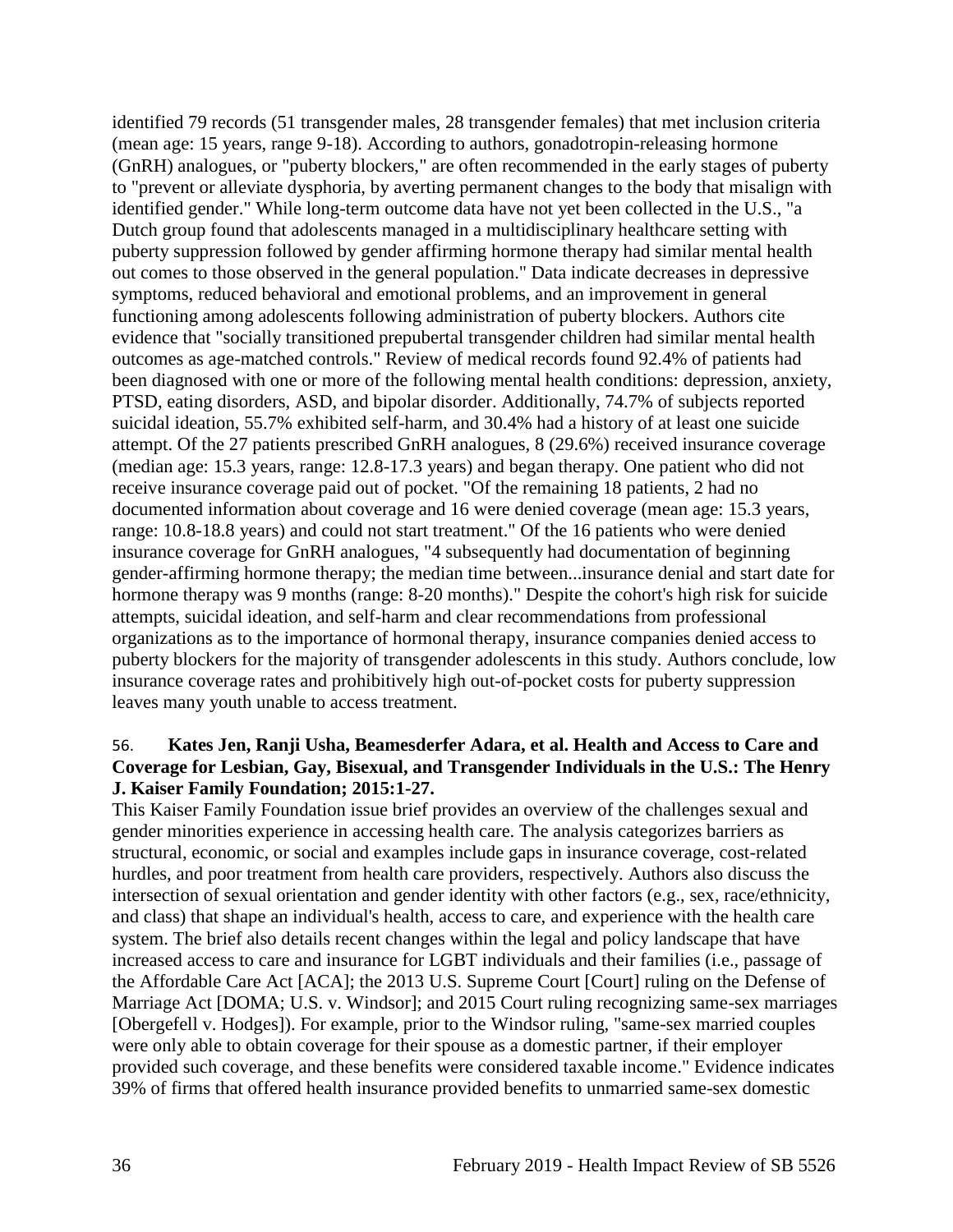identified 79 records (51 transgender males, 28 transgender females) that met inclusion criteria (mean age: 15 years, range 9-18). According to authors, gonadotropin-releasing hormone (GnRH) analogues, or "puberty blockers," are often recommended in the early stages of puberty to "prevent or alleviate dysphoria, by averting permanent changes to the body that misalign with identified gender." While long-term outcome data have not yet been collected in the U.S., "a Dutch group found that adolescents managed in a multidisciplinary healthcare setting with puberty suppression followed by gender affirming hormone therapy had similar mental health out comes to those observed in the general population." Data indicate decreases in depressive symptoms, reduced behavioral and emotional problems, and an improvement in general functioning among adolescents following administration of puberty blockers. Authors cite evidence that "socially transitioned prepubertal transgender children had similar mental health outcomes as age-matched controls." Review of medical records found 92.4% of patients had been diagnosed with one or more of the following mental health conditions: depression, anxiety, PTSD, eating disorders, ASD, and bipolar disorder. Additionally, 74.7% of subjects reported suicidal ideation, 55.7% exhibited self-harm, and 30.4% had a history of at least one suicide attempt. Of the 27 patients prescribed GnRH analogues, 8 (29.6%) received insurance coverage (median age: 15.3 years, range: 12.8-17.3 years) and began therapy. One patient who did not receive insurance coverage paid out of pocket. "Of the remaining 18 patients, 2 had no documented information about coverage and 16 were denied coverage (mean age: 15.3 years, range: 10.8-18.8 years) and could not start treatment." Of the 16 patients who were denied insurance coverage for GnRH analogues, "4 subsequently had documentation of beginning gender-affirming hormone therapy; the median time between...insurance denial and start date for hormone therapy was 9 months (range: 8-20 months)." Despite the cohort's high risk for suicide attempts, suicidal ideation, and self-harm and clear recommendations from professional organizations as to the importance of hormonal therapy, insurance companies denied access to puberty blockers for the majority of transgender adolescents in this study. Authors conclude, low insurance coverage rates and prohibitively high out-of-pocket costs for puberty suppression leaves many youth unable to access treatment.

#### <span id="page-38-0"></span>56. **Kates Jen, Ranji Usha, Beamesderfer Adara, et al. Health and Access to Care and Coverage for Lesbian, Gay, Bisexual, and Transgender Individuals in the U.S.: The Henry J. Kaiser Family Foundation; 2015:1-27.**

This Kaiser Family Foundation issue brief provides an overview of the challenges sexual and gender minorities experience in accessing health care. The analysis categorizes barriers as structural, economic, or social and examples include gaps in insurance coverage, cost-related hurdles, and poor treatment from health care providers, respectively. Authors also discuss the intersection of sexual orientation and gender identity with other factors (e.g., sex, race/ethnicity, and class) that shape an individual's health, access to care, and experience with the health care system. The brief also details recent changes within the legal and policy landscape that have increased access to care and insurance for LGBT individuals and their families (i.e., passage of the Affordable Care Act [ACA]; the 2013 U.S. Supreme Court [Court] ruling on the Defense of Marriage Act [DOMA; U.S. v. Windsor]; and 2015 Court ruling recognizing same-sex marriages [Obergefell v. Hodges]). For example, prior to the Windsor ruling, "same-sex married couples were only able to obtain coverage for their spouse as a domestic partner, if their employer provided such coverage, and these benefits were considered taxable income." Evidence indicates 39% of firms that offered health insurance provided benefits to unmarried same-sex domestic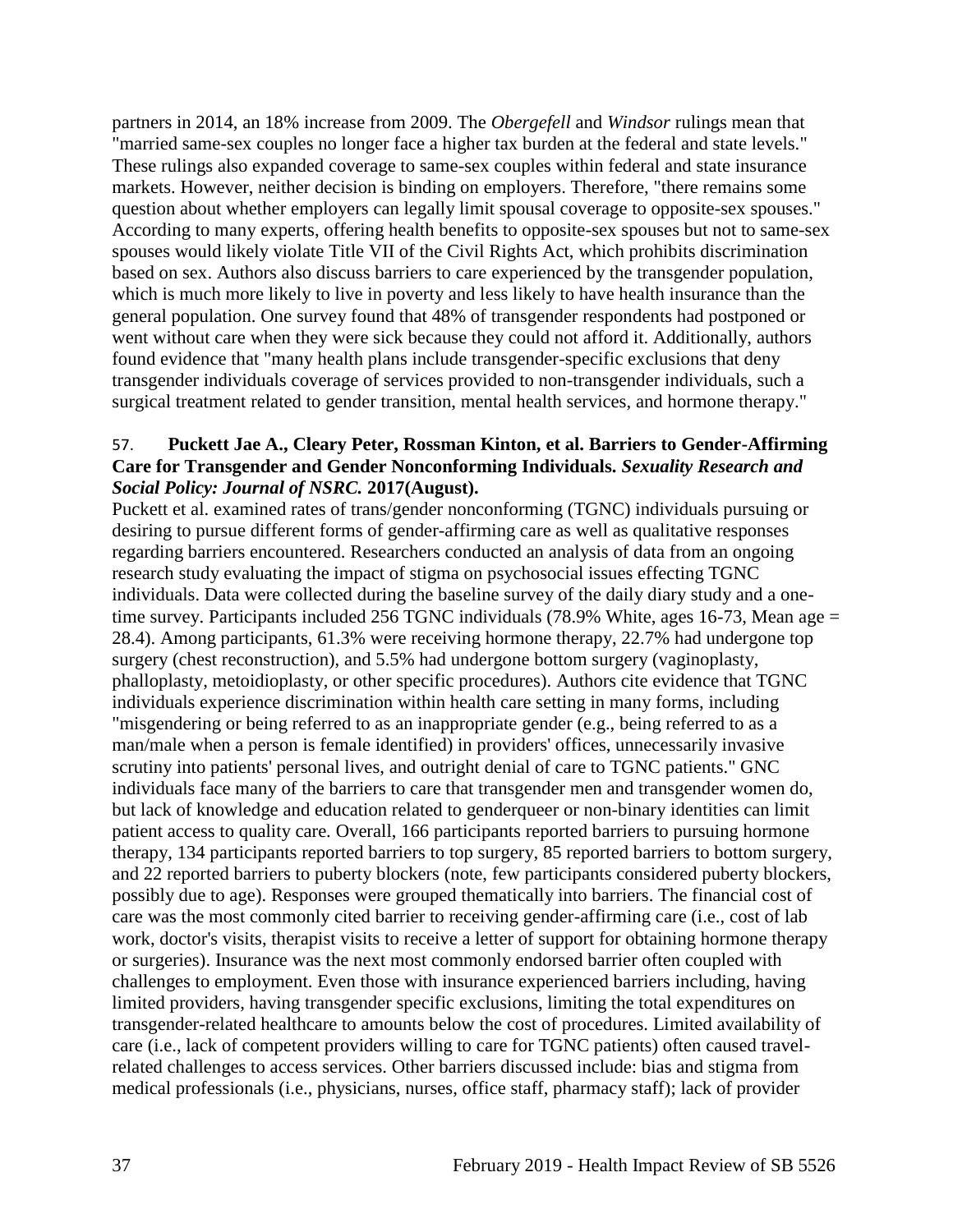partners in 2014, an 18% increase from 2009. The *Obergefell* and *Windsor* rulings mean that "married same-sex couples no longer face a higher tax burden at the federal and state levels." These rulings also expanded coverage to same-sex couples within federal and state insurance markets. However, neither decision is binding on employers. Therefore, "there remains some question about whether employers can legally limit spousal coverage to opposite-sex spouses." According to many experts, offering health benefits to opposite-sex spouses but not to same-sex spouses would likely violate Title VII of the Civil Rights Act, which prohibits discrimination based on sex. Authors also discuss barriers to care experienced by the transgender population, which is much more likely to live in poverty and less likely to have health insurance than the general population. One survey found that 48% of transgender respondents had postponed or went without care when they were sick because they could not afford it. Additionally, authors found evidence that "many health plans include transgender-specific exclusions that deny transgender individuals coverage of services provided to non-transgender individuals, such a surgical treatment related to gender transition, mental health services, and hormone therapy."

### 57. **Puckett Jae A., Cleary Peter, Rossman Kinton, et al. Barriers to Gender-Affirming Care for Transgender and Gender Nonconforming Individuals.** *Sexuality Research and Social Policy: Journal of NSRC.* **2017(August).**

Puckett et al. examined rates of trans/gender nonconforming (TGNC) individuals pursuing or desiring to pursue different forms of gender-affirming care as well as qualitative responses regarding barriers encountered. Researchers conducted an analysis of data from an ongoing research study evaluating the impact of stigma on psychosocial issues effecting TGNC individuals. Data were collected during the baseline survey of the daily diary study and a onetime survey. Participants included 256 TGNC individuals (78.9% White, ages 16-73, Mean age = 28.4). Among participants, 61.3% were receiving hormone therapy, 22.7% had undergone top surgery (chest reconstruction), and 5.5% had undergone bottom surgery (vaginoplasty, phalloplasty, metoidioplasty, or other specific procedures). Authors cite evidence that TGNC individuals experience discrimination within health care setting in many forms, including "misgendering or being referred to as an inappropriate gender (e.g., being referred to as a man/male when a person is female identified) in providers' offices, unnecessarily invasive scrutiny into patients' personal lives, and outright denial of care to TGNC patients." GNC individuals face many of the barriers to care that transgender men and transgender women do, but lack of knowledge and education related to genderqueer or non-binary identities can limit patient access to quality care. Overall, 166 participants reported barriers to pursuing hormone therapy, 134 participants reported barriers to top surgery, 85 reported barriers to bottom surgery, and 22 reported barriers to puberty blockers (note, few participants considered puberty blockers, possibly due to age). Responses were grouped thematically into barriers. The financial cost of care was the most commonly cited barrier to receiving gender-affirming care (i.e., cost of lab work, doctor's visits, therapist visits to receive a letter of support for obtaining hormone therapy or surgeries). Insurance was the next most commonly endorsed barrier often coupled with challenges to employment. Even those with insurance experienced barriers including, having limited providers, having transgender specific exclusions, limiting the total expenditures on transgender-related healthcare to amounts below the cost of procedures. Limited availability of care (i.e., lack of competent providers willing to care for TGNC patients) often caused travelrelated challenges to access services. Other barriers discussed include: bias and stigma from medical professionals (i.e., physicians, nurses, office staff, pharmacy staff); lack of provider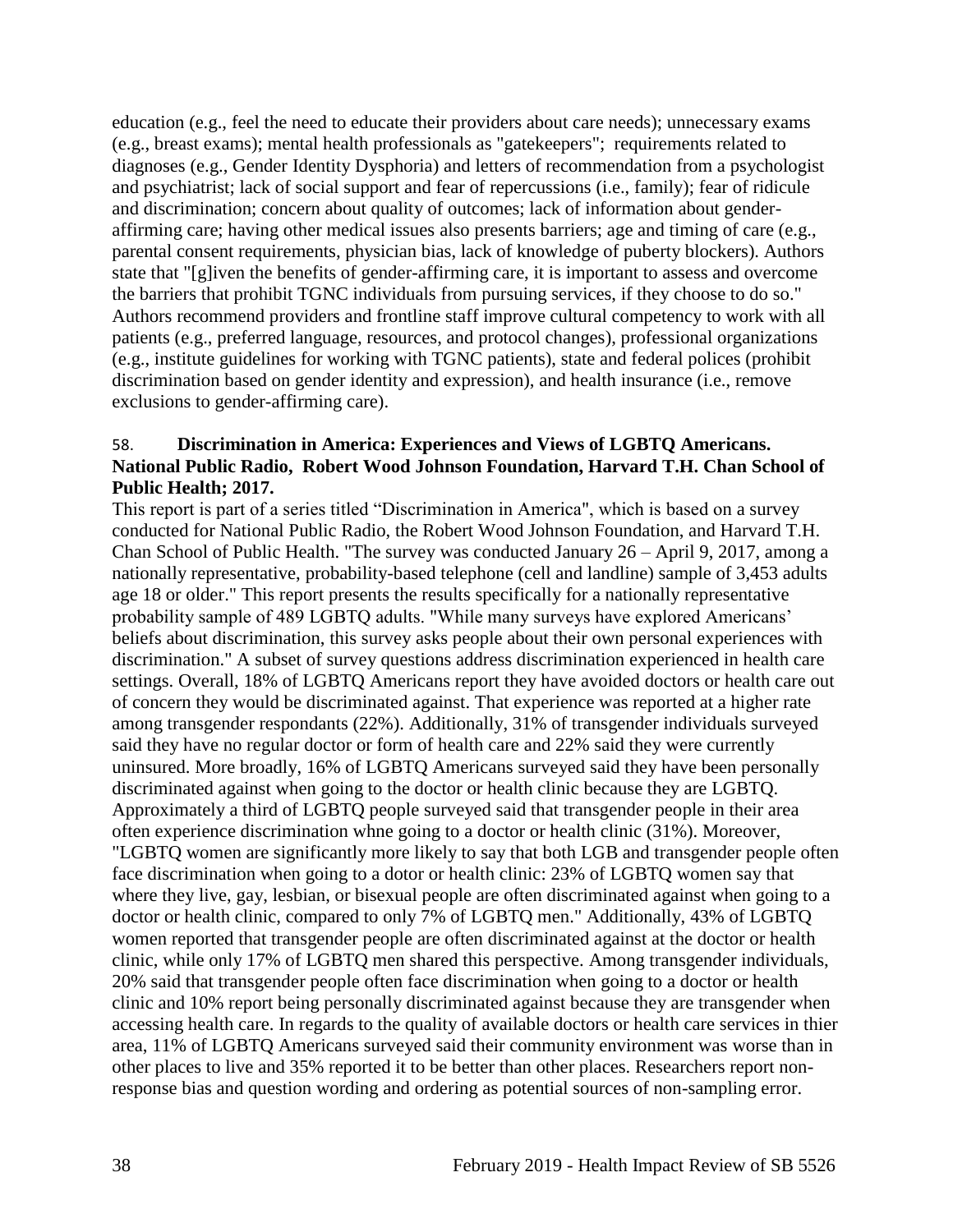education (e.g., feel the need to educate their providers about care needs); unnecessary exams (e.g., breast exams); mental health professionals as "gatekeepers"; requirements related to diagnoses (e.g., Gender Identity Dysphoria) and letters of recommendation from a psychologist and psychiatrist; lack of social support and fear of repercussions (i.e., family); fear of ridicule and discrimination; concern about quality of outcomes; lack of information about genderaffirming care; having other medical issues also presents barriers; age and timing of care (e.g., parental consent requirements, physician bias, lack of knowledge of puberty blockers). Authors state that "[g]iven the benefits of gender-affirming care, it is important to assess and overcome the barriers that prohibit TGNC individuals from pursuing services, if they choose to do so." Authors recommend providers and frontline staff improve cultural competency to work with all patients (e.g., preferred language, resources, and protocol changes), professional organizations (e.g., institute guidelines for working with TGNC patients), state and federal polices (prohibit discrimination based on gender identity and expression), and health insurance (i.e., remove exclusions to gender-affirming care).

### 58. **Discrimination in America: Experiences and Views of LGBTQ Americans. National Public Radio, Robert Wood Johnson Foundation, Harvard T.H. Chan School of Public Health; 2017.**

This report is part of a series titled "Discrimination in America", which is based on a survey conducted for National Public Radio, the Robert Wood Johnson Foundation, and Harvard T.H. Chan School of Public Health. "The survey was conducted January 26 – April 9, 2017, among a nationally representative, probability-based telephone (cell and landline) sample of 3,453 adults age 18 or older." This report presents the results specifically for a nationally representative probability sample of 489 LGBTQ adults. "While many surveys have explored Americans' beliefs about discrimination, this survey asks people about their own personal experiences with discrimination." A subset of survey questions address discrimination experienced in health care settings. Overall, 18% of LGBTQ Americans report they have avoided doctors or health care out of concern they would be discriminated against. That experience was reported at a higher rate among transgender respondants (22%). Additionally, 31% of transgender individuals surveyed said they have no regular doctor or form of health care and 22% said they were currently uninsured. More broadly, 16% of LGBTQ Americans surveyed said they have been personally discriminated against when going to the doctor or health clinic because they are LGBTQ. Approximately a third of LGBTQ people surveyed said that transgender people in their area often experience discrimination whne going to a doctor or health clinic (31%). Moreover, "LGBTQ women are significantly more likely to say that both LGB and transgender people often face discrimination when going to a dotor or health clinic: 23% of LGBTQ women say that where they live, gay, lesbian, or bisexual people are often discriminated against when going to a doctor or health clinic, compared to only 7% of LGBTQ men." Additionally, 43% of LGBTQ women reported that transgender people are often discriminated against at the doctor or health clinic, while only 17% of LGBTQ men shared this perspective. Among transgender individuals, 20% said that transgender people often face discrimination when going to a doctor or health clinic and 10% report being personally discriminated against because they are transgender when accessing health care. In regards to the quality of available doctors or health care services in thier area, 11% of LGBTQ Americans surveyed said their community environment was worse than in other places to live and 35% reported it to be better than other places. Researchers report nonresponse bias and question wording and ordering as potential sources of non-sampling error.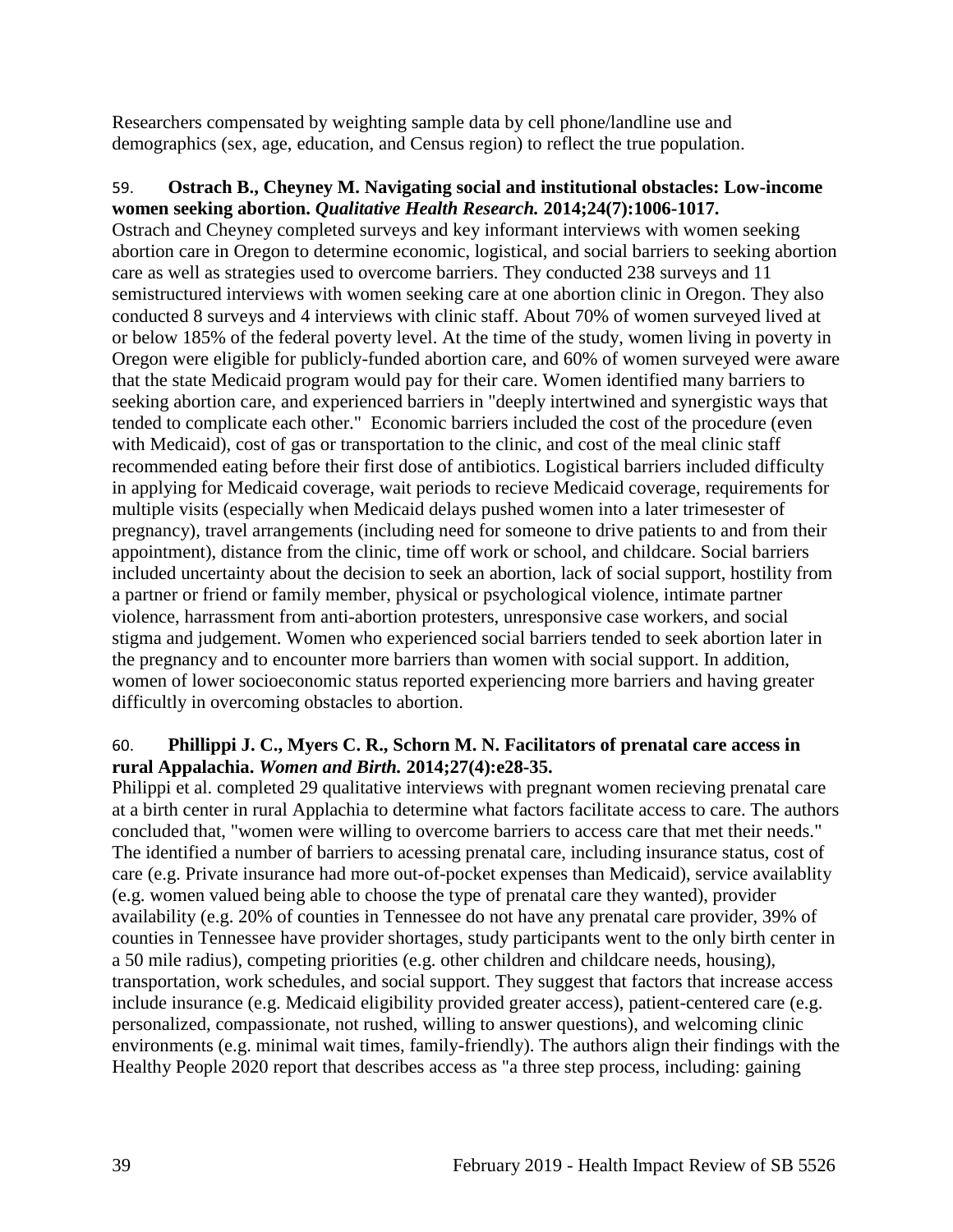Researchers compensated by weighting sample data by cell phone/landline use and demographics (sex, age, education, and Census region) to reflect the true population.

### <span id="page-41-0"></span>59. **Ostrach B., Cheyney M. Navigating social and institutional obstacles: Low-income women seeking abortion.** *Qualitative Health Research.* **2014;24(7):1006-1017.**

Ostrach and Cheyney completed surveys and key informant interviews with women seeking abortion care in Oregon to determine economic, logistical, and social barriers to seeking abortion care as well as strategies used to overcome barriers. They conducted 238 surveys and 11 semistructured interviews with women seeking care at one abortion clinic in Oregon. They also conducted 8 surveys and 4 interviews with clinic staff. About 70% of women surveyed lived at or below 185% of the federal poverty level. At the time of the study, women living in poverty in Oregon were eligible for publicly-funded abortion care, and 60% of women surveyed were aware that the state Medicaid program would pay for their care. Women identified many barriers to seeking abortion care, and experienced barriers in "deeply intertwined and synergistic ways that tended to complicate each other." Economic barriers included the cost of the procedure (even with Medicaid), cost of gas or transportation to the clinic, and cost of the meal clinic staff recommended eating before their first dose of antibiotics. Logistical barriers included difficulty in applying for Medicaid coverage, wait periods to recieve Medicaid coverage, requirements for multiple visits (especially when Medicaid delays pushed women into a later trimesester of pregnancy), travel arrangements (including need for someone to drive patients to and from their appointment), distance from the clinic, time off work or school, and childcare. Social barriers included uncertainty about the decision to seek an abortion, lack of social support, hostility from a partner or friend or family member, physical or psychological violence, intimate partner violence, harrassment from anti-abortion protesters, unresponsive case workers, and social stigma and judgement. Women who experienced social barriers tended to seek abortion later in the pregnancy and to encounter more barriers than women with social support. In addition, women of lower socioeconomic status reported experiencing more barriers and having greater difficultly in overcoming obstacles to abortion.

### <span id="page-41-1"></span>60. **Phillippi J. C., Myers C. R., Schorn M. N. Facilitators of prenatal care access in rural Appalachia.** *Women and Birth.* **2014;27(4):e28-35.**

Philippi et al. completed 29 qualitative interviews with pregnant women recieving prenatal care at a birth center in rural Applachia to determine what factors facilitate access to care. The authors concluded that, "women were willing to overcome barriers to access care that met their needs." The identified a number of barriers to acessing prenatal care, including insurance status, cost of care (e.g. Private insurance had more out-of-pocket expenses than Medicaid), service availablity (e.g. women valued being able to choose the type of prenatal care they wanted), provider availability (e.g. 20% of counties in Tennessee do not have any prenatal care provider, 39% of counties in Tennessee have provider shortages, study participants went to the only birth center in a 50 mile radius), competing priorities (e.g. other children and childcare needs, housing), transportation, work schedules, and social support. They suggest that factors that increase access include insurance (e.g. Medicaid eligibility provided greater access), patient-centered care (e.g. personalized, compassionate, not rushed, willing to answer questions), and welcoming clinic environments (e.g. minimal wait times, family-friendly). The authors align their findings with the Healthy People 2020 report that describes access as "a three step process, including: gaining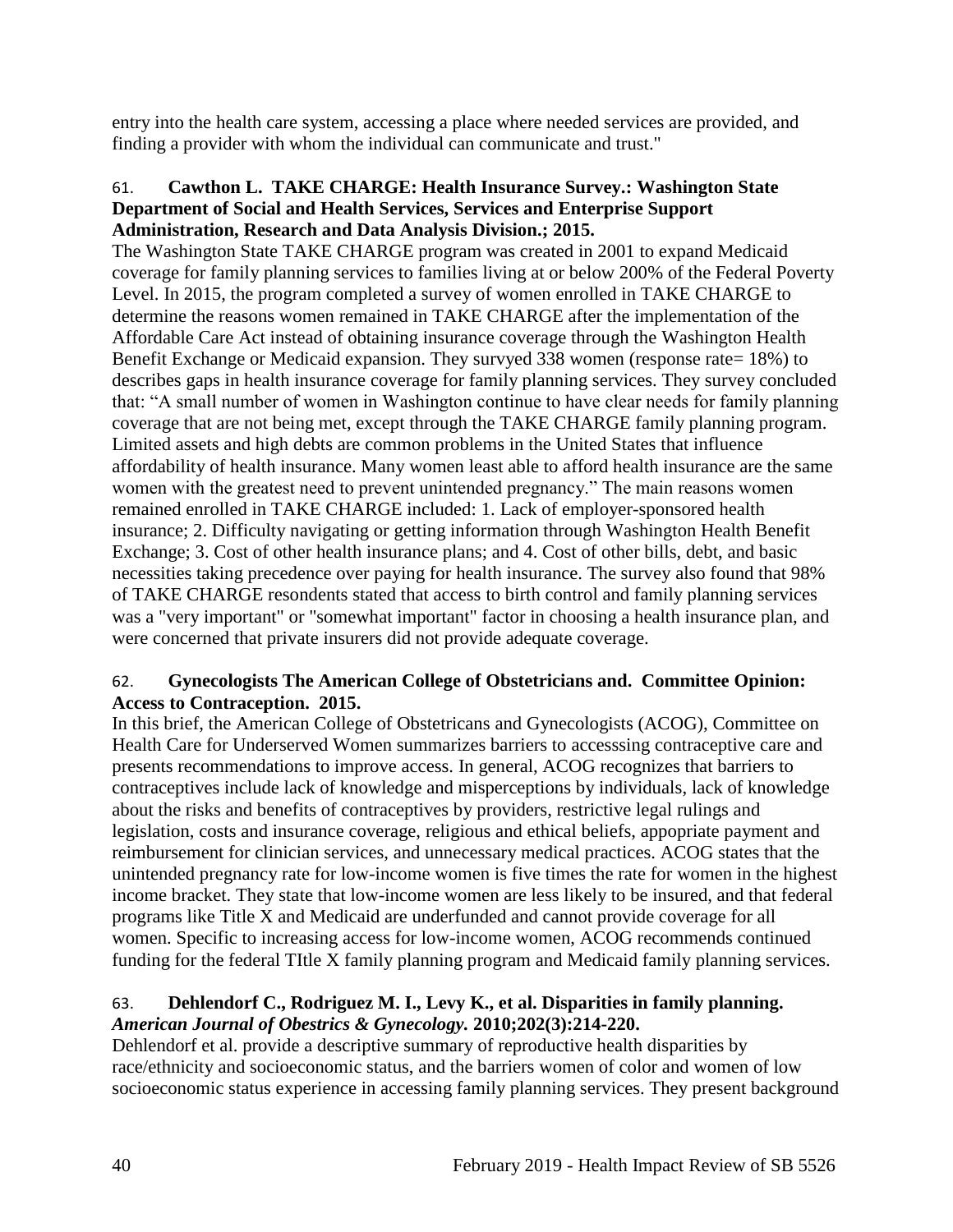entry into the health care system, accessing a place where needed services are provided, and finding a provider with whom the individual can communicate and trust."

### 61. **Cawthon L. TAKE CHARGE: Health Insurance Survey.: Washington State Department of Social and Health Services, Services and Enterprise Support Administration, Research and Data Analysis Division.; 2015.**

The Washington State TAKE CHARGE program was created in 2001 to expand Medicaid coverage for family planning services to families living at or below 200% of the Federal Poverty Level. In 2015, the program completed a survey of women enrolled in TAKE CHARGE to determine the reasons women remained in TAKE CHARGE after the implementation of the Affordable Care Act instead of obtaining insurance coverage through the Washington Health Benefit Exchange or Medicaid expansion. They survyed 338 women (response rate= 18%) to describes gaps in health insurance coverage for family planning services. They survey concluded that: "A small number of women in Washington continue to have clear needs for family planning coverage that are not being met, except through the TAKE CHARGE family planning program. Limited assets and high debts are common problems in the United States that influence affordability of health insurance. Many women least able to afford health insurance are the same women with the greatest need to prevent unintended pregnancy." The main reasons women remained enrolled in TAKE CHARGE included: 1. Lack of employer-sponsored health insurance; 2. Difficulty navigating or getting information through Washington Health Benefit Exchange; 3. Cost of other health insurance plans; and 4. Cost of other bills, debt, and basic necessities taking precedence over paying for health insurance. The survey also found that 98% of TAKE CHARGE resondents stated that access to birth control and family planning services was a "very important" or "somewhat important" factor in choosing a health insurance plan, and were concerned that private insurers did not provide adequate coverage.

### <span id="page-42-0"></span>62. **Gynecologists The American College of Obstetricians and. Committee Opinion: Access to Contraception. 2015.**

In this brief, the American College of Obstetricans and Gynecologists (ACOG), Committee on Health Care for Underserved Women summarizes barriers to accesssing contraceptive care and presents recommendations to improve access. In general, ACOG recognizes that barriers to contraceptives include lack of knowledge and misperceptions by individuals, lack of knowledge about the risks and benefits of contraceptives by providers, restrictive legal rulings and legislation, costs and insurance coverage, religious and ethical beliefs, appopriate payment and reimbursement for clinician services, and unnecessary medical practices. ACOG states that the unintended pregnancy rate for low-income women is five times the rate for women in the highest income bracket. They state that low-income women are less likely to be insured, and that federal programs like Title X and Medicaid are underfunded and cannot provide coverage for all women. Specific to increasing access for low-income women, ACOG recommends continued funding for the federal TItle X family planning program and Medicaid family planning services.

### <span id="page-42-1"></span>63. **Dehlendorf C., Rodriguez M. I., Levy K., et al. Disparities in family planning.**  *American Journal of Obestrics & Gynecology.* **2010;202(3):214-220.**

Dehlendorf et al. provide a descriptive summary of reproductive health disparities by race/ethnicity and socioeconomic status, and the barriers women of color and women of low socioeconomic status experience in accessing family planning services. They present background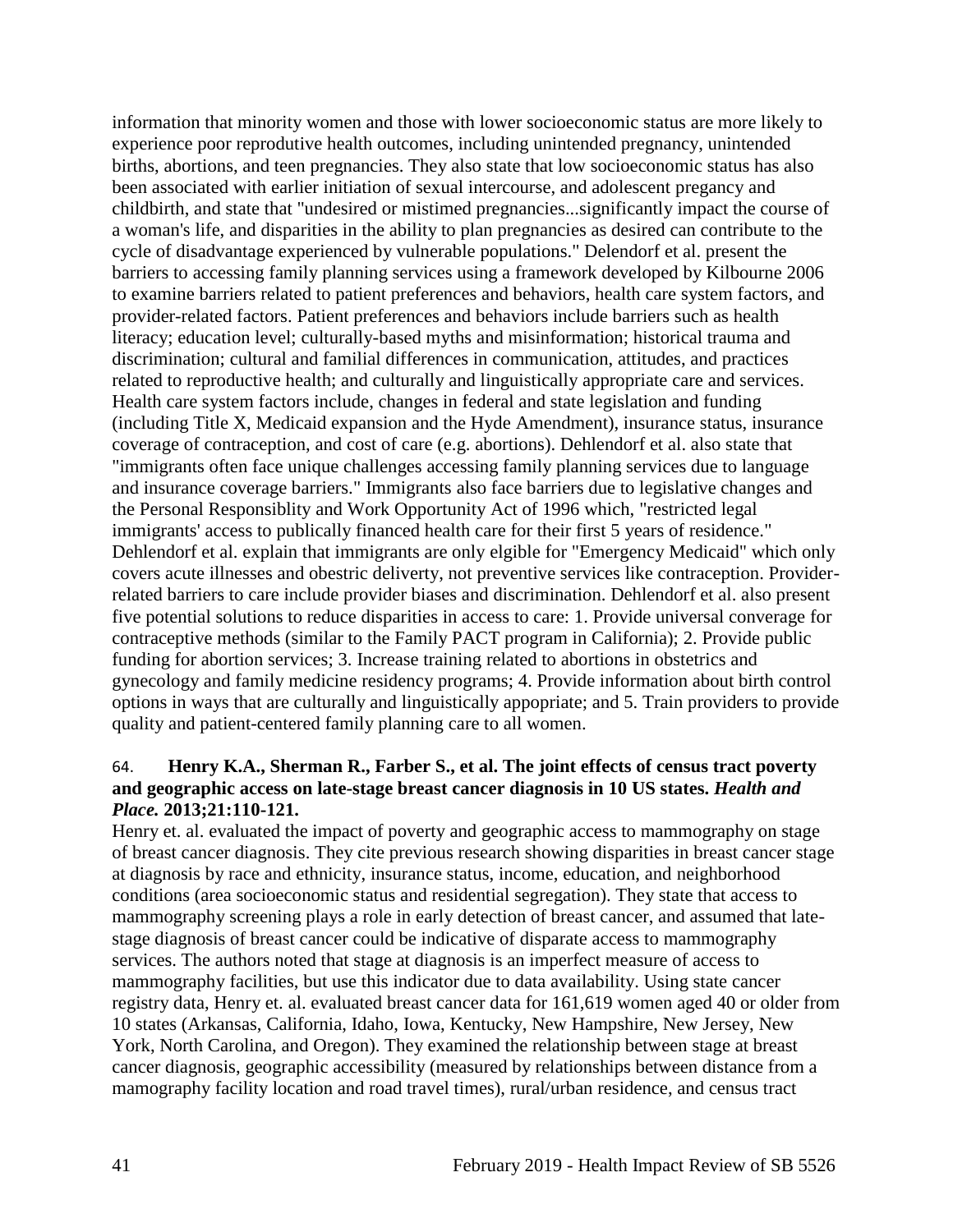information that minority women and those with lower socioeconomic status are more likely to experience poor reprodutive health outcomes, including unintended pregnancy, unintended births, abortions, and teen pregnancies. They also state that low socioeconomic status has also been associated with earlier initiation of sexual intercourse, and adolescent pregancy and childbirth, and state that "undesired or mistimed pregnancies...significantly impact the course of a woman's life, and disparities in the ability to plan pregnancies as desired can contribute to the cycle of disadvantage experienced by vulnerable populations." Delendorf et al. present the barriers to accessing family planning services using a framework developed by Kilbourne 2006 to examine barriers related to patient preferences and behaviors, health care system factors, and provider-related factors. Patient preferences and behaviors include barriers such as health literacy; education level; culturally-based myths and misinformation; historical trauma and discrimination; cultural and familial differences in communication, attitudes, and practices related to reproductive health; and culturally and linguistically appropriate care and services. Health care system factors include, changes in federal and state legislation and funding (including Title X, Medicaid expansion and the Hyde Amendment), insurance status, insurance coverage of contraception, and cost of care (e.g. abortions). Dehlendorf et al. also state that "immigrants often face unique challenges accessing family planning services due to language and insurance coverage barriers." Immigrants also face barriers due to legislative changes and the Personal Responsiblity and Work Opportunity Act of 1996 which, "restricted legal immigrants' access to publically financed health care for their first 5 years of residence." Dehlendorf et al. explain that immigrants are only elgible for "Emergency Medicaid" which only covers acute illnesses and obestric deliverty, not preventive services like contraception. Providerrelated barriers to care include provider biases and discrimination. Dehlendorf et al. also present five potential solutions to reduce disparities in access to care: 1. Provide universal converage for contraceptive methods (similar to the Family PACT program in California); 2. Provide public funding for abortion services; 3. Increase training related to abortions in obstetrics and gynecology and family medicine residency programs; 4. Provide information about birth control options in ways that are culturally and linguistically appopriate; and 5. Train providers to provide quality and patient-centered family planning care to all women.

### 64. **Henry K.A., Sherman R., Farber S., et al. The joint effects of census tract poverty and geographic access on late-stage breast cancer diagnosis in 10 US states.** *Health and Place.* **2013;21:110-121.**

Henry et. al. evaluated the impact of poverty and geographic access to mammography on stage of breast cancer diagnosis. They cite previous research showing disparities in breast cancer stage at diagnosis by race and ethnicity, insurance status, income, education, and neighborhood conditions (area socioeconomic status and residential segregation). They state that access to mammography screening plays a role in early detection of breast cancer, and assumed that latestage diagnosis of breast cancer could be indicative of disparate access to mammography services. The authors noted that stage at diagnosis is an imperfect measure of access to mammography facilities, but use this indicator due to data availability. Using state cancer registry data, Henry et. al. evaluated breast cancer data for 161,619 women aged 40 or older from 10 states (Arkansas, California, Idaho, Iowa, Kentucky, New Hampshire, New Jersey, New York, North Carolina, and Oregon). They examined the relationship between stage at breast cancer diagnosis, geographic accessibility (measured by relationships between distance from a mamography facility location and road travel times), rural/urban residence, and census tract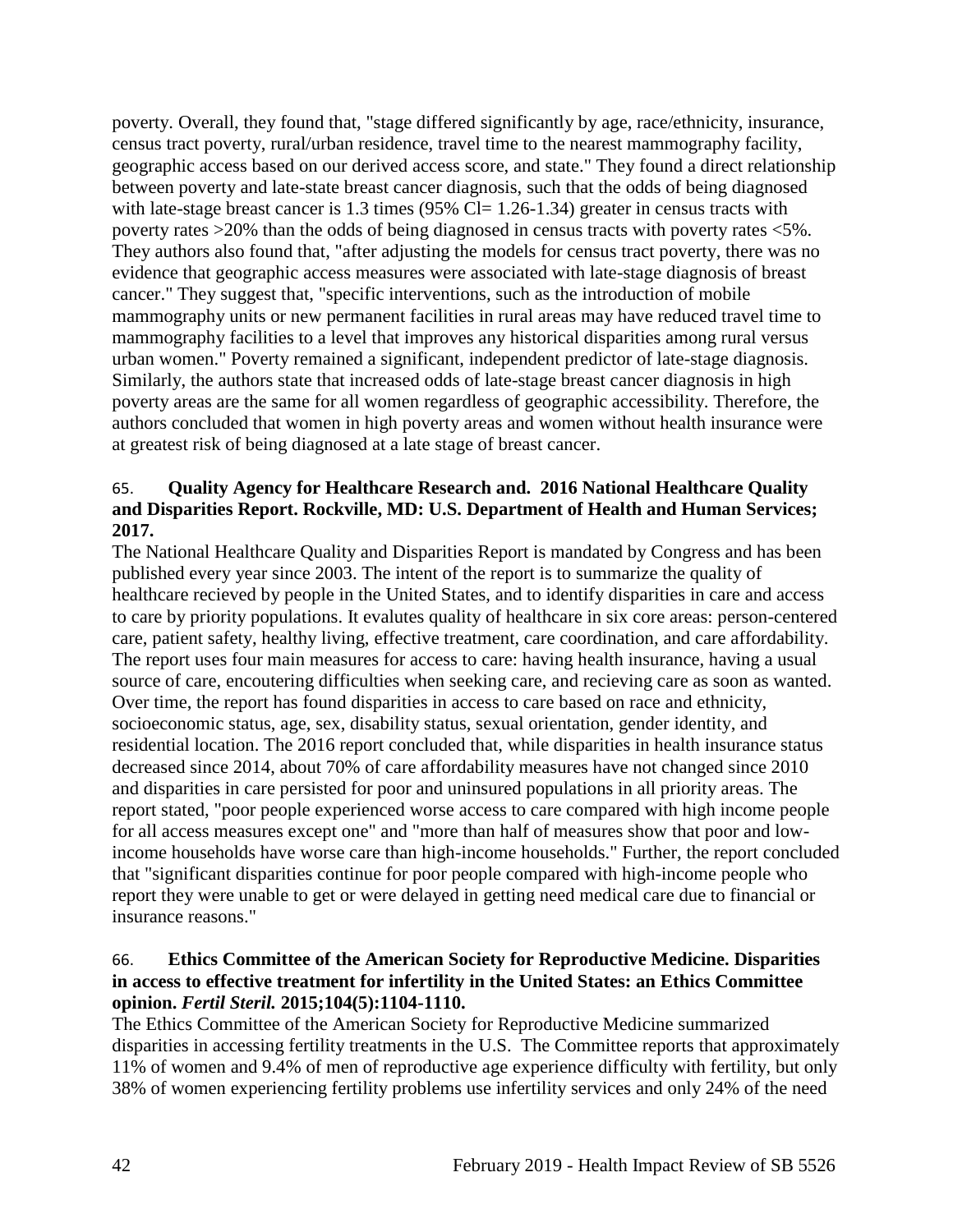poverty. Overall, they found that, "stage differed significantly by age, race/ethnicity, insurance, census tract poverty, rural/urban residence, travel time to the nearest mammography facility, geographic access based on our derived access score, and state." They found a direct relationship between poverty and late-state breast cancer diagnosis, such that the odds of being diagnosed with late-stage breast cancer is 1.3 times (95% Cl=  $1.26$ -1.34) greater in census tracts with poverty rates >20% than the odds of being diagnosed in census tracts with poverty rates <5%. They authors also found that, "after adjusting the models for census tract poverty, there was no evidence that geographic access measures were associated with late-stage diagnosis of breast cancer." They suggest that, "specific interventions, such as the introduction of mobile mammography units or new permanent facilities in rural areas may have reduced travel time to mammography facilities to a level that improves any historical disparities among rural versus urban women." Poverty remained a significant, independent predictor of late-stage diagnosis. Similarly, the authors state that increased odds of late-stage breast cancer diagnosis in high poverty areas are the same for all women regardless of geographic accessibility. Therefore, the authors concluded that women in high poverty areas and women without health insurance were at greatest risk of being diagnosed at a late stage of breast cancer.

### 65. **Quality Agency for Healthcare Research and. 2016 National Healthcare Quality and Disparities Report. Rockville, MD: U.S. Department of Health and Human Services; 2017.**

The National Healthcare Quality and Disparities Report is mandated by Congress and has been published every year since 2003. The intent of the report is to summarize the quality of healthcare recieved by people in the United States, and to identify disparities in care and access to care by priority populations. It evalutes quality of healthcare in six core areas: person-centered care, patient safety, healthy living, effective treatment, care coordination, and care affordability. The report uses four main measures for access to care: having health insurance, having a usual source of care, encoutering difficulties when seeking care, and recieving care as soon as wanted. Over time, the report has found disparities in access to care based on race and ethnicity, socioeconomic status, age, sex, disability status, sexual orientation, gender identity, and residential location. The 2016 report concluded that, while disparities in health insurance status decreased since 2014, about 70% of care affordability measures have not changed since 2010 and disparities in care persisted for poor and uninsured populations in all priority areas. The report stated, "poor people experienced worse access to care compared with high income people for all access measures except one" and "more than half of measures show that poor and lowincome households have worse care than high-income households." Further, the report concluded that "significant disparities continue for poor people compared with high-income people who report they were unable to get or were delayed in getting need medical care due to financial or insurance reasons."

### 66. **Ethics Committee of the American Society for Reproductive Medicine. Disparities in access to effective treatment for infertility in the United States: an Ethics Committee opinion.** *Fertil Steril.* **2015;104(5):1104-1110.**

The Ethics Committee of the American Society for Reproductive Medicine summarized disparities in accessing fertility treatments in the U.S. The Committee reports that approximately 11% of women and 9.4% of men of reproductive age experience difficulty with fertility, but only 38% of women experiencing fertility problems use infertility services and only 24% of the need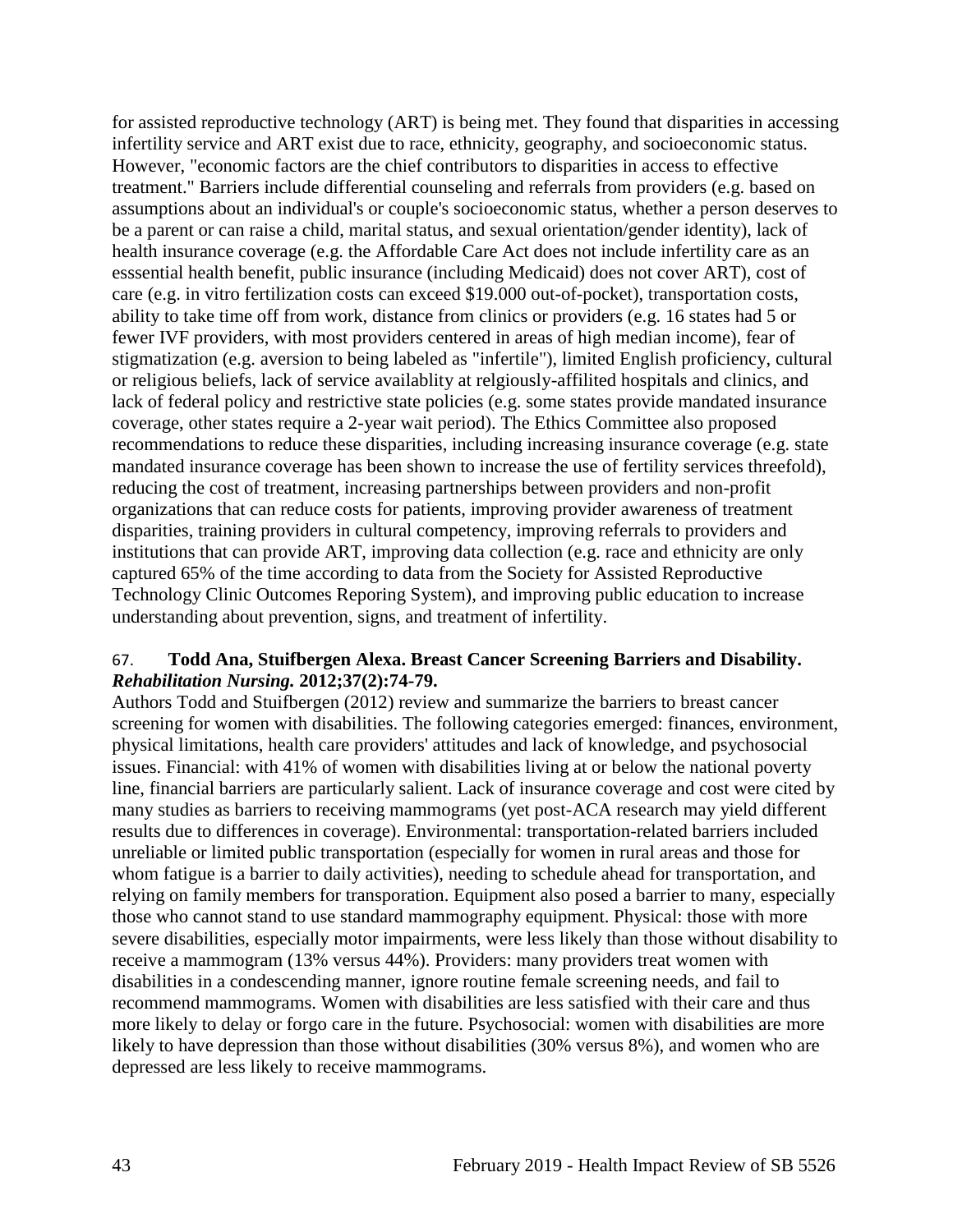for assisted reproductive technology (ART) is being met. They found that disparities in accessing infertility service and ART exist due to race, ethnicity, geography, and socioeconomic status. However, "economic factors are the chief contributors to disparities in access to effective treatment." Barriers include differential counseling and referrals from providers (e.g. based on assumptions about an individual's or couple's socioeconomic status, whether a person deserves to be a parent or can raise a child, marital status, and sexual orientation/gender identity), lack of health insurance coverage (e.g. the Affordable Care Act does not include infertility care as an esssential health benefit, public insurance (including Medicaid) does not cover ART), cost of care (e.g. in vitro fertilization costs can exceed \$19.000 out-of-pocket), transportation costs, ability to take time off from work, distance from clinics or providers (e.g. 16 states had 5 or fewer IVF providers, with most providers centered in areas of high median income), fear of stigmatization (e.g. aversion to being labeled as "infertile"), limited English proficiency, cultural or religious beliefs, lack of service availablity at relgiously-affilited hospitals and clinics, and lack of federal policy and restrictive state policies (e.g. some states provide mandated insurance coverage, other states require a 2-year wait period). The Ethics Committee also proposed recommendations to reduce these disparities, including increasing insurance coverage (e.g. state mandated insurance coverage has been shown to increase the use of fertility services threefold), reducing the cost of treatment, increasing partnerships between providers and non-profit organizations that can reduce costs for patients, improving provider awareness of treatment disparities, training providers in cultural competency, improving referrals to providers and institutions that can provide ART, improving data collection (e.g. race and ethnicity are only captured 65% of the time according to data from the Society for Assisted Reproductive Technology Clinic Outcomes Reporing System), and improving public education to increase understanding about prevention, signs, and treatment of infertility.

### 67. **Todd Ana, Stuifbergen Alexa. Breast Cancer Screening Barriers and Disability.**  *Rehabilitation Nursing.* **2012;37(2):74-79.**

Authors Todd and Stuifbergen (2012) review and summarize the barriers to breast cancer screening for women with disabilities. The following categories emerged: finances, environment, physical limitations, health care providers' attitudes and lack of knowledge, and psychosocial issues. Financial: with 41% of women with disabilities living at or below the national poverty line, financial barriers are particularly salient. Lack of insurance coverage and cost were cited by many studies as barriers to receiving mammograms (yet post-ACA research may yield different results due to differences in coverage). Environmental: transportation-related barriers included unreliable or limited public transportation (especially for women in rural areas and those for whom fatigue is a barrier to daily activities), needing to schedule ahead for transportation, and relying on family members for transporation. Equipment also posed a barrier to many, especially those who cannot stand to use standard mammography equipment. Physical: those with more severe disabilities, especially motor impairments, were less likely than those without disability to receive a mammogram (13% versus 44%). Providers: many providers treat women with disabilities in a condescending manner, ignore routine female screening needs, and fail to recommend mammograms. Women with disabilities are less satisfied with their care and thus more likely to delay or forgo care in the future. Psychosocial: women with disabilities are more likely to have depression than those without disabilities (30% versus 8%), and women who are depressed are less likely to receive mammograms.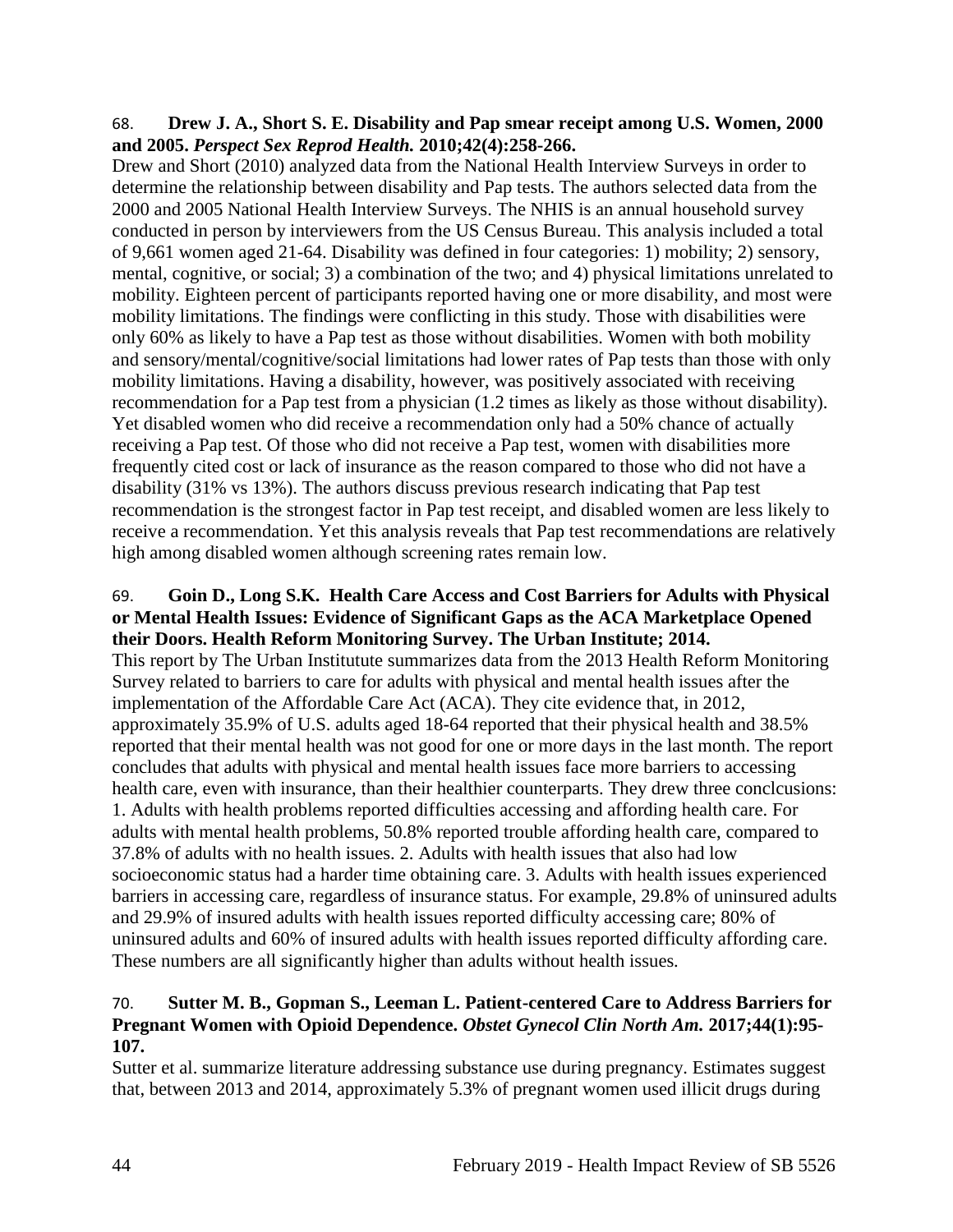### 68. **Drew J. A., Short S. E. Disability and Pap smear receipt among U.S. Women, 2000 and 2005.** *Perspect Sex Reprod Health.* **2010;42(4):258-266.**

Drew and Short (2010) analyzed data from the National Health Interview Surveys in order to determine the relationship between disability and Pap tests. The authors selected data from the 2000 and 2005 National Health Interview Surveys. The NHIS is an annual household survey conducted in person by interviewers from the US Census Bureau. This analysis included a total of 9,661 women aged 21-64. Disability was defined in four categories: 1) mobility; 2) sensory, mental, cognitive, or social; 3) a combination of the two; and 4) physical limitations unrelated to mobility. Eighteen percent of participants reported having one or more disability, and most were mobility limitations. The findings were conflicting in this study. Those with disabilities were only 60% as likely to have a Pap test as those without disabilities. Women with both mobility and sensory/mental/cognitive/social limitations had lower rates of Pap tests than those with only mobility limitations. Having a disability, however, was positively associated with receiving recommendation for a Pap test from a physician (1.2 times as likely as those without disability). Yet disabled women who did receive a recommendation only had a 50% chance of actually receiving a Pap test. Of those who did not receive a Pap test, women with disabilities more frequently cited cost or lack of insurance as the reason compared to those who did not have a disability (31% vs 13%). The authors discuss previous research indicating that Pap test recommendation is the strongest factor in Pap test receipt, and disabled women are less likely to receive a recommendation. Yet this analysis reveals that Pap test recommendations are relatively high among disabled women although screening rates remain low.

### 69. **Goin D., Long S.K. Health Care Access and Cost Barriers for Adults with Physical or Mental Health Issues: Evidence of Significant Gaps as the ACA Marketplace Opened their Doors. Health Reform Monitoring Survey. The Urban Institute; 2014.**

This report by The Urban Institutute summarizes data from the 2013 Health Reform Monitoring Survey related to barriers to care for adults with physical and mental health issues after the implementation of the Affordable Care Act (ACA). They cite evidence that, in 2012, approximately 35.9% of U.S. adults aged 18-64 reported that their physical health and 38.5% reported that their mental health was not good for one or more days in the last month. The report concludes that adults with physical and mental health issues face more barriers to accessing health care, even with insurance, than their healthier counterparts. They drew three conclcusions: 1. Adults with health problems reported difficulties accessing and affording health care. For adults with mental health problems, 50.8% reported trouble affording health care, compared to 37.8% of adults with no health issues. 2. Adults with health issues that also had low socioeconomic status had a harder time obtaining care. 3. Adults with health issues experienced barriers in accessing care, regardless of insurance status. For example, 29.8% of uninsured adults and 29.9% of insured adults with health issues reported difficulty accessing care; 80% of uninsured adults and 60% of insured adults with health issues reported difficulty affording care. These numbers are all significantly higher than adults without health issues.

### 70. **Sutter M. B., Gopman S., Leeman L. Patient-centered Care to Address Barriers for Pregnant Women with Opioid Dependence.** *Obstet Gynecol Clin North Am.* **2017;44(1):95- 107.**

Sutter et al. summarize literature addressing substance use during pregnancy. Estimates suggest that, between 2013 and 2014, approximately 5.3% of pregnant women used illicit drugs during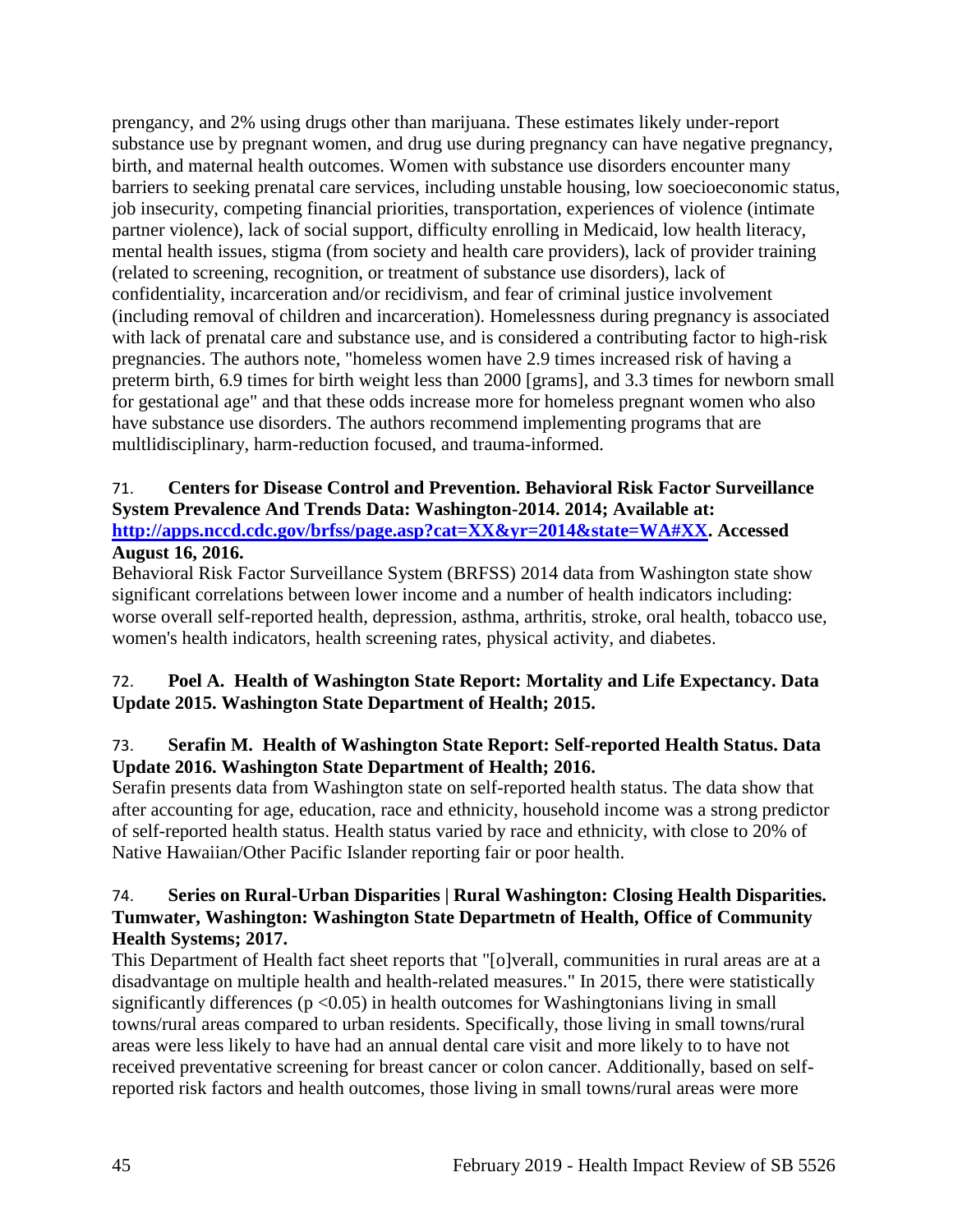prengancy, and 2% using drugs other than marijuana. These estimates likely under-report substance use by pregnant women, and drug use during pregnancy can have negative pregnancy, birth, and maternal health outcomes. Women with substance use disorders encounter many barriers to seeking prenatal care services, including unstable housing, low soecioeconomic status, job insecurity, competing financial priorities, transportation, experiences of violence (intimate partner violence), lack of social support, difficulty enrolling in Medicaid, low health literacy, mental health issues, stigma (from society and health care providers), lack of provider training (related to screening, recognition, or treatment of substance use disorders), lack of confidentiality, incarceration and/or recidivism, and fear of criminal justice involvement (including removal of children and incarceration). Homelessness during pregnancy is associated with lack of prenatal care and substance use, and is considered a contributing factor to high-risk pregnancies. The authors note, "homeless women have 2.9 times increased risk of having a preterm birth, 6.9 times for birth weight less than 2000 [grams], and 3.3 times for newborn small for gestational age" and that these odds increase more for homeless pregnant women who also have substance use disorders. The authors recommend implementing programs that are multlidisciplinary, harm-reduction focused, and trauma-informed.

#### 71. **Centers for Disease Control and Prevention. Behavioral Risk Factor Surveillance System Prevalence And Trends Data: Washington-2014. 2014; Available at: [http://apps.nccd.cdc.gov/brfss/page.asp?cat=XX&yr=2014&state=WA#XX.](http://apps.nccd.cdc.gov/brfss/page.asp?cat=XX&yr=2014&state=WA#XX) Accessed August 16, 2016.**

### Behavioral Risk Factor Surveillance System (BRFSS) 2014 data from Washington state show significant correlations between lower income and a number of health indicators including: worse overall self-reported health, depression, asthma, arthritis, stroke, oral health, tobacco use, women's health indicators, health screening rates, physical activity, and diabetes.

# <span id="page-47-0"></span>72. **Poel A. Health of Washington State Report: Mortality and Life Expectancy. Data Update 2015. Washington State Department of Health; 2015.**

# 73. **Serafin M. Health of Washington State Report: Self-reported Health Status. Data Update 2016. Washington State Department of Health; 2016.**

Serafin presents data from Washington state on self-reported health status. The data show that after accounting for age, education, race and ethnicity, household income was a strong predictor of self-reported health status. Health status varied by race and ethnicity, with close to 20% of Native Hawaiian/Other Pacific Islander reporting fair or poor health.

### 74. **Series on Rural-Urban Disparities | Rural Washington: Closing Health Disparities. Tumwater, Washington: Washington State Departmetn of Health, Office of Community Health Systems; 2017.**

This Department of Health fact sheet reports that "[o]verall, communities in rural areas are at a disadvantage on multiple health and health-related measures." In 2015, there were statistically significantly differences ( $p \le 0.05$ ) in health outcomes for Washingtonians living in small towns/rural areas compared to urban residents. Specifically, those living in small towns/rural areas were less likely to have had an annual dental care visit and more likely to to have not received preventative screening for breast cancer or colon cancer. Additionally, based on selfreported risk factors and health outcomes, those living in small towns/rural areas were more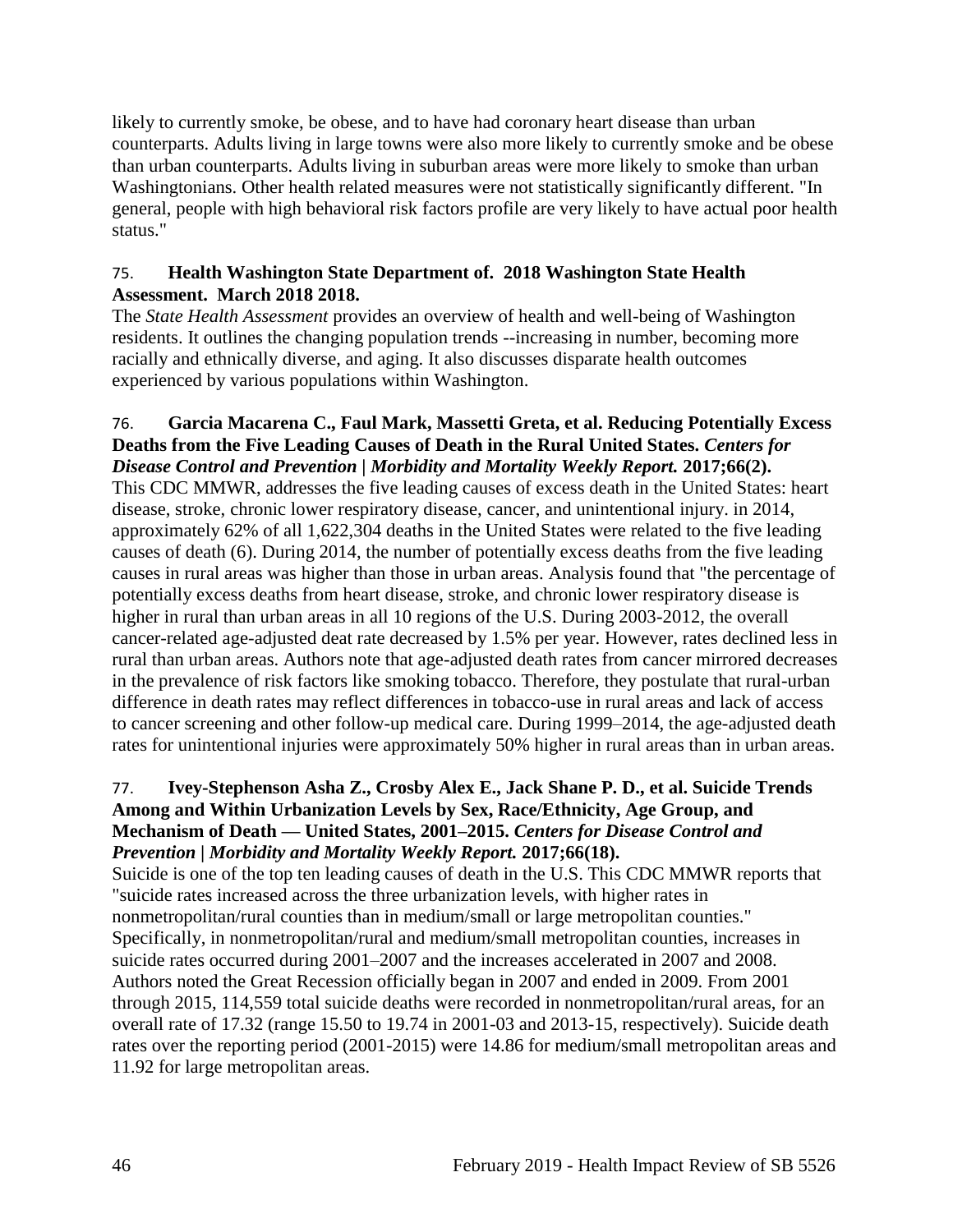likely to currently smoke, be obese, and to have had coronary heart disease than urban counterparts. Adults living in large towns were also more likely to currently smoke and be obese than urban counterparts. Adults living in suburban areas were more likely to smoke than urban Washingtonians. Other health related measures were not statistically significantly different. "In general, people with high behavioral risk factors profile are very likely to have actual poor health status."

### <span id="page-48-0"></span>75. **Health Washington State Department of. 2018 Washington State Health Assessment. March 2018 2018.**

The *State Health Assessment* provides an overview of health and well-being of Washington residents. It outlines the changing population trends --increasing in number, becoming more racially and ethnically diverse, and aging. It also discusses disparate health outcomes experienced by various populations within Washington.

#### 76. **Garcia Macarena C., Faul Mark, Massetti Greta, et al. Reducing Potentially Excess Deaths from the Five Leading Causes of Death in the Rural United States.** *Centers for Disease Control and Prevention | Morbidity and Mortality Weekly Report.* **2017;66(2).**

This CDC MMWR, addresses the five leading causes of excess death in the United States: heart disease, stroke, chronic lower respiratory disease, cancer, and unintentional injury. in 2014, approximately 62% of all 1,622,304 deaths in the United States were related to the five leading causes of death (6). During 2014, the number of potentially excess deaths from the five leading causes in rural areas was higher than those in urban areas. Analysis found that "the percentage of potentially excess deaths from heart disease, stroke, and chronic lower respiratory disease is higher in rural than urban areas in all 10 regions of the U.S. During 2003-2012, the overall cancer-related age-adjusted deat rate decreased by 1.5% per year. However, rates declined less in rural than urban areas. Authors note that age-adjusted death rates from cancer mirrored decreases in the prevalence of risk factors like smoking tobacco. Therefore, they postulate that rural-urban difference in death rates may reflect differences in tobacco-use in rural areas and lack of access to cancer screening and other follow-up medical care. During 1999–2014, the age-adjusted death rates for unintentional injuries were approximately 50% higher in rural areas than in urban areas.

### 77. **Ivey-Stephenson Asha Z., Crosby Alex E., Jack Shane P. D., et al. Suicide Trends Among and Within Urbanization Levels by Sex, Race/Ethnicity, Age Group, and Mechanism of Death — United States, 2001–2015.** *Centers for Disease Control and Prevention | Morbidity and Mortality Weekly Report.* **2017;66(18).**

Suicide is one of the top ten leading causes of death in the U.S. This CDC MMWR reports that "suicide rates increased across the three urbanization levels, with higher rates in nonmetropolitan/rural counties than in medium/small or large metropolitan counties." Specifically, in nonmetropolitan/rural and medium/small metropolitan counties, increases in suicide rates occurred during 2001–2007 and the increases accelerated in 2007 and 2008. Authors noted the Great Recession officially began in 2007 and ended in 2009. From 2001 through 2015, 114,559 total suicide deaths were recorded in nonmetropolitan/rural areas, for an overall rate of 17.32 (range 15.50 to 19.74 in 2001-03 and 2013-15, respectively). Suicide death rates over the reporting period (2001-2015) were 14.86 for medium/small metropolitan areas and 11.92 for large metropolitan areas.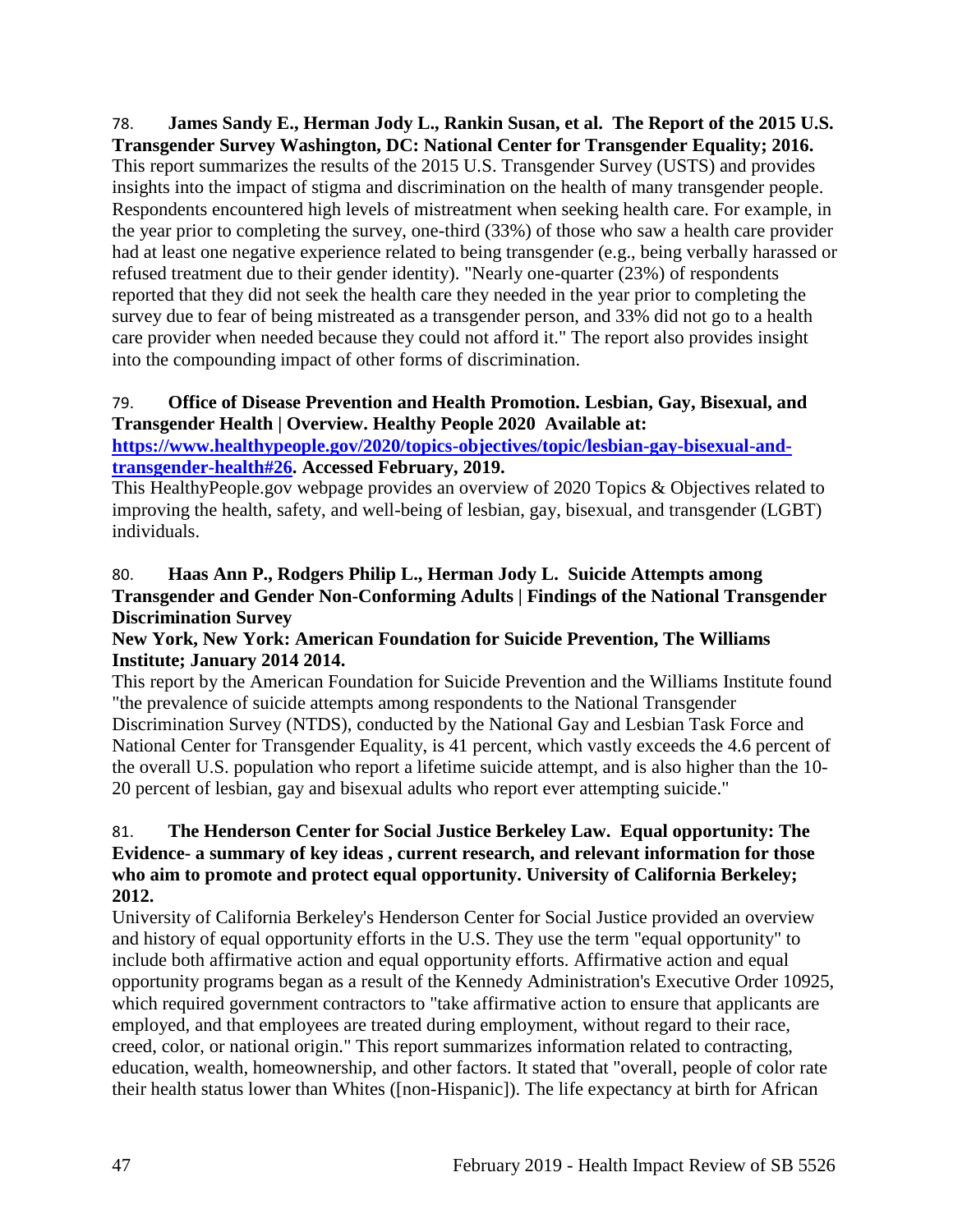<span id="page-49-0"></span>78. **James Sandy E., Herman Jody L., Rankin Susan, et al. The Report of the 2015 U.S. Transgender Survey Washington, DC: National Center for Transgender Equality; 2016.** This report summarizes the results of the 2015 U.S. Transgender Survey (USTS) and provides insights into the impact of stigma and discrimination on the health of many transgender people. Respondents encountered high levels of mistreatment when seeking health care. For example, in the year prior to completing the survey, one-third (33%) of those who saw a health care provider had at least one negative experience related to being transgender (e.g., being verbally harassed or refused treatment due to their gender identity). "Nearly one-quarter (23%) of respondents reported that they did not seek the health care they needed in the year prior to completing the survey due to fear of being mistreated as a transgender person, and 33% did not go to a health care provider when needed because they could not afford it." The report also provides insight into the compounding impact of other forms of discrimination.

# 79. **Office of Disease Prevention and Health Promotion. Lesbian, Gay, Bisexual, and Transgender Health | Overview. Healthy People 2020 Available at:**

**[https://www.healthypeople.gov/2020/topics-objectives/topic/lesbian-gay-bisexual-and](https://www.healthypeople.gov/2020/topics-objectives/topic/lesbian-gay-bisexual-and-transgender-health#26)[transgender-health#26.](https://www.healthypeople.gov/2020/topics-objectives/topic/lesbian-gay-bisexual-and-transgender-health#26) Accessed February, 2019.**

This HealthyPeople.gov webpage provides an overview of 2020 Topics & Objectives related to improving the health, safety, and well-being of lesbian, gay, bisexual, and transgender (LGBT) individuals.

# 80. **Haas Ann P., Rodgers Philip L., Herman Jody L. Suicide Attempts among Transgender and Gender Non-Conforming Adults | Findings of the National Transgender Discrimination Survey**

### **New York, New York: American Foundation for Suicide Prevention, The Williams Institute; January 2014 2014.**

This report by the American Foundation for Suicide Prevention and the Williams Institute found "the prevalence of suicide attempts among respondents to the National Transgender Discrimination Survey (NTDS), conducted by the National Gay and Lesbian Task Force and National Center for Transgender Equality, is 41 percent, which vastly exceeds the 4.6 percent of the overall U.S. population who report a lifetime suicide attempt, and is also higher than the 10- 20 percent of lesbian, gay and bisexual adults who report ever attempting suicide."

# 81. **The Henderson Center for Social Justice Berkeley Law. Equal opportunity: The Evidence- a summary of key ideas , current research, and relevant information for those who aim to promote and protect equal opportunity. University of California Berkeley; 2012.**

University of California Berkeley's Henderson Center for Social Justice provided an overview and history of equal opportunity efforts in the U.S. They use the term "equal opportunity" to include both affirmative action and equal opportunity efforts. Affirmative action and equal opportunity programs began as a result of the Kennedy Administration's Executive Order 10925, which required government contractors to "take affirmative action to ensure that applicants are employed, and that employees are treated during employment, without regard to their race, creed, color, or national origin." This report summarizes information related to contracting, education, wealth, homeownership, and other factors. It stated that "overall, people of color rate their health status lower than Whites ([non-Hispanic]). The life expectancy at birth for African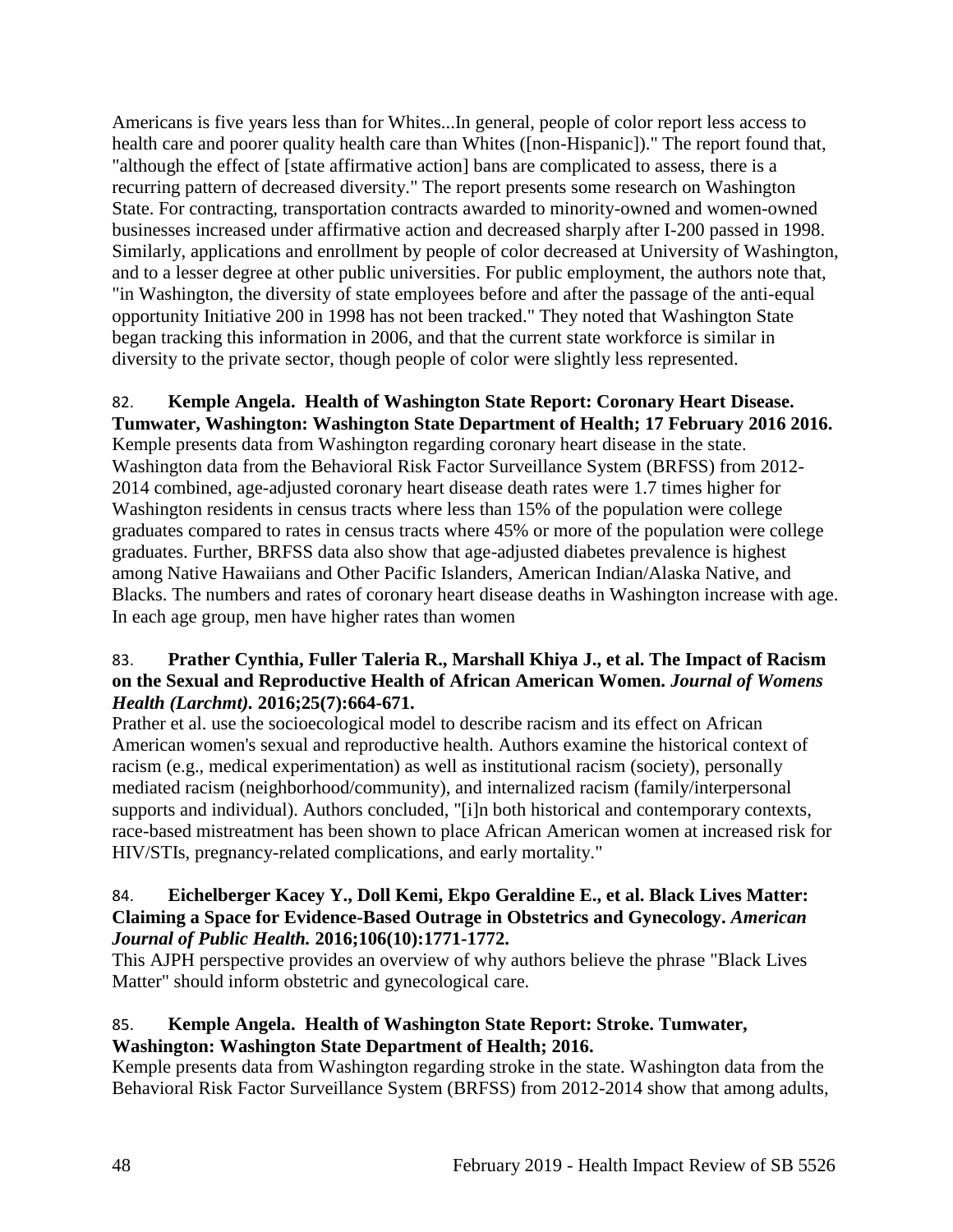Americans is five years less than for Whites...In general, people of color report less access to health care and poorer quality health care than Whites ([non-Hispanic])." The report found that, "although the effect of [state affirmative action] bans are complicated to assess, there is a recurring pattern of decreased diversity." The report presents some research on Washington State. For contracting, transportation contracts awarded to minority-owned and women-owned businesses increased under affirmative action and decreased sharply after I-200 passed in 1998. Similarly, applications and enrollment by people of color decreased at University of Washington, and to a lesser degree at other public universities. For public employment, the authors note that, "in Washington, the diversity of state employees before and after the passage of the anti-equal opportunity Initiative 200 in 1998 has not been tracked." They noted that Washington State began tracking this information in 2006, and that the current state workforce is similar in diversity to the private sector, though people of color were slightly less represented.

#### <span id="page-50-0"></span>82. **Kemple Angela. Health of Washington State Report: Coronary Heart Disease. Tumwater, Washington: Washington State Department of Health; 17 February 2016 2016.**

Kemple presents data from Washington regarding coronary heart disease in the state. Washington data from the Behavioral Risk Factor Surveillance System (BRFSS) from 2012- 2014 combined, age-adjusted coronary heart disease death rates were 1.7 times higher for Washington residents in census tracts where less than 15% of the population were college graduates compared to rates in census tracts where 45% or more of the population were college graduates. Further, BRFSS data also show that age-adjusted diabetes prevalence is highest among Native Hawaiians and Other Pacific Islanders, American Indian/Alaska Native, and Blacks. The numbers and rates of coronary heart disease deaths in Washington increase with age. In each age group, men have higher rates than women

# 83. **Prather Cynthia, Fuller Taleria R., Marshall Khiya J., et al. The Impact of Racism on the Sexual and Reproductive Health of African American Women.** *Journal of Womens Health (Larchmt).* **2016;25(7):664-671.**

Prather et al. use the socioecological model to describe racism and its effect on African American women's sexual and reproductive health. Authors examine the historical context of racism (e.g., medical experimentation) as well as institutional racism (society), personally mediated racism (neighborhood/community), and internalized racism (family/interpersonal supports and individual). Authors concluded, "[i]n both historical and contemporary contexts, race-based mistreatment has been shown to place African American women at increased risk for HIV/STIs, pregnancy-related complications, and early mortality."

### 84. **Eichelberger Kacey Y., Doll Kemi, Ekpo Geraldine E., et al. Black Lives Matter: Claiming a Space for Evidence-Based Outrage in Obstetrics and Gynecology.** *American Journal of Public Health.* **2016;106(10):1771-1772.**

This AJPH perspective provides an overview of why authors believe the phrase "Black Lives Matter" should inform obstetric and gynecological care.

# 85. **Kemple Angela. Health of Washington State Report: Stroke. Tumwater, Washington: Washington State Department of Health; 2016.**

Kemple presents data from Washington regarding stroke in the state. Washington data from the Behavioral Risk Factor Surveillance System (BRFSS) from 2012-2014 show that among adults,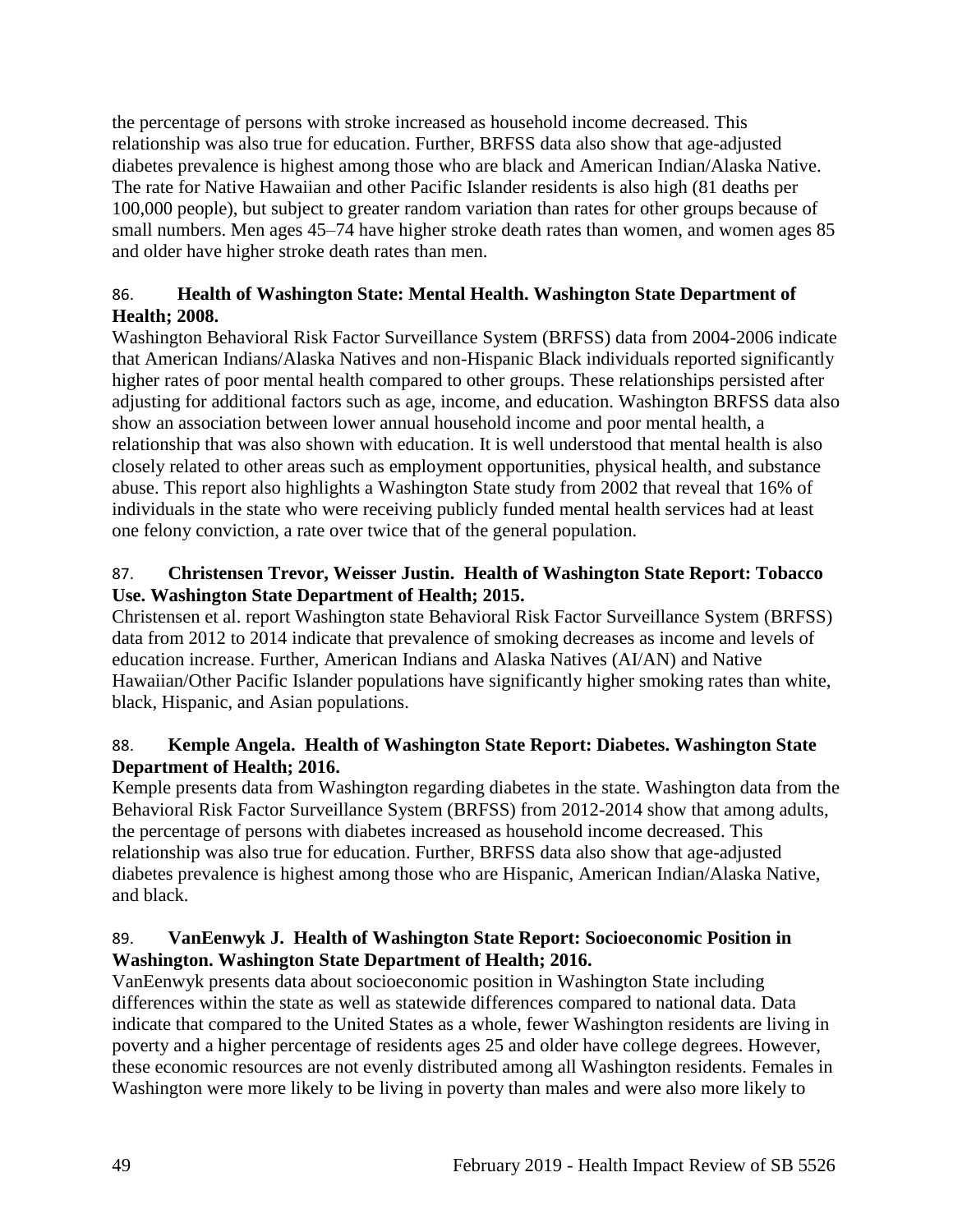the percentage of persons with stroke increased as household income decreased. This relationship was also true for education. Further, BRFSS data also show that age-adjusted diabetes prevalence is highest among those who are black and American Indian/Alaska Native. The rate for Native Hawaiian and other Pacific Islander residents is also high (81 deaths per 100,000 people), but subject to greater random variation than rates for other groups because of small numbers. Men ages 45–74 have higher stroke death rates than women, and women ages 85 and older have higher stroke death rates than men.

# <span id="page-51-0"></span>86. **Health of Washington State: Mental Health. Washington State Department of Health; 2008.**

Washington Behavioral Risk Factor Surveillance System (BRFSS) data from 2004-2006 indicate that American Indians/Alaska Natives and non-Hispanic Black individuals reported significantly higher rates of poor mental health compared to other groups. These relationships persisted after adjusting for additional factors such as age, income, and education. Washington BRFSS data also show an association between lower annual household income and poor mental health, a relationship that was also shown with education. It is well understood that mental health is also closely related to other areas such as employment opportunities, physical health, and substance abuse. This report also highlights a Washington State study from 2002 that reveal that 16% of individuals in the state who were receiving publicly funded mental health services had at least one felony conviction, a rate over twice that of the general population.

# 87. **Christensen Trevor, Weisser Justin. Health of Washington State Report: Tobacco Use. Washington State Department of Health; 2015.**

Christensen et al. report Washington state Behavioral Risk Factor Surveillance System (BRFSS) data from 2012 to 2014 indicate that prevalence of smoking decreases as income and levels of education increase. Further, American Indians and Alaska Natives (AI/AN) and Native Hawaiian/Other Pacific Islander populations have significantly higher smoking rates than white, black, Hispanic, and Asian populations.

# 88. **Kemple Angela. Health of Washington State Report: Diabetes. Washington State Department of Health; 2016.**

Kemple presents data from Washington regarding diabetes in the state. Washington data from the Behavioral Risk Factor Surveillance System (BRFSS) from 2012-2014 show that among adults, the percentage of persons with diabetes increased as household income decreased. This relationship was also true for education. Further, BRFSS data also show that age-adjusted diabetes prevalence is highest among those who are Hispanic, American Indian/Alaska Native, and black.

# 89. **VanEenwyk J. Health of Washington State Report: Socioeconomic Position in Washington. Washington State Department of Health; 2016.**

VanEenwyk presents data about socioeconomic position in Washington State including differences within the state as well as statewide differences compared to national data. Data indicate that compared to the United States as a whole, fewer Washington residents are living in poverty and a higher percentage of residents ages 25 and older have college degrees. However, these economic resources are not evenly distributed among all Washington residents. Females in Washington were more likely to be living in poverty than males and were also more likely to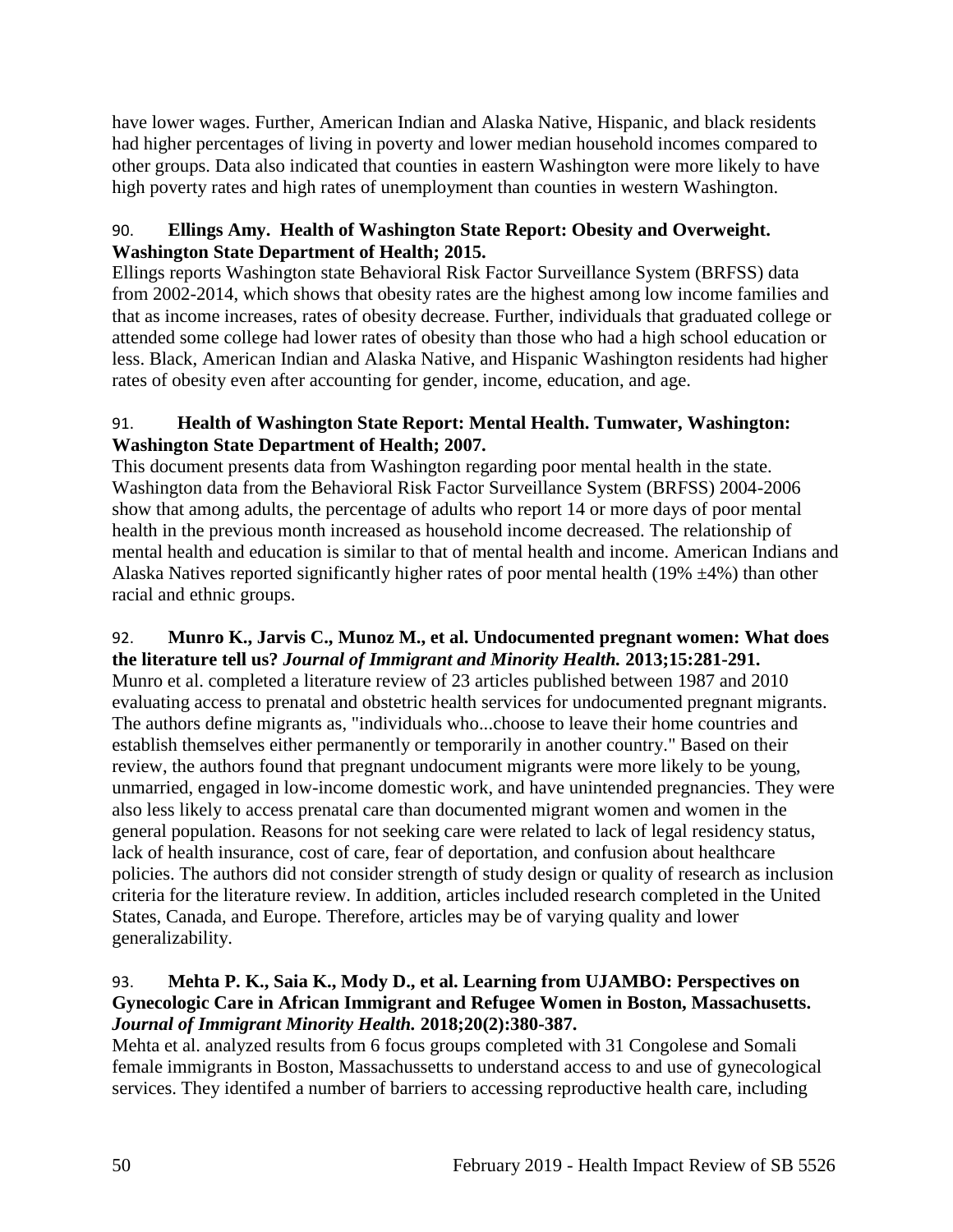have lower wages. Further, American Indian and Alaska Native, Hispanic, and black residents had higher percentages of living in poverty and lower median household incomes compared to other groups. Data also indicated that counties in eastern Washington were more likely to have high poverty rates and high rates of unemployment than counties in western Washington.

# 90. **Ellings Amy. Health of Washington State Report: Obesity and Overweight. Washington State Department of Health; 2015.**

Ellings reports Washington state Behavioral Risk Factor Surveillance System (BRFSS) data from 2002-2014, which shows that obesity rates are the highest among low income families and that as income increases, rates of obesity decrease. Further, individuals that graduated college or attended some college had lower rates of obesity than those who had a high school education or less. Black, American Indian and Alaska Native, and Hispanic Washington residents had higher rates of obesity even after accounting for gender, income, education, and age.

## 91. **Health of Washington State Report: Mental Health. Tumwater, Washington: Washington State Department of Health; 2007.**

This document presents data from Washington regarding poor mental health in the state. Washington data from the Behavioral Risk Factor Surveillance System (BRFSS) 2004-2006 show that among adults, the percentage of adults who report 14 or more days of poor mental health in the previous month increased as household income decreased. The relationship of mental health and education is similar to that of mental health and income. American Indians and Alaska Natives reported significantly higher rates of poor mental health (19%  $\pm$ 4%) than other racial and ethnic groups.

# <span id="page-52-0"></span>92. **Munro K., Jarvis C., Munoz M., et al. Undocumented pregnant women: What does the literature tell us?** *Journal of Immigrant and Minority Health.* **2013;15:281-291.**

Munro et al. completed a literature review of 23 articles published between 1987 and 2010 evaluating access to prenatal and obstetric health services for undocumented pregnant migrants. The authors define migrants as, "individuals who...choose to leave their home countries and establish themselves either permanently or temporarily in another country." Based on their review, the authors found that pregnant undocument migrants were more likely to be young, unmarried, engaged in low-income domestic work, and have unintended pregnancies. They were also less likely to access prenatal care than documented migrant women and women in the general population. Reasons for not seeking care were related to lack of legal residency status, lack of health insurance, cost of care, fear of deportation, and confusion about healthcare policies. The authors did not consider strength of study design or quality of research as inclusion criteria for the literature review. In addition, articles included research completed in the United States, Canada, and Europe. Therefore, articles may be of varying quality and lower generalizability.

# <span id="page-52-1"></span>93. **Mehta P. K., Saia K., Mody D., et al. Learning from UJAMBO: Perspectives on Gynecologic Care in African Immigrant and Refugee Women in Boston, Massachusetts.**  *Journal of Immigrant Minority Health.* **2018;20(2):380-387.**

Mehta et al. analyzed results from 6 focus groups completed with 31 Congolese and Somali female immigrants in Boston, Massachussetts to understand access to and use of gynecological services. They identifed a number of barriers to accessing reproductive health care, including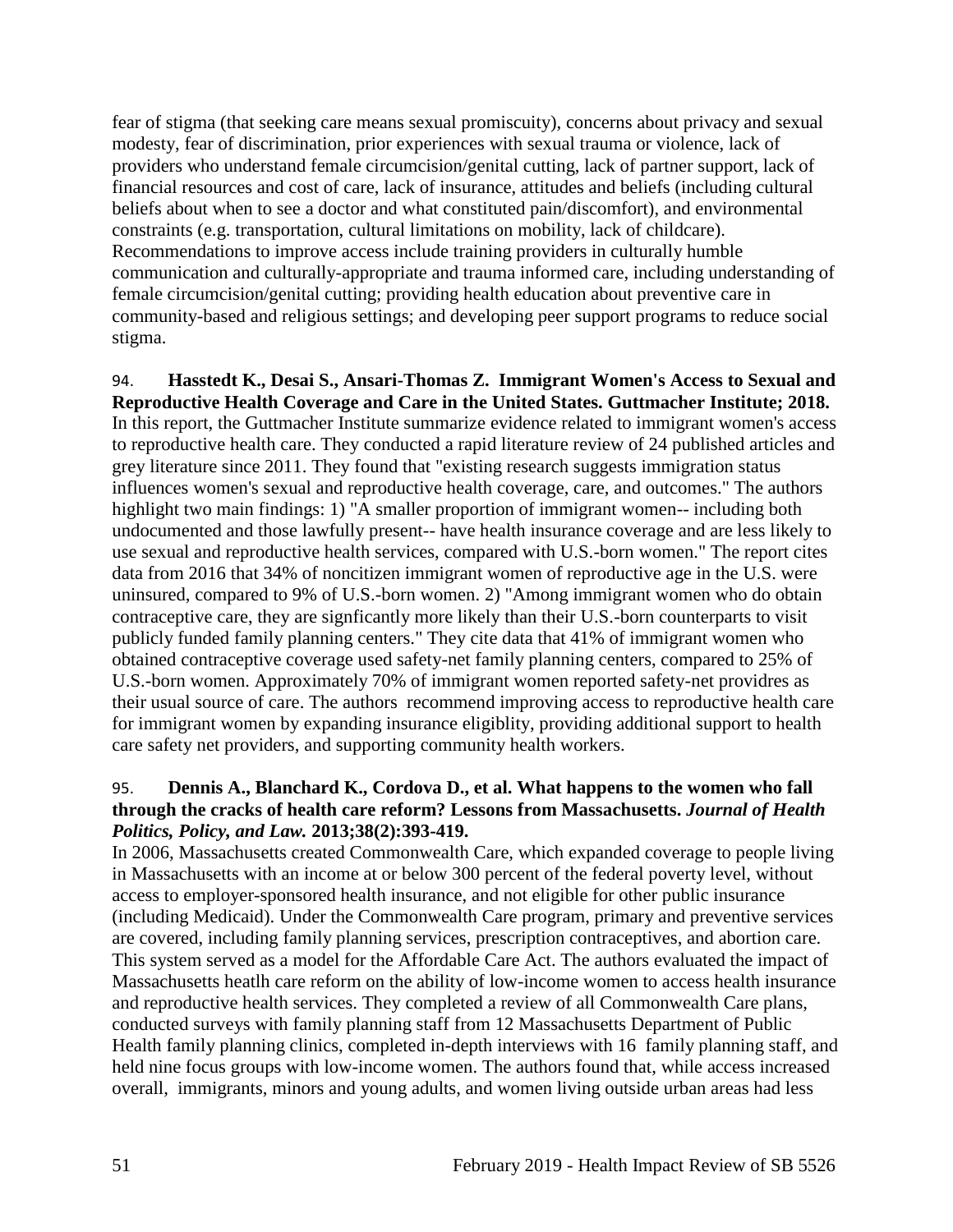fear of stigma (that seeking care means sexual promiscuity), concerns about privacy and sexual modesty, fear of discrimination, prior experiences with sexual trauma or violence, lack of providers who understand female circumcision/genital cutting, lack of partner support, lack of financial resources and cost of care, lack of insurance, attitudes and beliefs (including cultural beliefs about when to see a doctor and what constituted pain/discomfort), and environmental constraints (e.g. transportation, cultural limitations on mobility, lack of childcare). Recommendations to improve access include training providers in culturally humble communication and culturally-appropriate and trauma informed care, including understanding of female circumcision/genital cutting; providing health education about preventive care in community-based and religious settings; and developing peer support programs to reduce social stigma.

94. **Hasstedt K., Desai S., Ansari-Thomas Z. Immigrant Women's Access to Sexual and Reproductive Health Coverage and Care in the United States. Guttmacher Institute; 2018.** In this report, the Guttmacher Institute summarize evidence related to immigrant women's access to reproductive health care. They conducted a rapid literature review of 24 published articles and grey literature since 2011. They found that "existing research suggests immigration status influences women's sexual and reproductive health coverage, care, and outcomes." The authors highlight two main findings: 1) "A smaller proportion of immigrant women-- including both undocumented and those lawfully present-- have health insurance coverage and are less likely to use sexual and reproductive health services, compared with U.S.-born women." The report cites data from 2016 that 34% of noncitizen immigrant women of reproductive age in the U.S. were uninsured, compared to 9% of U.S.-born women. 2) "Among immigrant women who do obtain contraceptive care, they are signficantly more likely than their U.S.-born counterparts to visit publicly funded family planning centers." They cite data that 41% of immigrant women who obtained contraceptive coverage used safety-net family planning centers, compared to 25% of U.S.-born women. Approximately 70% of immigrant women reported safety-net providres as their usual source of care. The authors recommend improving access to reproductive health care for immigrant women by expanding insurance eligiblity, providing additional support to health care safety net providers, and supporting community health workers.

#### 95. **Dennis A., Blanchard K., Cordova D., et al. What happens to the women who fall through the cracks of health care reform? Lessons from Massachusetts.** *Journal of Health Politics, Policy, and Law.* **2013;38(2):393-419.**

In 2006, Massachusetts created Commonwealth Care, which expanded coverage to people living in Massachusetts with an income at or below 300 percent of the federal poverty level, without access to employer-sponsored health insurance, and not eligible for other public insurance (including Medicaid). Under the Commonwealth Care program, primary and preventive services are covered, including family planning services, prescription contraceptives, and abortion care. This system served as a model for the Affordable Care Act. The authors evaluated the impact of Massachusetts heatlh care reform on the ability of low-income women to access health insurance and reproductive health services. They completed a review of all Commonwealth Care plans, conducted surveys with family planning staff from 12 Massachusetts Department of Public Health family planning clinics, completed in-depth interviews with 16 family planning staff, and held nine focus groups with low-income women. The authors found that, while access increased overall, immigrants, minors and young adults, and women living outside urban areas had less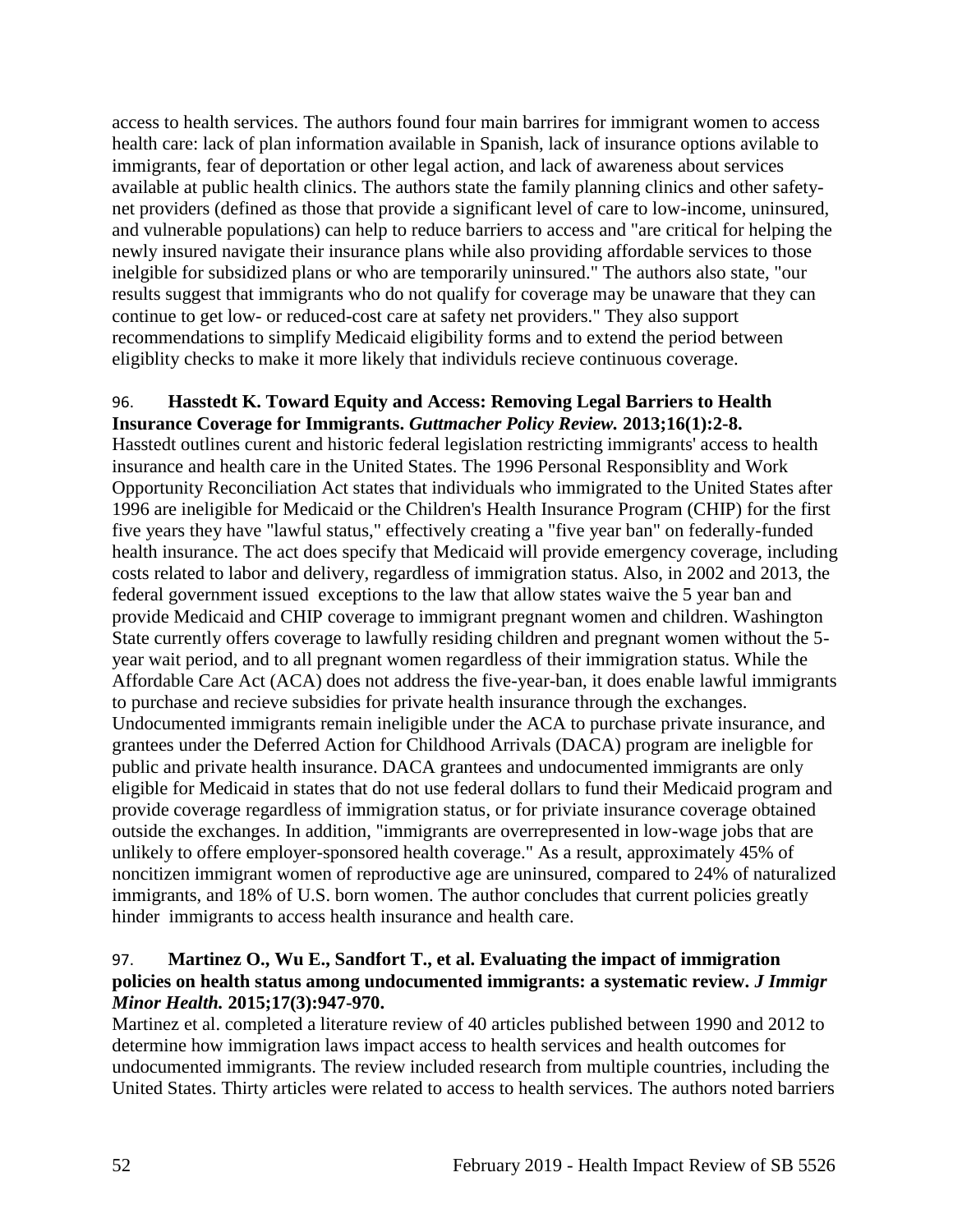access to health services. The authors found four main barrires for immigrant women to access health care: lack of plan information available in Spanish, lack of insurance options avilable to immigrants, fear of deportation or other legal action, and lack of awareness about services available at public health clinics. The authors state the family planning clinics and other safetynet providers (defined as those that provide a significant level of care to low-income, uninsured, and vulnerable populations) can help to reduce barriers to access and "are critical for helping the newly insured navigate their insurance plans while also providing affordable services to those inelgible for subsidized plans or who are temporarily uninsured." The authors also state, "our results suggest that immigrants who do not qualify for coverage may be unaware that they can continue to get low- or reduced-cost care at safety net providers." They also support recommendations to simplify Medicaid eligibility forms and to extend the period between eligiblity checks to make it more likely that individuls recieve continuous coverage.

#### <span id="page-54-0"></span>96. **Hasstedt K. Toward Equity and Access: Removing Legal Barriers to Health Insurance Coverage for Immigrants.** *Guttmacher Policy Review.* **2013;16(1):2-8.**

Hasstedt outlines curent and historic federal legislation restricting immigrants' access to health insurance and health care in the United States. The 1996 Personal Responsiblity and Work Opportunity Reconciliation Act states that individuals who immigrated to the United States after 1996 are ineligible for Medicaid or the Children's Health Insurance Program (CHIP) for the first five years they have "lawful status," effectively creating a "five year ban" on federally-funded health insurance. The act does specify that Medicaid will provide emergency coverage, including costs related to labor and delivery, regardless of immigration status. Also, in 2002 and 2013, the federal government issued exceptions to the law that allow states waive the 5 year ban and provide Medicaid and CHIP coverage to immigrant pregnant women and children. Washington State currently offers coverage to lawfully residing children and pregnant women without the 5 year wait period, and to all pregnant women regardless of their immigration status. While the Affordable Care Act (ACA) does not address the five-year-ban, it does enable lawful immigrants to purchase and recieve subsidies for private health insurance through the exchanges. Undocumented immigrants remain ineligible under the ACA to purchase private insurance, and grantees under the Deferred Action for Childhood Arrivals (DACA) program are ineligble for public and private health insurance. DACA grantees and undocumented immigrants are only eligible for Medicaid in states that do not use federal dollars to fund their Medicaid program and provide coverage regardless of immigration status, or for priviate insurance coverage obtained outside the exchanges. In addition, "immigrants are overrepresented in low-wage jobs that are unlikely to offere employer-sponsored health coverage." As a result, approximately 45% of noncitizen immigrant women of reproductive age are uninsured, compared to 24% of naturalized immigrants, and 18% of U.S. born women. The author concludes that current policies greatly hinder immigrants to access health insurance and health care.

### 97. **Martinez O., Wu E., Sandfort T., et al. Evaluating the impact of immigration policies on health status among undocumented immigrants: a systematic review.** *J Immigr Minor Health.* **2015;17(3):947-970.**

Martinez et al. completed a literature review of 40 articles published between 1990 and 2012 to determine how immigration laws impact access to health services and health outcomes for undocumented immigrants. The review included research from multiple countries, including the United States. Thirty articles were related to access to health services. The authors noted barriers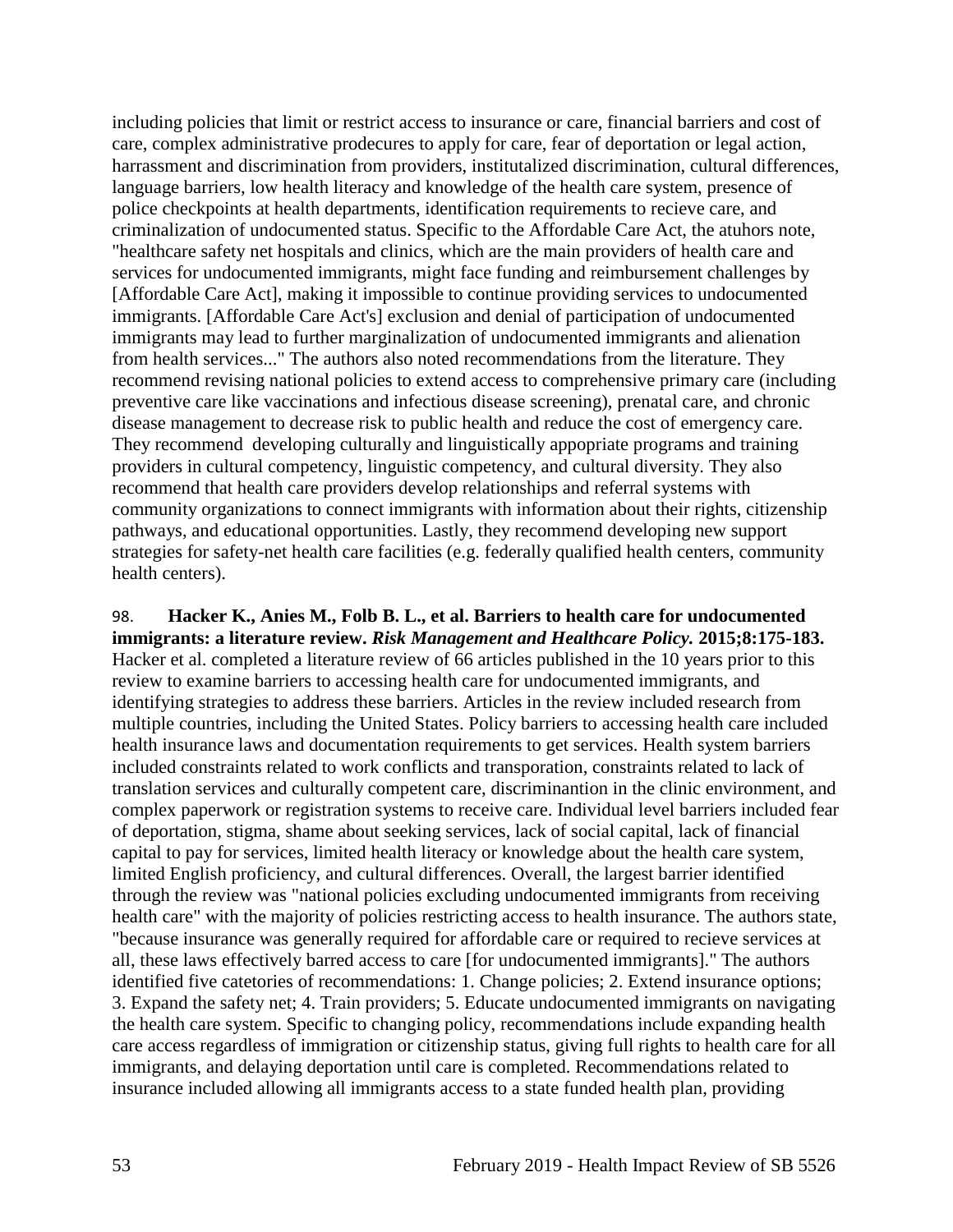including policies that limit or restrict access to insurance or care, financial barriers and cost of care, complex administrative prodecures to apply for care, fear of deportation or legal action, harrassment and discrimination from providers, institutalized discrimination, cultural differences, language barriers, low health literacy and knowledge of the health care system, presence of police checkpoints at health departments, identification requirements to recieve care, and criminalization of undocumented status. Specific to the Affordable Care Act, the atuhors note, "healthcare safety net hospitals and clinics, which are the main providers of health care and services for undocumented immigrants, might face funding and reimbursement challenges by [Affordable Care Act], making it impossible to continue providing services to undocumented immigrants. [Affordable Care Act's] exclusion and denial of participation of undocumented immigrants may lead to further marginalization of undocumented immigrants and alienation from health services..." The authors also noted recommendations from the literature. They recommend revising national policies to extend access to comprehensive primary care (including preventive care like vaccinations and infectious disease screening), prenatal care, and chronic disease management to decrease risk to public health and reduce the cost of emergency care. They recommend developing culturally and linguistically appopriate programs and training providers in cultural competency, linguistic competency, and cultural diversity. They also recommend that health care providers develop relationships and referral systems with community organizations to connect immigrants with information about their rights, citizenship pathways, and educational opportunities. Lastly, they recommend developing new support strategies for safety-net health care facilities (e.g. federally qualified health centers, community health centers).

98. **Hacker K., Anies M., Folb B. L., et al. Barriers to health care for undocumented immigrants: a literature review.** *Risk Management and Healthcare Policy.* **2015;8:175-183.** Hacker et al. completed a literature review of 66 articles published in the 10 years prior to this review to examine barriers to accessing health care for undocumented immigrants, and identifying strategies to address these barriers. Articles in the review included research from multiple countries, including the United States. Policy barriers to accessing health care included health insurance laws and documentation requirements to get services. Health system barriers included constraints related to work conflicts and transporation, constraints related to lack of translation services and culturally competent care, discriminantion in the clinic environment, and complex paperwork or registration systems to receive care. Individual level barriers included fear of deportation, stigma, shame about seeking services, lack of social capital, lack of financial capital to pay for services, limited health literacy or knowledge about the health care system, limited English proficiency, and cultural differences. Overall, the largest barrier identified through the review was "national policies excluding undocumented immigrants from receiving health care" with the majority of policies restricting access to health insurance. The authors state, "because insurance was generally required for affordable care or required to recieve services at all, these laws effectively barred access to care [for undocumented immigrants]." The authors identified five catetories of recommendations: 1. Change policies; 2. Extend insurance options; 3. Expand the safety net; 4. Train providers; 5. Educate undocumented immigrants on navigating the health care system. Specific to changing policy, recommendations include expanding health care access regardless of immigration or citizenship status, giving full rights to health care for all immigrants, and delaying deportation until care is completed. Recommendations related to insurance included allowing all immigrants access to a state funded health plan, providing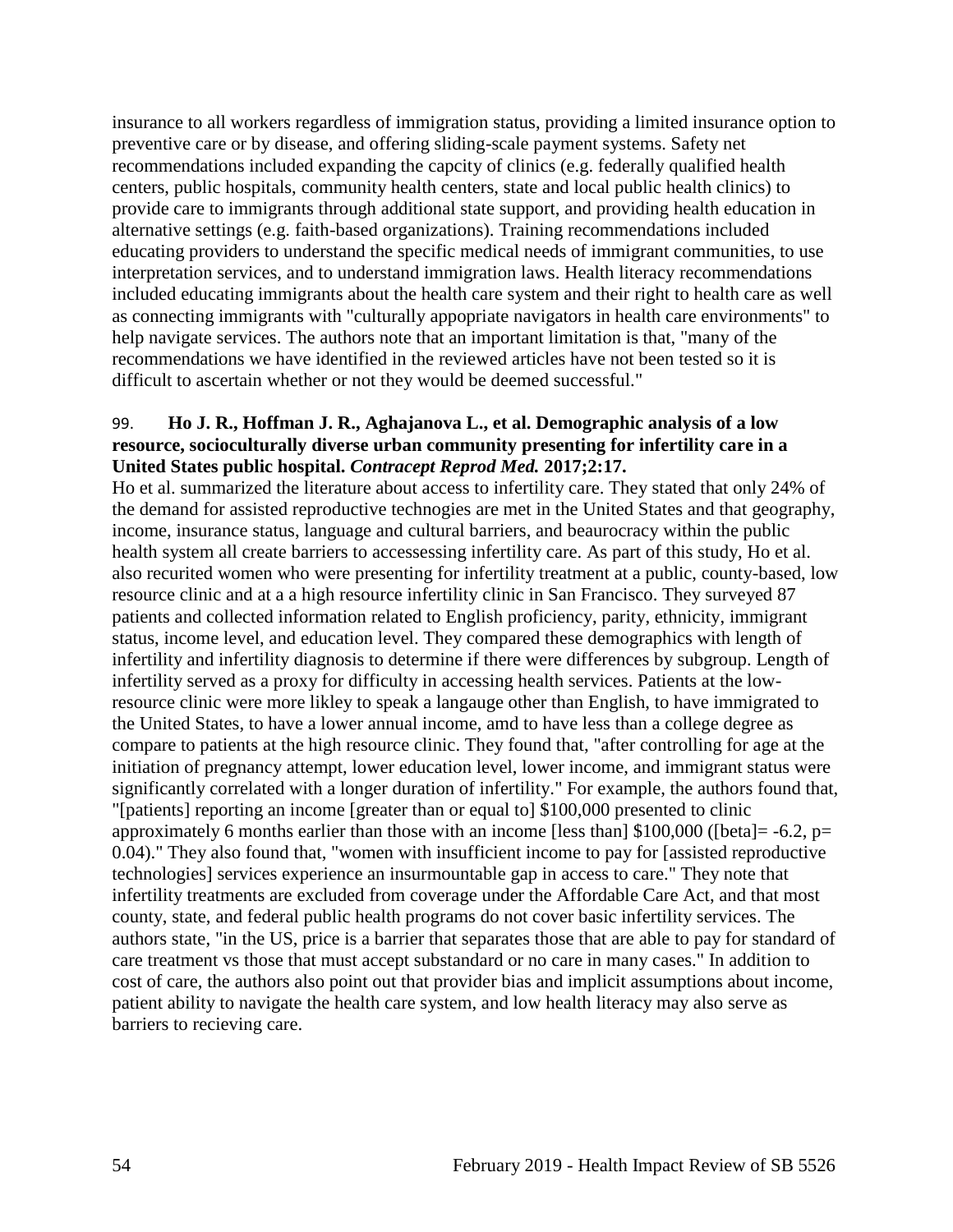insurance to all workers regardless of immigration status, providing a limited insurance option to preventive care or by disease, and offering sliding-scale payment systems. Safety net recommendations included expanding the capcity of clinics (e.g. federally qualified health centers, public hospitals, community health centers, state and local public health clinics) to provide care to immigrants through additional state support, and providing health education in alternative settings (e.g. faith-based organizations). Training recommendations included educating providers to understand the specific medical needs of immigrant communities, to use interpretation services, and to understand immigration laws. Health literacy recommendations included educating immigrants about the health care system and their right to health care as well as connecting immigrants with "culturally appopriate navigators in health care environments" to help navigate services. The authors note that an important limitation is that, "many of the recommendations we have identified in the reviewed articles have not been tested so it is difficult to ascertain whether or not they would be deemed successful."

#### <span id="page-56-0"></span>99. **Ho J. R., Hoffman J. R., Aghajanova L., et al. Demographic analysis of a low resource, socioculturally diverse urban community presenting for infertility care in a United States public hospital.** *Contracept Reprod Med.* **2017;2:17.**

Ho et al. summarized the literature about access to infertility care. They stated that only 24% of the demand for assisted reproductive technogies are met in the United States and that geography, income, insurance status, language and cultural barriers, and beaurocracy within the public health system all create barriers to accessessing infertility care. As part of this study, Ho et al. also recurited women who were presenting for infertility treatment at a public, county-based, low resource clinic and at a a high resource infertility clinic in San Francisco. They surveyed 87 patients and collected information related to English proficiency, parity, ethnicity, immigrant status, income level, and education level. They compared these demographics with length of infertility and infertility diagnosis to determine if there were differences by subgroup. Length of infertility served as a proxy for difficulty in accessing health services. Patients at the lowresource clinic were more likley to speak a langauge other than English, to have immigrated to the United States, to have a lower annual income, amd to have less than a college degree as compare to patients at the high resource clinic. They found that, "after controlling for age at the initiation of pregnancy attempt, lower education level, lower income, and immigrant status were significantly correlated with a longer duration of infertility." For example, the authors found that, "[patients] reporting an income [greater than or equal to] \$100,000 presented to clinic approximately 6 months earlier than those with an income [less than]  $$100,000$  ([beta] = -6.2, p= 0.04)." They also found that, "women with insufficient income to pay for [assisted reproductive technologies] services experience an insurmountable gap in access to care." They note that infertility treatments are excluded from coverage under the Affordable Care Act, and that most county, state, and federal public health programs do not cover basic infertility services. The authors state, "in the US, price is a barrier that separates those that are able to pay for standard of care treatment vs those that must accept substandard or no care in many cases." In addition to cost of care, the authors also point out that provider bias and implicit assumptions about income, patient ability to navigate the health care system, and low health literacy may also serve as barriers to recieving care.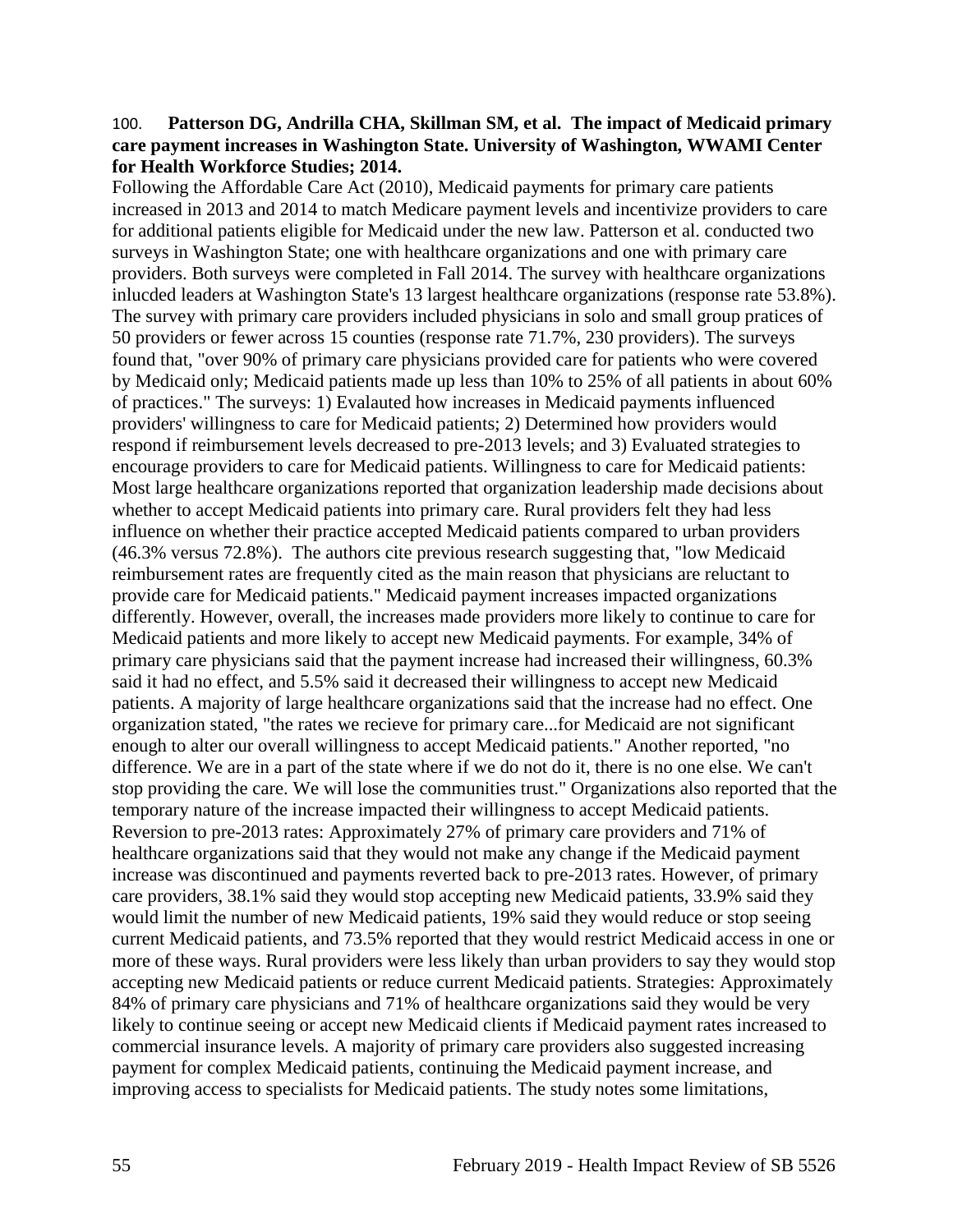#### 100. **Patterson DG, Andrilla CHA, Skillman SM, et al. The impact of Medicaid primary care payment increases in Washington State. University of Washington, WWAMI Center for Health Workforce Studies; 2014.**

Following the Affordable Care Act (2010), Medicaid payments for primary care patients increased in 2013 and 2014 to match Medicare payment levels and incentivize providers to care for additional patients eligible for Medicaid under the new law. Patterson et al. conducted two surveys in Washington State; one with healthcare organizations and one with primary care providers. Both surveys were completed in Fall 2014. The survey with healthcare organizations inlucded leaders at Washington State's 13 largest healthcare organizations (response rate 53.8%). The survey with primary care providers included physicians in solo and small group pratices of 50 providers or fewer across 15 counties (response rate 71.7%, 230 providers). The surveys found that, "over 90% of primary care physicians provided care for patients who were covered by Medicaid only; Medicaid patients made up less than 10% to 25% of all patients in about 60% of practices." The surveys: 1) Evalauted how increases in Medicaid payments influenced providers' willingness to care for Medicaid patients; 2) Determined how providers would respond if reimbursement levels decreased to pre-2013 levels; and 3) Evaluated strategies to encourage providers to care for Medicaid patients. Willingness to care for Medicaid patients: Most large healthcare organizations reported that organization leadership made decisions about whether to accept Medicaid patients into primary care. Rural providers felt they had less influence on whether their practice accepted Medicaid patients compared to urban providers (46.3% versus 72.8%). The authors cite previous research suggesting that, "low Medicaid reimbursement rates are frequently cited as the main reason that physicians are reluctant to provide care for Medicaid patients." Medicaid payment increases impacted organizations differently. However, overall, the increases made providers more likely to continue to care for Medicaid patients and more likely to accept new Medicaid payments. For example, 34% of primary care physicians said that the payment increase had increased their willingness, 60.3% said it had no effect, and 5.5% said it decreased their willingness to accept new Medicaid patients. A majority of large healthcare organizations said that the increase had no effect. One organization stated, "the rates we recieve for primary care...for Medicaid are not significant enough to alter our overall willingness to accept Medicaid patients." Another reported, "no difference. We are in a part of the state where if we do not do it, there is no one else. We can't stop providing the care. We will lose the communities trust." Organizations also reported that the temporary nature of the increase impacted their willingness to accept Medicaid patients. Reversion to pre-2013 rates: Approximately 27% of primary care providers and 71% of healthcare organizations said that they would not make any change if the Medicaid payment increase was discontinued and payments reverted back to pre-2013 rates. However, of primary care providers, 38.1% said they would stop accepting new Medicaid patients, 33.9% said they would limit the number of new Medicaid patients, 19% said they would reduce or stop seeing current Medicaid patients, and 73.5% reported that they would restrict Medicaid access in one or more of these ways. Rural providers were less likely than urban providers to say they would stop accepting new Medicaid patients or reduce current Medicaid patients. Strategies: Approximately 84% of primary care physicians and 71% of healthcare organizations said they would be very likely to continue seeing or accept new Medicaid clients if Medicaid payment rates increased to commercial insurance levels. A majority of primary care providers also suggested increasing payment for complex Medicaid patients, continuing the Medicaid payment increase, and improving access to specialists for Medicaid patients. The study notes some limitations,